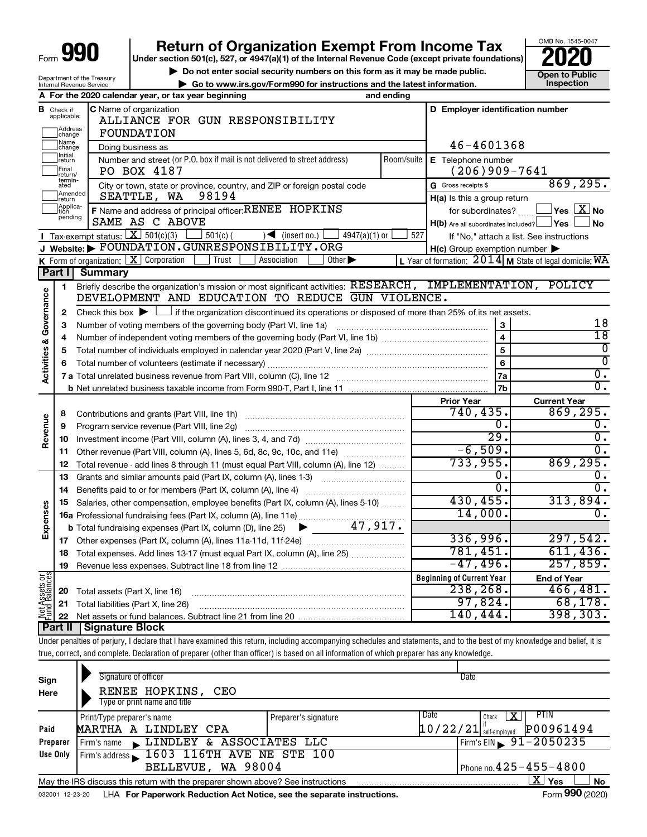| Form |  |  |
|------|--|--|

Department of the Treasury Internal Revenue Service

# **990** Return of Organization Exempt From Income Tax <br>
Under section 501(c), 527, or 4947(a)(1) of the Internal Revenue Code (except private foundations)<br> **PO20**

**▶ Do not enter social security numbers on this form as it may be made public. Open to Public**<br>
inspection instructions and the latest information. Inspection

**| Go to www.irs.gov/Form990 for instructions and the latest information. Inspection**



| D Employer identification number<br><b>C</b> Name of organization<br>в<br>Check if<br>applicable:<br>ALLIANCE FOR GUN RESPONSIBILITY<br>Address<br>change<br>FOUNDATION<br>Name<br>46-4601368<br>Doing business as<br>change<br>Initial<br>Number and street (or P.O. box if mail is not delivered to street address)<br>Room/suite   E Telephone number<br>return<br>Final<br>$(206)909 - 7641$<br>PO BOX 4187<br>return/<br>termin-<br>869, 295.<br>City or town, state or province, country, and ZIP or foreign postal code<br>G Gross receipts \$<br>ated<br>Amended<br>98194<br>SEATTLE, WA<br>H(a) Is this a group return<br>return<br>Applica-<br>F Name and address of principal officer: RENEE HOPKINS<br>$\sqrt{\mathsf{Yes}\mathord{\;\mathbb{X}}\mathord{\;\mathsf{No}}}$<br>for subordinates?<br>tion<br>pending<br>SAME AS C ABOVE<br>H(b) Are all subordinates included? Ves<br><b>No</b><br>Tax-exempt status: $X \ 501(c)(3)$<br>$501(c)$ (<br>$\sqrt{\frac{1}{1}}$ (insert no.)<br>$4947(a)(1)$ or<br>527<br>If "No," attach a list. See instructions<br>Website: FOUNDATION.GUNRESPONSIBILITY.ORG<br>$H(c)$ Group exemption number $\blacktriangleright$<br><b>K</b> Form of organization: $\boxed{\mathbf{X}}$ Corporation<br>Trust<br>Association<br>Other $\blacktriangleright$<br>L Year of formation: $2014$ M State of legal domicile: WA<br>Part I<br><b>Summary</b><br>Briefly describe the organization's mission or most significant activities: RESEARCH, IMPLEMENTATION, POLICY<br>1<br><b>Activities &amp; Governance</b><br>DEVELOPMENT AND EDUCATION TO REDUCE GUN VIOLENCE.<br>Check this box $\blacktriangleright$ $\Box$ if the organization discontinued its operations or disposed of more than 25% of its net assets.<br>$\mathbf{2}$<br>18<br>3<br>з<br>$\overline{18}$<br>$\overline{4}$<br>4<br>$\overline{5}$<br>0<br>5<br>$\overline{0}$<br>6<br>6<br>$\overline{0}$ .<br>7a<br>$\overline{0}$ .<br>7b<br><b>Prior Year</b><br><b>Current Year</b><br>740,435.<br>869, 295.<br>8<br>Revenue<br>0.<br>0.<br>Program service revenue (Part VIII, line 2g)<br>9<br>$\overline{29}$ .<br>$\overline{0}$ .<br>10<br>$-6,509.$<br>$\overline{0}$ .<br>Other revenue (Part VIII, column (A), lines 5, 6d, 8c, 9c, 10c, and 11e)<br>11<br>733,955.<br>869, 295.<br>Total revenue - add lines 8 through 11 (must equal Part VIII, column (A), line 12)<br>12<br>0.<br>$\overline{0}$ .<br>13<br>Grants and similar amounts paid (Part IX, column (A), lines 1-3) <i></i><br>$\overline{0}$ .<br>σ.<br>14<br>430,455.<br>313,894.<br>Salaries, other compensation, employee benefits (Part IX, column (A), lines 5-10)<br>15<br>Expenses<br>14,000.<br>0.<br>47,917.<br><b>b</b> Total fundraising expenses (Part IX, column (D), line 25)<br>▶<br>336,996.<br>297,542.<br>781,451.<br>611, 436.<br>Total expenses. Add lines 13-17 (must equal Part IX, column (A), line 25)<br>18<br>$-47,496.$<br>257,859.<br>19<br>Net Assets or<br>Fund Balances<br><b>Beginning of Current Year</b><br><b>End of Year</b><br>238, 268.<br>20<br>Total assets (Part X, line 16)<br>97,824.<br>21<br>Total liabilities (Part X, line 26)<br>140,444. |  | A For the 2020 calendar year, or tax year beginning | and ending |           |
|-----------------------------------------------------------------------------------------------------------------------------------------------------------------------------------------------------------------------------------------------------------------------------------------------------------------------------------------------------------------------------------------------------------------------------------------------------------------------------------------------------------------------------------------------------------------------------------------------------------------------------------------------------------------------------------------------------------------------------------------------------------------------------------------------------------------------------------------------------------------------------------------------------------------------------------------------------------------------------------------------------------------------------------------------------------------------------------------------------------------------------------------------------------------------------------------------------------------------------------------------------------------------------------------------------------------------------------------------------------------------------------------------------------------------------------------------------------------------------------------------------------------------------------------------------------------------------------------------------------------------------------------------------------------------------------------------------------------------------------------------------------------------------------------------------------------------------------------------------------------------------------------------------------------------------------------------------------------------------------------------------------------------------------------------------------------------------------------------------------------------------------------------------------------------------------------------------------------------------------------------------------------------------------------------------------------------------------------------------------------------------------------------------------------------------------------------------------------------------------------------------------------------------------------------------------------------------------------------------------------------------------------------------------------------------------------------------------------------------------------------------------------------------------------------------------------------------------------------------------------------------------------------------------------------------------------------------------------------------------------------------------------------------------------------------------------------------------------------------------------------------------------------------------------------------|--|-----------------------------------------------------|------------|-----------|
|                                                                                                                                                                                                                                                                                                                                                                                                                                                                                                                                                                                                                                                                                                                                                                                                                                                                                                                                                                                                                                                                                                                                                                                                                                                                                                                                                                                                                                                                                                                                                                                                                                                                                                                                                                                                                                                                                                                                                                                                                                                                                                                                                                                                                                                                                                                                                                                                                                                                                                                                                                                                                                                                                                                                                                                                                                                                                                                                                                                                                                                                                                                                                                             |  |                                                     |            |           |
|                                                                                                                                                                                                                                                                                                                                                                                                                                                                                                                                                                                                                                                                                                                                                                                                                                                                                                                                                                                                                                                                                                                                                                                                                                                                                                                                                                                                                                                                                                                                                                                                                                                                                                                                                                                                                                                                                                                                                                                                                                                                                                                                                                                                                                                                                                                                                                                                                                                                                                                                                                                                                                                                                                                                                                                                                                                                                                                                                                                                                                                                                                                                                                             |  |                                                     |            |           |
|                                                                                                                                                                                                                                                                                                                                                                                                                                                                                                                                                                                                                                                                                                                                                                                                                                                                                                                                                                                                                                                                                                                                                                                                                                                                                                                                                                                                                                                                                                                                                                                                                                                                                                                                                                                                                                                                                                                                                                                                                                                                                                                                                                                                                                                                                                                                                                                                                                                                                                                                                                                                                                                                                                                                                                                                                                                                                                                                                                                                                                                                                                                                                                             |  |                                                     |            |           |
|                                                                                                                                                                                                                                                                                                                                                                                                                                                                                                                                                                                                                                                                                                                                                                                                                                                                                                                                                                                                                                                                                                                                                                                                                                                                                                                                                                                                                                                                                                                                                                                                                                                                                                                                                                                                                                                                                                                                                                                                                                                                                                                                                                                                                                                                                                                                                                                                                                                                                                                                                                                                                                                                                                                                                                                                                                                                                                                                                                                                                                                                                                                                                                             |  |                                                     |            |           |
|                                                                                                                                                                                                                                                                                                                                                                                                                                                                                                                                                                                                                                                                                                                                                                                                                                                                                                                                                                                                                                                                                                                                                                                                                                                                                                                                                                                                                                                                                                                                                                                                                                                                                                                                                                                                                                                                                                                                                                                                                                                                                                                                                                                                                                                                                                                                                                                                                                                                                                                                                                                                                                                                                                                                                                                                                                                                                                                                                                                                                                                                                                                                                                             |  |                                                     |            |           |
|                                                                                                                                                                                                                                                                                                                                                                                                                                                                                                                                                                                                                                                                                                                                                                                                                                                                                                                                                                                                                                                                                                                                                                                                                                                                                                                                                                                                                                                                                                                                                                                                                                                                                                                                                                                                                                                                                                                                                                                                                                                                                                                                                                                                                                                                                                                                                                                                                                                                                                                                                                                                                                                                                                                                                                                                                                                                                                                                                                                                                                                                                                                                                                             |  |                                                     |            |           |
|                                                                                                                                                                                                                                                                                                                                                                                                                                                                                                                                                                                                                                                                                                                                                                                                                                                                                                                                                                                                                                                                                                                                                                                                                                                                                                                                                                                                                                                                                                                                                                                                                                                                                                                                                                                                                                                                                                                                                                                                                                                                                                                                                                                                                                                                                                                                                                                                                                                                                                                                                                                                                                                                                                                                                                                                                                                                                                                                                                                                                                                                                                                                                                             |  |                                                     |            |           |
|                                                                                                                                                                                                                                                                                                                                                                                                                                                                                                                                                                                                                                                                                                                                                                                                                                                                                                                                                                                                                                                                                                                                                                                                                                                                                                                                                                                                                                                                                                                                                                                                                                                                                                                                                                                                                                                                                                                                                                                                                                                                                                                                                                                                                                                                                                                                                                                                                                                                                                                                                                                                                                                                                                                                                                                                                                                                                                                                                                                                                                                                                                                                                                             |  |                                                     |            |           |
|                                                                                                                                                                                                                                                                                                                                                                                                                                                                                                                                                                                                                                                                                                                                                                                                                                                                                                                                                                                                                                                                                                                                                                                                                                                                                                                                                                                                                                                                                                                                                                                                                                                                                                                                                                                                                                                                                                                                                                                                                                                                                                                                                                                                                                                                                                                                                                                                                                                                                                                                                                                                                                                                                                                                                                                                                                                                                                                                                                                                                                                                                                                                                                             |  |                                                     |            |           |
|                                                                                                                                                                                                                                                                                                                                                                                                                                                                                                                                                                                                                                                                                                                                                                                                                                                                                                                                                                                                                                                                                                                                                                                                                                                                                                                                                                                                                                                                                                                                                                                                                                                                                                                                                                                                                                                                                                                                                                                                                                                                                                                                                                                                                                                                                                                                                                                                                                                                                                                                                                                                                                                                                                                                                                                                                                                                                                                                                                                                                                                                                                                                                                             |  |                                                     |            |           |
|                                                                                                                                                                                                                                                                                                                                                                                                                                                                                                                                                                                                                                                                                                                                                                                                                                                                                                                                                                                                                                                                                                                                                                                                                                                                                                                                                                                                                                                                                                                                                                                                                                                                                                                                                                                                                                                                                                                                                                                                                                                                                                                                                                                                                                                                                                                                                                                                                                                                                                                                                                                                                                                                                                                                                                                                                                                                                                                                                                                                                                                                                                                                                                             |  |                                                     |            |           |
|                                                                                                                                                                                                                                                                                                                                                                                                                                                                                                                                                                                                                                                                                                                                                                                                                                                                                                                                                                                                                                                                                                                                                                                                                                                                                                                                                                                                                                                                                                                                                                                                                                                                                                                                                                                                                                                                                                                                                                                                                                                                                                                                                                                                                                                                                                                                                                                                                                                                                                                                                                                                                                                                                                                                                                                                                                                                                                                                                                                                                                                                                                                                                                             |  |                                                     |            |           |
|                                                                                                                                                                                                                                                                                                                                                                                                                                                                                                                                                                                                                                                                                                                                                                                                                                                                                                                                                                                                                                                                                                                                                                                                                                                                                                                                                                                                                                                                                                                                                                                                                                                                                                                                                                                                                                                                                                                                                                                                                                                                                                                                                                                                                                                                                                                                                                                                                                                                                                                                                                                                                                                                                                                                                                                                                                                                                                                                                                                                                                                                                                                                                                             |  |                                                     |            |           |
|                                                                                                                                                                                                                                                                                                                                                                                                                                                                                                                                                                                                                                                                                                                                                                                                                                                                                                                                                                                                                                                                                                                                                                                                                                                                                                                                                                                                                                                                                                                                                                                                                                                                                                                                                                                                                                                                                                                                                                                                                                                                                                                                                                                                                                                                                                                                                                                                                                                                                                                                                                                                                                                                                                                                                                                                                                                                                                                                                                                                                                                                                                                                                                             |  |                                                     |            |           |
|                                                                                                                                                                                                                                                                                                                                                                                                                                                                                                                                                                                                                                                                                                                                                                                                                                                                                                                                                                                                                                                                                                                                                                                                                                                                                                                                                                                                                                                                                                                                                                                                                                                                                                                                                                                                                                                                                                                                                                                                                                                                                                                                                                                                                                                                                                                                                                                                                                                                                                                                                                                                                                                                                                                                                                                                                                                                                                                                                                                                                                                                                                                                                                             |  |                                                     |            |           |
|                                                                                                                                                                                                                                                                                                                                                                                                                                                                                                                                                                                                                                                                                                                                                                                                                                                                                                                                                                                                                                                                                                                                                                                                                                                                                                                                                                                                                                                                                                                                                                                                                                                                                                                                                                                                                                                                                                                                                                                                                                                                                                                                                                                                                                                                                                                                                                                                                                                                                                                                                                                                                                                                                                                                                                                                                                                                                                                                                                                                                                                                                                                                                                             |  |                                                     |            |           |
|                                                                                                                                                                                                                                                                                                                                                                                                                                                                                                                                                                                                                                                                                                                                                                                                                                                                                                                                                                                                                                                                                                                                                                                                                                                                                                                                                                                                                                                                                                                                                                                                                                                                                                                                                                                                                                                                                                                                                                                                                                                                                                                                                                                                                                                                                                                                                                                                                                                                                                                                                                                                                                                                                                                                                                                                                                                                                                                                                                                                                                                                                                                                                                             |  |                                                     |            |           |
|                                                                                                                                                                                                                                                                                                                                                                                                                                                                                                                                                                                                                                                                                                                                                                                                                                                                                                                                                                                                                                                                                                                                                                                                                                                                                                                                                                                                                                                                                                                                                                                                                                                                                                                                                                                                                                                                                                                                                                                                                                                                                                                                                                                                                                                                                                                                                                                                                                                                                                                                                                                                                                                                                                                                                                                                                                                                                                                                                                                                                                                                                                                                                                             |  |                                                     |            |           |
|                                                                                                                                                                                                                                                                                                                                                                                                                                                                                                                                                                                                                                                                                                                                                                                                                                                                                                                                                                                                                                                                                                                                                                                                                                                                                                                                                                                                                                                                                                                                                                                                                                                                                                                                                                                                                                                                                                                                                                                                                                                                                                                                                                                                                                                                                                                                                                                                                                                                                                                                                                                                                                                                                                                                                                                                                                                                                                                                                                                                                                                                                                                                                                             |  |                                                     |            |           |
|                                                                                                                                                                                                                                                                                                                                                                                                                                                                                                                                                                                                                                                                                                                                                                                                                                                                                                                                                                                                                                                                                                                                                                                                                                                                                                                                                                                                                                                                                                                                                                                                                                                                                                                                                                                                                                                                                                                                                                                                                                                                                                                                                                                                                                                                                                                                                                                                                                                                                                                                                                                                                                                                                                                                                                                                                                                                                                                                                                                                                                                                                                                                                                             |  |                                                     |            |           |
|                                                                                                                                                                                                                                                                                                                                                                                                                                                                                                                                                                                                                                                                                                                                                                                                                                                                                                                                                                                                                                                                                                                                                                                                                                                                                                                                                                                                                                                                                                                                                                                                                                                                                                                                                                                                                                                                                                                                                                                                                                                                                                                                                                                                                                                                                                                                                                                                                                                                                                                                                                                                                                                                                                                                                                                                                                                                                                                                                                                                                                                                                                                                                                             |  |                                                     |            |           |
|                                                                                                                                                                                                                                                                                                                                                                                                                                                                                                                                                                                                                                                                                                                                                                                                                                                                                                                                                                                                                                                                                                                                                                                                                                                                                                                                                                                                                                                                                                                                                                                                                                                                                                                                                                                                                                                                                                                                                                                                                                                                                                                                                                                                                                                                                                                                                                                                                                                                                                                                                                                                                                                                                                                                                                                                                                                                                                                                                                                                                                                                                                                                                                             |  |                                                     |            |           |
|                                                                                                                                                                                                                                                                                                                                                                                                                                                                                                                                                                                                                                                                                                                                                                                                                                                                                                                                                                                                                                                                                                                                                                                                                                                                                                                                                                                                                                                                                                                                                                                                                                                                                                                                                                                                                                                                                                                                                                                                                                                                                                                                                                                                                                                                                                                                                                                                                                                                                                                                                                                                                                                                                                                                                                                                                                                                                                                                                                                                                                                                                                                                                                             |  |                                                     |            |           |
|                                                                                                                                                                                                                                                                                                                                                                                                                                                                                                                                                                                                                                                                                                                                                                                                                                                                                                                                                                                                                                                                                                                                                                                                                                                                                                                                                                                                                                                                                                                                                                                                                                                                                                                                                                                                                                                                                                                                                                                                                                                                                                                                                                                                                                                                                                                                                                                                                                                                                                                                                                                                                                                                                                                                                                                                                                                                                                                                                                                                                                                                                                                                                                             |  |                                                     |            |           |
|                                                                                                                                                                                                                                                                                                                                                                                                                                                                                                                                                                                                                                                                                                                                                                                                                                                                                                                                                                                                                                                                                                                                                                                                                                                                                                                                                                                                                                                                                                                                                                                                                                                                                                                                                                                                                                                                                                                                                                                                                                                                                                                                                                                                                                                                                                                                                                                                                                                                                                                                                                                                                                                                                                                                                                                                                                                                                                                                                                                                                                                                                                                                                                             |  |                                                     |            |           |
|                                                                                                                                                                                                                                                                                                                                                                                                                                                                                                                                                                                                                                                                                                                                                                                                                                                                                                                                                                                                                                                                                                                                                                                                                                                                                                                                                                                                                                                                                                                                                                                                                                                                                                                                                                                                                                                                                                                                                                                                                                                                                                                                                                                                                                                                                                                                                                                                                                                                                                                                                                                                                                                                                                                                                                                                                                                                                                                                                                                                                                                                                                                                                                             |  |                                                     |            |           |
|                                                                                                                                                                                                                                                                                                                                                                                                                                                                                                                                                                                                                                                                                                                                                                                                                                                                                                                                                                                                                                                                                                                                                                                                                                                                                                                                                                                                                                                                                                                                                                                                                                                                                                                                                                                                                                                                                                                                                                                                                                                                                                                                                                                                                                                                                                                                                                                                                                                                                                                                                                                                                                                                                                                                                                                                                                                                                                                                                                                                                                                                                                                                                                             |  |                                                     |            |           |
|                                                                                                                                                                                                                                                                                                                                                                                                                                                                                                                                                                                                                                                                                                                                                                                                                                                                                                                                                                                                                                                                                                                                                                                                                                                                                                                                                                                                                                                                                                                                                                                                                                                                                                                                                                                                                                                                                                                                                                                                                                                                                                                                                                                                                                                                                                                                                                                                                                                                                                                                                                                                                                                                                                                                                                                                                                                                                                                                                                                                                                                                                                                                                                             |  |                                                     |            |           |
|                                                                                                                                                                                                                                                                                                                                                                                                                                                                                                                                                                                                                                                                                                                                                                                                                                                                                                                                                                                                                                                                                                                                                                                                                                                                                                                                                                                                                                                                                                                                                                                                                                                                                                                                                                                                                                                                                                                                                                                                                                                                                                                                                                                                                                                                                                                                                                                                                                                                                                                                                                                                                                                                                                                                                                                                                                                                                                                                                                                                                                                                                                                                                                             |  |                                                     |            |           |
|                                                                                                                                                                                                                                                                                                                                                                                                                                                                                                                                                                                                                                                                                                                                                                                                                                                                                                                                                                                                                                                                                                                                                                                                                                                                                                                                                                                                                                                                                                                                                                                                                                                                                                                                                                                                                                                                                                                                                                                                                                                                                                                                                                                                                                                                                                                                                                                                                                                                                                                                                                                                                                                                                                                                                                                                                                                                                                                                                                                                                                                                                                                                                                             |  |                                                     |            |           |
|                                                                                                                                                                                                                                                                                                                                                                                                                                                                                                                                                                                                                                                                                                                                                                                                                                                                                                                                                                                                                                                                                                                                                                                                                                                                                                                                                                                                                                                                                                                                                                                                                                                                                                                                                                                                                                                                                                                                                                                                                                                                                                                                                                                                                                                                                                                                                                                                                                                                                                                                                                                                                                                                                                                                                                                                                                                                                                                                                                                                                                                                                                                                                                             |  |                                                     |            |           |
|                                                                                                                                                                                                                                                                                                                                                                                                                                                                                                                                                                                                                                                                                                                                                                                                                                                                                                                                                                                                                                                                                                                                                                                                                                                                                                                                                                                                                                                                                                                                                                                                                                                                                                                                                                                                                                                                                                                                                                                                                                                                                                                                                                                                                                                                                                                                                                                                                                                                                                                                                                                                                                                                                                                                                                                                                                                                                                                                                                                                                                                                                                                                                                             |  |                                                     |            |           |
|                                                                                                                                                                                                                                                                                                                                                                                                                                                                                                                                                                                                                                                                                                                                                                                                                                                                                                                                                                                                                                                                                                                                                                                                                                                                                                                                                                                                                                                                                                                                                                                                                                                                                                                                                                                                                                                                                                                                                                                                                                                                                                                                                                                                                                                                                                                                                                                                                                                                                                                                                                                                                                                                                                                                                                                                                                                                                                                                                                                                                                                                                                                                                                             |  |                                                     |            |           |
|                                                                                                                                                                                                                                                                                                                                                                                                                                                                                                                                                                                                                                                                                                                                                                                                                                                                                                                                                                                                                                                                                                                                                                                                                                                                                                                                                                                                                                                                                                                                                                                                                                                                                                                                                                                                                                                                                                                                                                                                                                                                                                                                                                                                                                                                                                                                                                                                                                                                                                                                                                                                                                                                                                                                                                                                                                                                                                                                                                                                                                                                                                                                                                             |  |                                                     |            |           |
|                                                                                                                                                                                                                                                                                                                                                                                                                                                                                                                                                                                                                                                                                                                                                                                                                                                                                                                                                                                                                                                                                                                                                                                                                                                                                                                                                                                                                                                                                                                                                                                                                                                                                                                                                                                                                                                                                                                                                                                                                                                                                                                                                                                                                                                                                                                                                                                                                                                                                                                                                                                                                                                                                                                                                                                                                                                                                                                                                                                                                                                                                                                                                                             |  |                                                     |            |           |
|                                                                                                                                                                                                                                                                                                                                                                                                                                                                                                                                                                                                                                                                                                                                                                                                                                                                                                                                                                                                                                                                                                                                                                                                                                                                                                                                                                                                                                                                                                                                                                                                                                                                                                                                                                                                                                                                                                                                                                                                                                                                                                                                                                                                                                                                                                                                                                                                                                                                                                                                                                                                                                                                                                                                                                                                                                                                                                                                                                                                                                                                                                                                                                             |  |                                                     |            | 466, 481. |
|                                                                                                                                                                                                                                                                                                                                                                                                                                                                                                                                                                                                                                                                                                                                                                                                                                                                                                                                                                                                                                                                                                                                                                                                                                                                                                                                                                                                                                                                                                                                                                                                                                                                                                                                                                                                                                                                                                                                                                                                                                                                                                                                                                                                                                                                                                                                                                                                                                                                                                                                                                                                                                                                                                                                                                                                                                                                                                                                                                                                                                                                                                                                                                             |  |                                                     |            | 68,178.   |
|                                                                                                                                                                                                                                                                                                                                                                                                                                                                                                                                                                                                                                                                                                                                                                                                                                                                                                                                                                                                                                                                                                                                                                                                                                                                                                                                                                                                                                                                                                                                                                                                                                                                                                                                                                                                                                                                                                                                                                                                                                                                                                                                                                                                                                                                                                                                                                                                                                                                                                                                                                                                                                                                                                                                                                                                                                                                                                                                                                                                                                                                                                                                                                             |  |                                                     |            | 398, 303. |

**Part II Signature Block**

Under penalties of perjury, I declare that I have examined this return, including accompanying schedules and statements, and to the best of my knowledge and belief, it is true, correct, and complete. Declaration of preparer (other than officer) is based on all information of which preparer has any knowledge.

| Sign     | Signature of officer                                                                                         |                      | Date                                                                         |  |  |  |  |  |  |  |  |
|----------|--------------------------------------------------------------------------------------------------------------|----------------------|------------------------------------------------------------------------------|--|--|--|--|--|--|--|--|
| Here     | RENEE HOPKINS,<br>CEO<br>Type or print name and title                                                        |                      |                                                                              |  |  |  |  |  |  |  |  |
| Paid     | Print/Type preparer's name<br>MARTHA A LINDLEY CPA                                                           | Preparer's signature | Date<br><b>PTIN</b><br>ΙX.<br>Check<br>P00961494<br>$10/22/21$ self-employed |  |  |  |  |  |  |  |  |
| Preparer | LINDLEY & ASSOCIATES LLC<br>Firm's name                                                                      |                      | Firm's EIN $\sqrt{91-2050235}$                                               |  |  |  |  |  |  |  |  |
|          | Firm's address 1603 116TH AVE NE STE 100<br>Use Only<br>Phone no. $425 - 455 - 4800$<br>BELLEVUE, WA 98004   |                      |                                                                              |  |  |  |  |  |  |  |  |
|          | May the IRS discuss this return with the preparer shown above? See instructions                              |                      | $\mathbf{X}$ Yes<br><b>No</b>                                                |  |  |  |  |  |  |  |  |
|          | Form 990 (2020)<br>LHA For Paperwork Reduction Act Notice, see the separate instructions.<br>032001 12-23-20 |                      |                                                                              |  |  |  |  |  |  |  |  |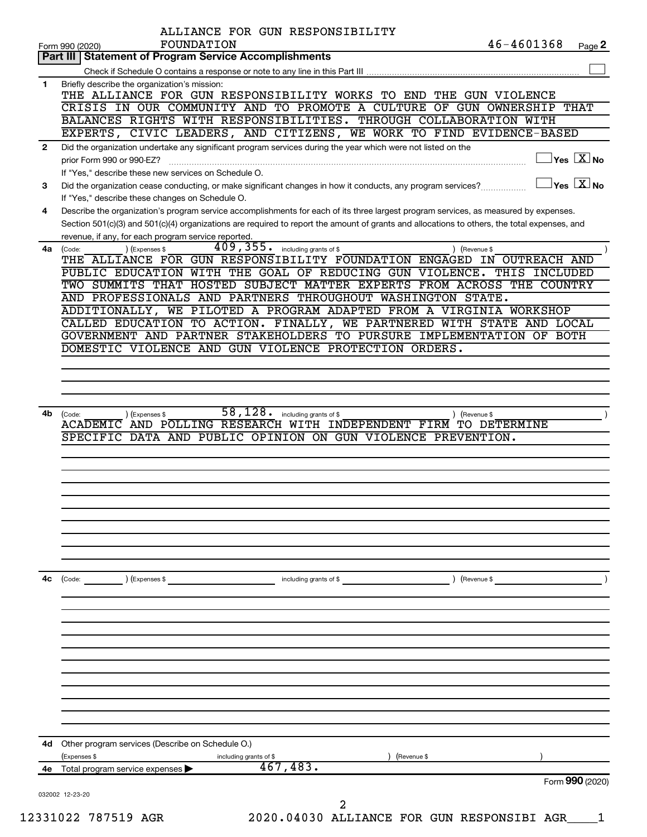|              | ALLIANCE FOR GUN RESPONSIBILITY                                                                                                                                                                     |
|--------------|-----------------------------------------------------------------------------------------------------------------------------------------------------------------------------------------------------|
|              | 46-4601368<br>FOUNDATION<br>Page 2<br>Form 990 (2020)                                                                                                                                               |
|              | Part III   Statement of Program Service Accomplishments                                                                                                                                             |
|              |                                                                                                                                                                                                     |
| 1            | Briefly describe the organization's mission:<br>THE ALLIANCE FOR GUN RESPONSIBILITY WORKS TO END<br>THE GUN VIOLENCE                                                                                |
|              | CRISIS IN OUR COMMUNITY AND TO PROMOTE A CULTURE<br>OF GUN OWNERSHIP<br>THAT                                                                                                                        |
|              | BALANCES RIGHTS WITH RESPONSIBILITIES. THROUGH COLLABORATION WITH                                                                                                                                   |
|              | EXPERTS, CIVIC LEADERS, AND CITIZENS, WE WORK TO FIND EVIDENCE-BASED                                                                                                                                |
| $\mathbf{2}$ | Did the organization undertake any significant program services during the year which were not listed on the                                                                                        |
|              | $Yes \quad X \overline{X}$ No<br>prior Form 990 or 990-EZ?                                                                                                                                          |
|              | If "Yes," describe these new services on Schedule O.                                                                                                                                                |
| 3            | $\exists$ Yes $\boxed{\text{X}}$ No<br>Did the organization cease conducting, or make significant changes in how it conducts, any program services?                                                 |
|              | If "Yes," describe these changes on Schedule O.                                                                                                                                                     |
| 4            | Describe the organization's program service accomplishments for each of its three largest program services, as measured by expenses.                                                                |
|              | Section 501(c)(3) and 501(c)(4) organizations are required to report the amount of grants and allocations to others, the total expenses, and<br>revenue, if any, for each program service reported. |
| 4a           | 409, 355. including grants of \$<br>) (Revenue \$<br>(Expenses \$<br>(Code:                                                                                                                         |
|              | THE ALLIANCE FOR GUN RESPONSIBILITY FOUNDATION ENGAGED IN OUTREACH AND                                                                                                                              |
|              | PUBLIC EDUCATION WITH THE GOAL OF REDUCING GUN<br>VIOLENCE.<br>THIS<br>INCLUDED                                                                                                                     |
|              | TWO SUMMITS THAT HOSTED SUBJECT MATTER EXPERTS FROM ACROSS THE COUNTRY                                                                                                                              |
|              | AND PROFESSIONALS AND PARTNERS THROUGHOUT WASHINGTON STATE.                                                                                                                                         |
|              | ADDITIONALLY, WE PILOTED A PROGRAM ADAPTED FROM A VIRGINIA WORKSHOP                                                                                                                                 |
|              | CALLED EDUCATION TO ACTION. FINALLY, WE PARTNERED WITH STATE AND LOCAL                                                                                                                              |
|              | GOVERNMENT AND PARTNER STAKEHOLDERS TO PURSURE IMPLEMENTATION OF BOTH                                                                                                                               |
|              | DOMESTIC VIOLENCE AND GUN VIOLENCE PROTECTION ORDERS.                                                                                                                                               |
|              |                                                                                                                                                                                                     |
|              |                                                                                                                                                                                                     |
|              |                                                                                                                                                                                                     |
| 4b           | 58,128.<br>including grants of \$<br>) (Revenue \$<br>(Code:<br>) (Expenses \$                                                                                                                      |
|              | ACADEMIC AND POLLING RESEARCH WITH INDEPENDENT FIRM TO DETERMINE                                                                                                                                    |
|              | SPECIFIC DATA AND PUBLIC OPINION ON GUN VIOLENCE PREVENTION.                                                                                                                                        |
|              |                                                                                                                                                                                                     |
|              |                                                                                                                                                                                                     |
|              |                                                                                                                                                                                                     |
|              |                                                                                                                                                                                                     |
|              |                                                                                                                                                                                                     |
|              |                                                                                                                                                                                                     |
|              |                                                                                                                                                                                                     |
|              |                                                                                                                                                                                                     |
|              |                                                                                                                                                                                                     |
| 4c           | ) (Revenue \$<br>$\left(\text{Code:}\right)$<br>) (Expenses \$<br>including grants of \$                                                                                                            |
|              |                                                                                                                                                                                                     |
|              |                                                                                                                                                                                                     |
|              |                                                                                                                                                                                                     |
|              |                                                                                                                                                                                                     |
|              |                                                                                                                                                                                                     |
|              |                                                                                                                                                                                                     |
|              |                                                                                                                                                                                                     |
|              |                                                                                                                                                                                                     |
|              |                                                                                                                                                                                                     |
|              |                                                                                                                                                                                                     |
| 4d           | Other program services (Describe on Schedule O.)                                                                                                                                                    |
|              | (Expenses \$<br>(Revenue \$<br>including grants of \$                                                                                                                                               |
|              | 467, 483.<br>4e Total program service expenses >                                                                                                                                                    |
|              | Form 990 (2020)                                                                                                                                                                                     |
|              | 032002 12-23-20                                                                                                                                                                                     |
|              | 2                                                                                                                                                                                                   |

12331022 787519 AGR 2020.04030 ALLIANCE FOR GUN RESPONSIBI AGR\_\_\_\_1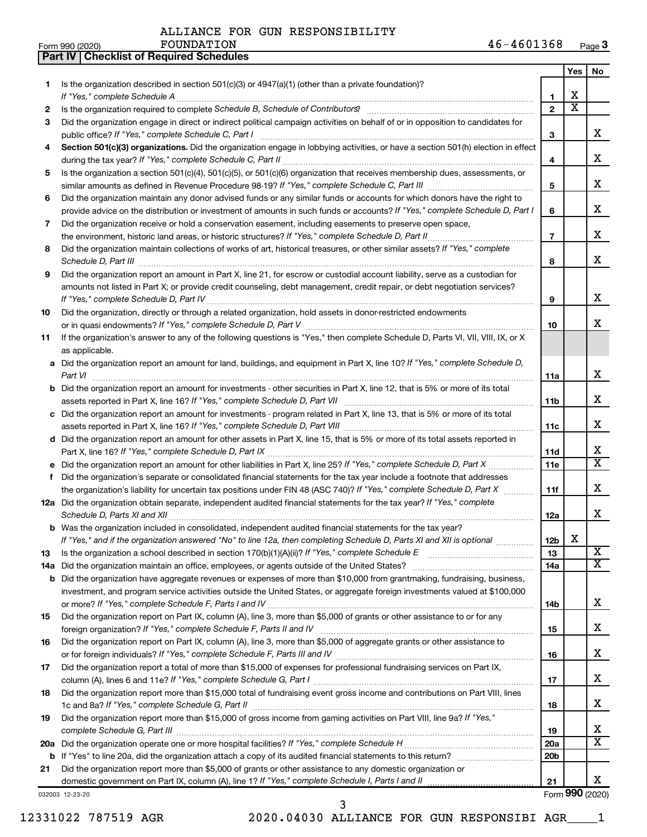**Part IV Checklist of Required Schedules**

|     |                                                                                                                                                    |                          | Yes                          | No                      |
|-----|----------------------------------------------------------------------------------------------------------------------------------------------------|--------------------------|------------------------------|-------------------------|
| 1.  | Is the organization described in section 501(c)(3) or 4947(a)(1) (other than a private foundation)?                                                |                          |                              |                         |
|     | If "Yes," complete Schedule A                                                                                                                      | 1                        | х<br>$\overline{\mathbf{X}}$ |                         |
| 2   |                                                                                                                                                    | $\mathbf{2}$             |                              |                         |
| 3   | Did the organization engage in direct or indirect political campaign activities on behalf of or in opposition to candidates for                    |                          |                              | X.                      |
|     | public office? If "Yes," complete Schedule C, Part I                                                                                               | 3                        |                              |                         |
| 4   | Section 501(c)(3) organizations. Did the organization engage in lobbying activities, or have a section 501(h) election in effect                   | 4                        |                              | х                       |
| 5   | Is the organization a section 501(c)(4), 501(c)(5), or 501(c)(6) organization that receives membership dues, assessments, or                       |                          |                              |                         |
|     |                                                                                                                                                    | 5                        |                              | x                       |
| 6   | Did the organization maintain any donor advised funds or any similar funds or accounts for which donors have the right to                          |                          |                              |                         |
|     | provide advice on the distribution or investment of amounts in such funds or accounts? If "Yes," complete Schedule D, Part I                       | 6                        |                              | x                       |
| 7   | Did the organization receive or hold a conservation easement, including easements to preserve open space,                                          |                          |                              |                         |
|     |                                                                                                                                                    | $\overline{\phantom{a}}$ |                              | x                       |
| 8   | Did the organization maintain collections of works of art, historical treasures, or other similar assets? If "Yes," complete                       |                          |                              |                         |
|     |                                                                                                                                                    | 8                        |                              | x                       |
| 9   | Did the organization report an amount in Part X, line 21, for escrow or custodial account liability, serve as a custodian for                      |                          |                              |                         |
|     | amounts not listed in Part X; or provide credit counseling, debt management, credit repair, or debt negotiation services?                          |                          |                              |                         |
|     |                                                                                                                                                    | 9                        |                              | x                       |
| 10  | Did the organization, directly or through a related organization, hold assets in donor-restricted endowments                                       |                          |                              |                         |
|     |                                                                                                                                                    | 10                       |                              | x                       |
| 11  | If the organization's answer to any of the following questions is "Yes," then complete Schedule D, Parts VI, VII, VIII, IX, or X<br>as applicable. |                          |                              |                         |
|     | a Did the organization report an amount for land, buildings, and equipment in Part X, line 10? If "Yes," complete Schedule D,                      |                          |                              |                         |
|     | Part VI                                                                                                                                            | 11a                      |                              | X                       |
| b   | Did the organization report an amount for investments - other securities in Part X, line 12, that is 5% or more of its total                       |                          |                              |                         |
|     |                                                                                                                                                    | 11b                      |                              | х                       |
|     | c Did the organization report an amount for investments - program related in Part X, line 13, that is 5% or more of its total                      |                          |                              |                         |
|     |                                                                                                                                                    | 11c                      |                              | x                       |
|     | d Did the organization report an amount for other assets in Part X, line 15, that is 5% or more of its total assets reported in                    |                          |                              |                         |
|     |                                                                                                                                                    | 11d                      |                              | х                       |
| е   | Did the organization report an amount for other liabilities in Part X, line 25? If "Yes," complete Schedule D, Part X manu-                        | 11c                      |                              | X                       |
| f   | Did the organization's separate or consolidated financial statements for the tax year include a footnote that addresses                            |                          |                              |                         |
|     | the organization's liability for uncertain tax positions under FIN 48 (ASC 740)? If "Yes," complete Schedule D, Part X                             | 11f                      |                              | х                       |
|     | 12a Did the organization obtain separate, independent audited financial statements for the tax year? If "Yes," complete                            |                          |                              |                         |
|     |                                                                                                                                                    | 12a                      |                              | x                       |
|     | b Was the organization included in consolidated, independent audited financial statements for the tax year?                                        |                          |                              |                         |
|     | If "Yes." and if the organization answered "No" to line 12a, then completing Schedule D. Parts XI and XII is optional                              | 12 <sub>b</sub>          | х                            | $\overline{\textbf{x}}$ |
| 13  |                                                                                                                                                    | 13                       |                              | x                       |
| 14a | Did the organization have aggregate revenues or expenses of more than \$10,000 from grantmaking, fundraising, business,                            | 14a                      |                              |                         |
| b   | investment, and program service activities outside the United States, or aggregate foreign investments valued at \$100,000                         |                          |                              |                         |
|     |                                                                                                                                                    | 14b                      |                              | x                       |
| 15  | Did the organization report on Part IX, column (A), line 3, more than \$5,000 of grants or other assistance to or for any                          |                          |                              |                         |
|     |                                                                                                                                                    | 15                       |                              | х                       |
| 16  | Did the organization report on Part IX, column (A), line 3, more than \$5,000 of aggregate grants or other assistance to                           |                          |                              |                         |
|     |                                                                                                                                                    | 16                       |                              | х                       |
| 17  | Did the organization report a total of more than \$15,000 of expenses for professional fundraising services on Part IX,                            |                          |                              |                         |
|     |                                                                                                                                                    | 17                       |                              | х                       |
| 18  | Did the organization report more than \$15,000 total of fundraising event gross income and contributions on Part VIII, lines                       |                          |                              | х                       |
|     |                                                                                                                                                    | 18                       |                              |                         |
| 19  | Did the organization report more than \$15,000 of gross income from gaming activities on Part VIII, line 9a? If "Yes,"                             | 19                       |                              | х                       |
| 20a |                                                                                                                                                    | <b>20a</b>               |                              | x                       |
|     |                                                                                                                                                    | 20 <sub>b</sub>          |                              |                         |
| 21  | Did the organization report more than \$5,000 of grants or other assistance to any domestic organization or                                        |                          |                              |                         |
|     |                                                                                                                                                    | 21                       |                              | x                       |
|     | 032003 12-23-20                                                                                                                                    |                          |                              | Form 990 (2020)         |

12331022 787519 AGR 2020.04030 ALLIANCE FOR GUN RESPONSIBI AGR\_\_\_\_1

3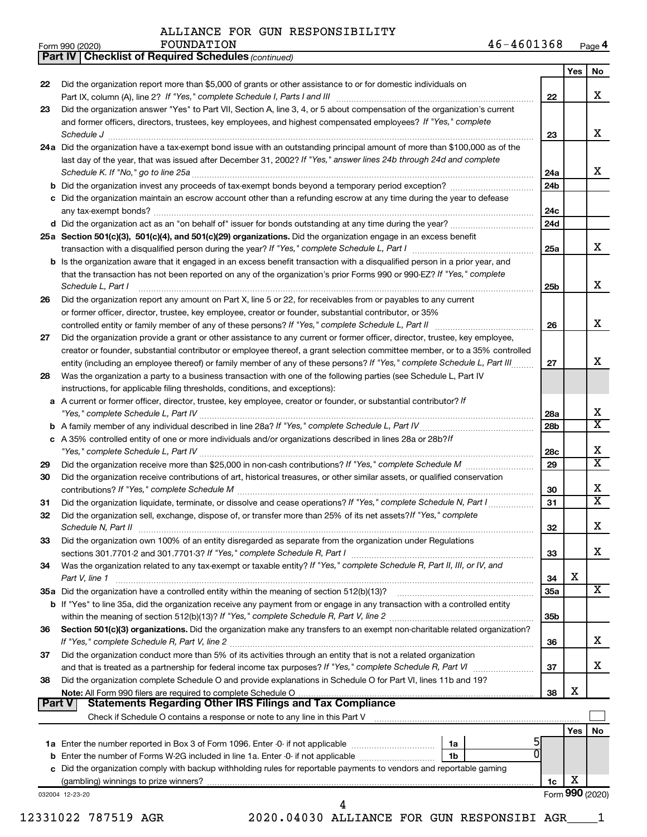*(continued)* **Part IV Checklist of Required Schedules**

|    |                                                                                                                                                                                                                                 |                 | Yes             | No |
|----|---------------------------------------------------------------------------------------------------------------------------------------------------------------------------------------------------------------------------------|-----------------|-----------------|----|
| 22 | Did the organization report more than \$5,000 of grants or other assistance to or for domestic individuals on<br>Part IX, column (A), line 2? If "Yes," complete Schedule I, Parts I and III [11]] [11]] [11] [11] [11] [11] [1 | 22              |                 | X  |
| 23 | Did the organization answer "Yes" to Part VII, Section A, line 3, 4, or 5 about compensation of the organization's current                                                                                                      |                 |                 |    |
|    | and former officers, directors, trustees, key employees, and highest compensated employees? If "Yes," complete                                                                                                                  | 23              |                 | X  |
|    | 24a Did the organization have a tax-exempt bond issue with an outstanding principal amount of more than \$100,000 as of the                                                                                                     |                 |                 |    |
|    | last day of the year, that was issued after December 31, 2002? If "Yes," answer lines 24b through 24d and complete                                                                                                              |                 |                 |    |
|    |                                                                                                                                                                                                                                 | 24a             |                 | X  |
|    |                                                                                                                                                                                                                                 | 24 <sub>b</sub> |                 |    |
|    | c Did the organization maintain an escrow account other than a refunding escrow at any time during the year to defease                                                                                                          |                 |                 |    |
|    |                                                                                                                                                                                                                                 | 24c<br>24d      |                 |    |
|    | 25a Section 501(c)(3), 501(c)(4), and 501(c)(29) organizations. Did the organization engage in an excess benefit                                                                                                                |                 |                 |    |
|    |                                                                                                                                                                                                                                 | 25a             |                 | x  |
|    | <b>b</b> Is the organization aware that it engaged in an excess benefit transaction with a disqualified person in a prior year, and                                                                                             |                 |                 |    |
|    | that the transaction has not been reported on any of the organization's prior Forms 990 or 990-EZ? If "Yes," complete<br>Schedule L, Part I                                                                                     | 25b             |                 | X  |
| 26 | Did the organization report any amount on Part X, line 5 or 22, for receivables from or payables to any current                                                                                                                 |                 |                 |    |
|    | or former officer, director, trustee, key employee, creator or founder, substantial contributor, or 35%                                                                                                                         |                 |                 |    |
|    |                                                                                                                                                                                                                                 | 26              |                 | X  |
| 27 | Did the organization provide a grant or other assistance to any current or former officer, director, trustee, key employee,                                                                                                     |                 |                 |    |
|    | creator or founder, substantial contributor or employee thereof, a grant selection committee member, or to a 35% controlled                                                                                                     |                 |                 | X  |
|    | entity (including an employee thereof) or family member of any of these persons? If "Yes," complete Schedule L, Part III                                                                                                        | 27              |                 |    |
| 28 | Was the organization a party to a business transaction with one of the following parties (see Schedule L, Part IV                                                                                                               |                 |                 |    |
|    | instructions, for applicable filing thresholds, conditions, and exceptions):<br>a A current or former officer, director, trustee, key employee, creator or founder, or substantial contributor? If                              |                 |                 |    |
|    |                                                                                                                                                                                                                                 | 28a             |                 | X  |
|    |                                                                                                                                                                                                                                 | 28 <sub>b</sub> |                 | х  |
|    | c A 35% controlled entity of one or more individuals and/or organizations described in lines 28a or 28b?/f                                                                                                                      |                 |                 |    |
|    |                                                                                                                                                                                                                                 | 28c             |                 | Х  |
| 29 |                                                                                                                                                                                                                                 | 29              |                 | х  |
| 30 | Did the organization receive contributions of art, historical treasures, or other similar assets, or qualified conservation                                                                                                     | 30              |                 | Х  |
| 31 | Did the organization liquidate, terminate, or dissolve and cease operations? If "Yes," complete Schedule N, Part I                                                                                                              | 31              |                 | х  |
| 32 | Did the organization sell, exchange, dispose of, or transfer more than 25% of its net assets? If "Yes," complete                                                                                                                | 32              |                 | Х  |
| 33 | Did the organization own 100% of an entity disregarded as separate from the organization under Regulations                                                                                                                      |                 |                 |    |
|    |                                                                                                                                                                                                                                 | 33              |                 | x  |
| 34 | Was the organization related to any tax-exempt or taxable entity? If "Yes," complete Schedule R, Part II, III, or IV, and<br>Part V, line 1                                                                                     | 34              | X               |    |
|    |                                                                                                                                                                                                                                 | 35a             |                 | X  |
|    | <b>b</b> If "Yes" to line 35a, did the organization receive any payment from or engage in any transaction with a controlled entity                                                                                              |                 |                 |    |
|    |                                                                                                                                                                                                                                 | 35b             |                 |    |
| 36 | Section 501(c)(3) organizations. Did the organization make any transfers to an exempt non-charitable related organization?                                                                                                      | 36              |                 | x  |
| 37 | Did the organization conduct more than 5% of its activities through an entity that is not a related organization                                                                                                                |                 |                 |    |
|    |                                                                                                                                                                                                                                 | 37              |                 | x  |
| 38 | Did the organization complete Schedule O and provide explanations in Schedule O for Part VI, lines 11b and 19?                                                                                                                  |                 |                 |    |
|    |                                                                                                                                                                                                                                 | 38              | X               |    |
|    | <b>Statements Regarding Other IRS Filings and Tax Compliance</b><br>Part V                                                                                                                                                      |                 |                 |    |
|    |                                                                                                                                                                                                                                 |                 |                 |    |
|    |                                                                                                                                                                                                                                 |                 | Yes             | No |
|    | 1a                                                                                                                                                                                                                              |                 |                 |    |
|    | 0<br>1b                                                                                                                                                                                                                         |                 |                 |    |
|    | c Did the organization comply with backup withholding rules for reportable payments to vendors and reportable gaming                                                                                                            |                 | X               |    |
|    |                                                                                                                                                                                                                                 | 1c              | Form 990 (2020) |    |
|    | 032004 12-23-20                                                                                                                                                                                                                 |                 |                 |    |
|    | 12331022 787519 AGR<br>2020.04030 ALLIANCE FOR GUN RESPONSIBI AGR                                                                                                                                                               |                 |                 |    |
|    |                                                                                                                                                                                                                                 |                 |                 |    |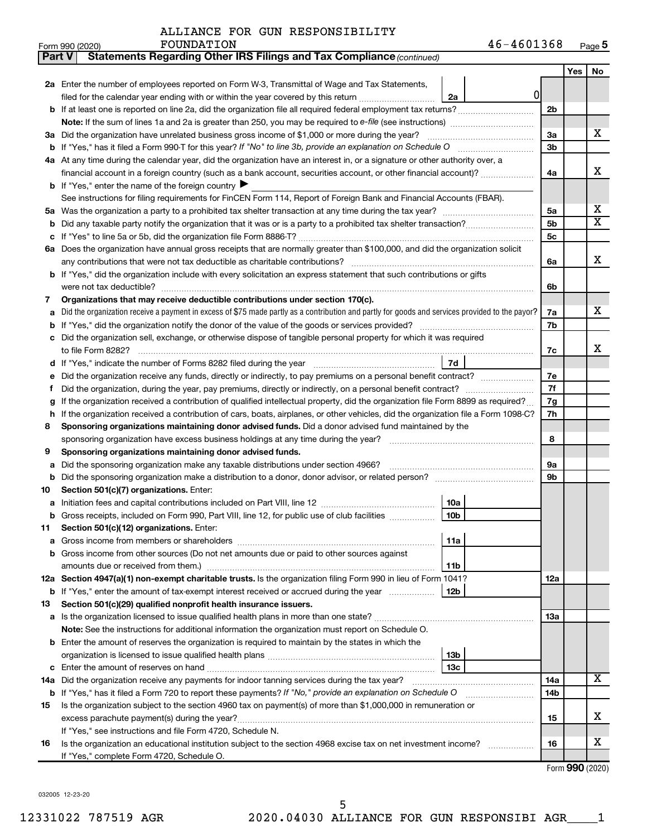|  |  |  | ALLIANCE FOR GUN RESPONSIBILITY |
|--|--|--|---------------------------------|
|--|--|--|---------------------------------|

| Part V | Statements Regarding Other IRS Filings and Tax Compliance (continued)                                                                           |                |     |                         |
|--------|-------------------------------------------------------------------------------------------------------------------------------------------------|----------------|-----|-------------------------|
|        |                                                                                                                                                 |                | Yes | No                      |
|        | 2a Enter the number of employees reported on Form W-3, Transmittal of Wage and Tax Statements,                                                  |                |     |                         |
|        | 0 <br>filed for the calendar year ending with or within the year covered by this return<br>2a                                                   |                |     |                         |
|        | b If at least one is reported on line 2a, did the organization file all required federal employment tax returns?                                | 2 <sub>b</sub> |     |                         |
|        |                                                                                                                                                 |                |     |                         |
|        | 3a Did the organization have unrelated business gross income of \$1,000 or more during the year?                                                | За             |     | х                       |
|        |                                                                                                                                                 | 3b             |     |                         |
|        | 4a At any time during the calendar year, did the organization have an interest in, or a signature or other authority over, a                    |                |     |                         |
|        | financial account in a foreign country (such as a bank account, securities account, or other financial account)?                                | 4a             |     | х                       |
|        | <b>b</b> If "Yes," enter the name of the foreign country $\blacktriangleright$                                                                  |                |     |                         |
|        | See instructions for filing requirements for FinCEN Form 114, Report of Foreign Bank and Financial Accounts (FBAR).                             |                |     |                         |
| 5a     |                                                                                                                                                 | 5a             |     | x                       |
| b      |                                                                                                                                                 | 5b             |     | $\overline{\textbf{x}}$ |
|        |                                                                                                                                                 | 5с             |     |                         |
|        | 6a Does the organization have annual gross receipts that are normally greater than \$100,000, and did the organization solicit                  |                |     |                         |
|        |                                                                                                                                                 | 6a             |     | х                       |
|        | b If "Yes," did the organization include with every solicitation an express statement that such contributions or gifts                          |                |     |                         |
|        | were not tax deductible?                                                                                                                        | 6b             |     |                         |
| 7      | Organizations that may receive deductible contributions under section 170(c).                                                                   |                |     |                         |
| a      | Did the organization receive a payment in excess of \$75 made partly as a contribution and partly for goods and services provided to the payor? | 7a             |     | х                       |
| b      |                                                                                                                                                 | 7b             |     |                         |
|        | Did the organization sell, exchange, or otherwise dispose of tangible personal property for which it was required                               |                |     |                         |
|        |                                                                                                                                                 | 7c             |     | х                       |
| d      | 7d                                                                                                                                              |                |     |                         |
|        | Did the organization receive any funds, directly or indirectly, to pay premiums on a personal benefit contract?                                 | 7e             |     |                         |
| f      |                                                                                                                                                 | 7f             |     |                         |
| g      | If the organization received a contribution of qualified intellectual property, did the organization file Form 8899 as required?                | 7g             |     |                         |
| h      | If the organization received a contribution of cars, boats, airplanes, or other vehicles, did the organization file a Form 1098-C?              | 7h             |     |                         |
| 8      | Sponsoring organizations maintaining donor advised funds. Did a donor advised fund maintained by the                                            |                |     |                         |
|        |                                                                                                                                                 | 8              |     |                         |
| 9      | Sponsoring organizations maintaining donor advised funds.                                                                                       |                |     |                         |
| а      | Did the sponsoring organization make any taxable distributions under section 4966?                                                              | 9а             |     |                         |
| b      | Did the sponsoring organization make a distribution to a donor, donor advisor, or related person?                                               | 9b             |     |                         |
| 10     | Section 501(c)(7) organizations. Enter:                                                                                                         |                |     |                         |
| а      | 10a                                                                                                                                             |                |     |                         |
|        | <b>b</b> Gross receipts, included on Form 990, Part VIII, line 12, for public use of club facilities <i>manumum</i><br>10b                      |                |     |                         |
| 11     | Section 501(c)(12) organizations. Enter:                                                                                                        |                |     |                         |
|        | 11a                                                                                                                                             |                |     |                         |
|        | Gross income from other sources (Do not net amounts due or paid to other sources against                                                        |                |     |                         |
|        | amounts due or received from them.)<br>11b                                                                                                      |                |     |                         |
|        | 12a Section 4947(a)(1) non-exempt charitable trusts. Is the organization filing Form 990 in lieu of Form 1041?                                  | 12a            |     |                         |
|        | 12b<br><b>b</b> If "Yes," enter the amount of tax-exempt interest received or accrued during the year                                           |                |     |                         |
| 13     | Section 501(c)(29) qualified nonprofit health insurance issuers.                                                                                |                |     |                         |
|        | a Is the organization licensed to issue qualified health plans in more than one state?                                                          | 13a            |     |                         |
|        | Note: See the instructions for additional information the organization must report on Schedule O.                                               |                |     |                         |
|        | <b>b</b> Enter the amount of reserves the organization is required to maintain by the states in which the                                       |                |     |                         |
|        | 13b<br>13c                                                                                                                                      |                |     |                         |
| c      | 14a Did the organization receive any payments for indoor tanning services during the tax year?                                                  | 14a            |     | x                       |
|        | <b>b</b> If "Yes," has it filed a Form 720 to report these payments? If "No," provide an explanation on Schedule O                              | 14b            |     |                         |
| 15     | Is the organization subject to the section 4960 tax on payment(s) of more than \$1,000,000 in remuneration or                                   |                |     |                         |
|        |                                                                                                                                                 | 15             |     | х                       |
|        | If "Yes," see instructions and file Form 4720, Schedule N.                                                                                      |                |     |                         |
| 16     | Is the organization an educational institution subject to the section 4968 excise tax on net investment income?                                 | 16             |     | x                       |
|        | If "Yes," complete Form 4720, Schedule O.                                                                                                       |                |     |                         |
|        |                                                                                                                                                 |                |     |                         |

Form (2020) **990**

032005 12-23-20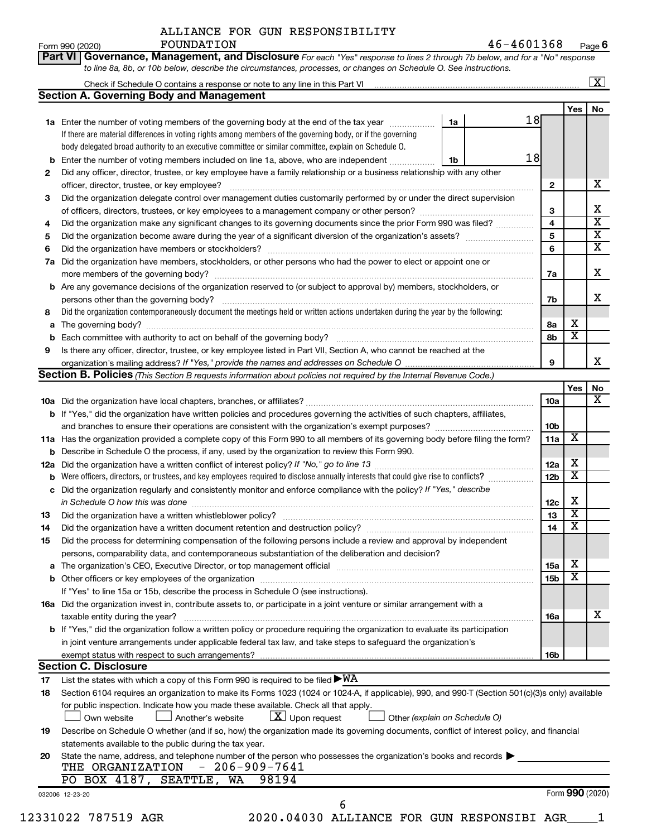**Part VI Governance, Management, and Disclosure** 

 $\frac{1}{2}$ Form 990 (2020) Page Page Product Product Product Product Product Page Page Page Page Page Product Product Product Product Product Product Product Product Product Product Product Product Product Product Product P **6** FOUNDATION 46-4601368

*For each "Yes" response to lines 2 through 7b below, and for a "No" response*

|    | <b>Section A. Governing Body and Management</b>                                                                                                                                                                                |    |                 |                         |                         |
|----|--------------------------------------------------------------------------------------------------------------------------------------------------------------------------------------------------------------------------------|----|-----------------|-------------------------|-------------------------|
|    |                                                                                                                                                                                                                                |    |                 | Yes                     | No                      |
|    | 1a Enter the number of voting members of the governing body at the end of the tax year <i>manumum</i>                                                                                                                          | 1a | 18              |                         |                         |
|    | If there are material differences in voting rights among members of the governing body, or if the governing                                                                                                                    |    |                 |                         |                         |
|    | body delegated broad authority to an executive committee or similar committee, explain on Schedule O.                                                                                                                          |    |                 |                         |                         |
| b  | Enter the number of voting members included on line 1a, above, who are independent <i></i>                                                                                                                                     | 1b | 18              |                         |                         |
| 2  | Did any officer, director, trustee, or key employee have a family relationship or a business relationship with any other                                                                                                       |    |                 |                         |                         |
|    | officer, director, trustee, or key employee?                                                                                                                                                                                   |    | $\mathbf{2}$    |                         | х                       |
| 3  | Did the organization delegate control over management duties customarily performed by or under the direct supervision                                                                                                          |    |                 |                         |                         |
|    |                                                                                                                                                                                                                                |    | 3               |                         | Χ                       |
| 4  | Did the organization make any significant changes to its governing documents since the prior Form 990 was filed?                                                                                                               |    | 4               |                         | $\overline{\mathbf{x}}$ |
| 5  |                                                                                                                                                                                                                                |    | 5               |                         | $\overline{\mathbf{X}}$ |
| 6  |                                                                                                                                                                                                                                |    | 6               |                         | $\overline{\mathbf{x}}$ |
| 7a | Did the organization have members, stockholders, or other persons who had the power to elect or appoint one or                                                                                                                 |    |                 |                         |                         |
|    |                                                                                                                                                                                                                                |    | 7a              |                         | X                       |
|    | <b>b</b> Are any governance decisions of the organization reserved to (or subject to approval by) members, stockholders, or                                                                                                    |    |                 |                         |                         |
|    |                                                                                                                                                                                                                                |    | 7b              |                         | x                       |
| 8  | Did the organization contemporaneously document the meetings held or written actions undertaken during the year by the following:                                                                                              |    |                 |                         |                         |
| a  |                                                                                                                                                                                                                                |    | 8a              | х                       |                         |
| b  |                                                                                                                                                                                                                                |    | 8b              | $\overline{\mathbf{X}}$ |                         |
| 9  |                                                                                                                                                                                                                                |    |                 |                         |                         |
|    | Is there any officer, director, trustee, or key employee listed in Part VII, Section A, who cannot be reached at the                                                                                                           |    | 9               |                         | х                       |
|    | <b>Section B. Policies</b> (This Section B requests information about policies not required by the Internal Revenue Code.)                                                                                                     |    |                 |                         |                         |
|    |                                                                                                                                                                                                                                |    |                 |                         |                         |
|    |                                                                                                                                                                                                                                |    |                 | Yes                     | No<br>х                 |
|    |                                                                                                                                                                                                                                |    | 10a             |                         |                         |
|    | <b>b</b> If "Yes," did the organization have written policies and procedures governing the activities of such chapters, affiliates,                                                                                            |    |                 |                         |                         |
|    |                                                                                                                                                                                                                                |    | 10 <sub>b</sub> |                         |                         |
|    | 11a Has the organization provided a complete copy of this Form 990 to all members of its governing body before filing the form?                                                                                                |    | 11a             | X                       |                         |
|    | <b>b</b> Describe in Schedule O the process, if any, used by the organization to review this Form 990.                                                                                                                         |    |                 |                         |                         |
|    |                                                                                                                                                                                                                                |    | 12a             | х                       |                         |
| b  | Were officers, directors, or trustees, and key employees required to disclose annually interests that could give rise to conflicts?                                                                                            |    | 12 <sub>b</sub> | $\overline{\mathbf{X}}$ |                         |
|    | c Did the organization regularly and consistently monitor and enforce compliance with the policy? If "Yes," describe                                                                                                           |    |                 |                         |                         |
|    |                                                                                                                                                                                                                                |    | 12c             | х                       |                         |
| 13 |                                                                                                                                                                                                                                |    | 13              | $\overline{\mathbf{X}}$ |                         |
| 14 |                                                                                                                                                                                                                                |    | 14              | $\overline{\mathbf{X}}$ |                         |
| 15 | Did the process for determining compensation of the following persons include a review and approval by independent                                                                                                             |    |                 |                         |                         |
|    | persons, comparability data, and contemporaneous substantiation of the deliberation and decision?                                                                                                                              |    |                 |                         |                         |
|    | a The organization's CEO, Executive Director, or top management official manufactured content content of the organization's CEO, Executive Director, or top management official manufactured content of the state of the conte |    | 15a             | х                       |                         |
|    |                                                                                                                                                                                                                                |    | 15 <sub>b</sub> | x                       |                         |
|    | If "Yes" to line 15a or 15b, describe the process in Schedule O (see instructions).                                                                                                                                            |    |                 |                         |                         |
|    | 16a Did the organization invest in, contribute assets to, or participate in a joint venture or similar arrangement with a                                                                                                      |    |                 |                         |                         |
|    | taxable entity during the year?                                                                                                                                                                                                |    | 16a             |                         | х                       |
|    |                                                                                                                                                                                                                                |    |                 |                         |                         |
|    |                                                                                                                                                                                                                                |    |                 |                         |                         |
|    | b If "Yes," did the organization follow a written policy or procedure requiring the organization to evaluate its participation                                                                                                 |    |                 |                         |                         |
|    | in joint venture arrangements under applicable federal tax law, and take steps to safeguard the organization's                                                                                                                 |    |                 |                         |                         |
|    | exempt status with respect to such arrangements?                                                                                                                                                                               |    | 16b             |                         |                         |
|    | <b>Section C. Disclosure</b>                                                                                                                                                                                                   |    |                 |                         |                         |
| 17 | List the states with which a copy of this Form 990 is required to be filed $\blacktriangleright\texttt{WA}$                                                                                                                    |    |                 |                         |                         |
| 18 | Section 6104 requires an organization to make its Forms 1023 (1024 or 1024-A, if applicable), 990, and 990-T (Section 501(c)(3)s only) available                                                                               |    |                 |                         |                         |
|    | for public inspection. Indicate how you made these available. Check all that apply.                                                                                                                                            |    |                 |                         |                         |
|    | $\lfloor x \rfloor$ Upon request<br>Own website<br>Another's website<br>Other (explain on Schedule O)                                                                                                                          |    |                 |                         |                         |
| 19 | Describe on Schedule O whether (and if so, how) the organization made its governing documents, conflict of interest policy, and financial                                                                                      |    |                 |                         |                         |
|    | statements available to the public during the tax year.                                                                                                                                                                        |    |                 |                         |                         |
| 20 | State the name, address, and telephone number of the person who possesses the organization's books and records                                                                                                                 |    |                 |                         |                         |
|    | $-206-909-7641$<br>THE ORGANIZATION                                                                                                                                                                                            |    |                 |                         |                         |
|    | PO BOX 4187, SEATTLE,<br>98194<br>WA                                                                                                                                                                                           |    |                 | Form 990 (2020)         |                         |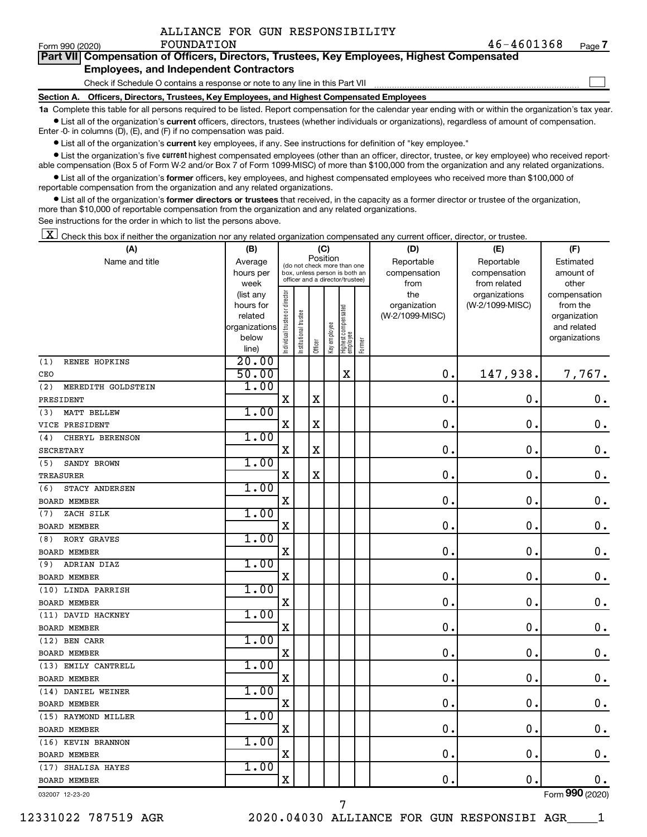$\Box$ 

| Form 990 (2020) |  | <b>FOUNDATION</b> |                                                      |                                                                                            | 46-4601368 | Page |
|-----------------|--|-------------------|------------------------------------------------------|--------------------------------------------------------------------------------------------|------------|------|
|                 |  |                   |                                                      | Part VII Compensation of Officers, Directors, Trustees, Key Employees, Highest Compensated |            |      |
|                 |  |                   | For all and the contribution and and America states. |                                                                                            |            |      |

#### **Employees, and Independent Contractors**

Check if Schedule O contains a response or note to any line in this Part VII

**Section A. Officers, Directors, Trustees, Key Employees, and Highest Compensated Employees**

**1a**  Complete this table for all persons required to be listed. Report compensation for the calendar year ending with or within the organization's tax year.  $\bullet$  List all of the organization's current officers, directors, trustees (whether individuals or organizations), regardless of amount of compensation.

Enter -0- in columns (D), (E), and (F) if no compensation was paid.

**•** List all of the organization's current key employees, if any. See instructions for definition of "key employee."

• List the organization's five *current* highest compensated employees (other than an officer, director, trustee, or key employee) who received reportable compensation (Box 5 of Form W-2 and/or Box 7 of Form 1099-MISC) of more than \$100,000 from the organization and any related organizations.

 $\bullet$  List all of the organization's former officers, key employees, and highest compensated employees who received more than \$100,000 of reportable compensation from the organization and any related organizations.

**•** List all of the organization's former directors or trustees that received, in the capacity as a former director or trustee of the organization, more than \$10,000 of reportable compensation from the organization and any related organizations.

See instructions for the order in which to list the persons above.

 $\boxed{\textbf{X}}$  Check this box if neither the organization nor any related organization compensated any current officer, director, or trustee.

| (A)                       | (B)                  |                               |                                                                  |             | (C)          |                                 |        | (D)                             | (E)              | (F)                      |
|---------------------------|----------------------|-------------------------------|------------------------------------------------------------------|-------------|--------------|---------------------------------|--------|---------------------------------|------------------|--------------------------|
| Name and title            | Average              |                               | (do not check more than one                                      |             | Position     |                                 |        | Reportable                      | Reportable       | Estimated                |
|                           | hours per            |                               | box, unless person is both an<br>officer and a director/trustee) |             |              |                                 |        | compensation                    | compensation     | amount of                |
|                           | week                 |                               |                                                                  |             |              |                                 |        | from                            | from related     | other                    |
|                           | (list any            | ndividual trustee or director |                                                                  |             |              |                                 |        | the                             | organizations    | compensation             |
|                           | hours for<br>related |                               |                                                                  |             |              |                                 |        | organization<br>(W-2/1099-MISC) | (W-2/1099-MISC)  | from the<br>organization |
|                           | organizations        |                               | nstitutional trustee                                             |             |              |                                 |        |                                 |                  | and related              |
|                           | below                |                               |                                                                  |             | Key employee |                                 |        |                                 |                  | organizations            |
|                           | line)                |                               |                                                                  | Officer     |              | Highest compensated<br>employee | Former |                                 |                  |                          |
| RENEE HOPKINS<br>(1)      | 20.00                |                               |                                                                  |             |              |                                 |        |                                 |                  |                          |
| CEO                       | 50.00                |                               |                                                                  |             |              | $\mathbf X$                     |        | 0.                              | 147,938.         | 7,767.                   |
| MEREDITH GOLDSTEIN<br>(2) | 1.00                 |                               |                                                                  |             |              |                                 |        |                                 |                  |                          |
| PRESIDENT                 |                      | $\mathbf X$                   |                                                                  | $\mathbf X$ |              |                                 |        | $\mathbf 0$ .                   | $\mathbf 0$ .    | $\mathbf 0$ .            |
| MATT BELLEW<br>(3)        | 1.00                 |                               |                                                                  |             |              |                                 |        |                                 |                  |                          |
| VICE PRESIDENT            |                      | X                             |                                                                  | $\mathbf X$ |              |                                 |        | 0.                              | $\pmb{0}$        | $\mathbf 0$ .            |
| CHERYL BERENSON<br>(4)    | 1.00                 |                               |                                                                  |             |              |                                 |        |                                 |                  |                          |
| SECRETARY                 |                      | X                             |                                                                  | $\mathbf X$ |              |                                 |        | $\mathbf 0$ .                   | $\boldsymbol{0}$ | $\mathbf 0$ .            |
| (5)<br>SANDY BROWN        | 1.00                 |                               |                                                                  |             |              |                                 |        |                                 |                  |                          |
| TREASURER                 |                      | X                             |                                                                  | $\mathbf X$ |              |                                 |        | $\mathbf 0$                     | $\mathbf 0$      | $\mathbf 0$ .            |
| STACY ANDERSEN<br>(6)     | 1.00                 |                               |                                                                  |             |              |                                 |        |                                 |                  |                          |
| <b>BOARD MEMBER</b>       |                      | X                             |                                                                  |             |              |                                 |        | $\mathbf 0$ .                   | $\mathbf 0$      | $\mathbf 0$ .            |
| ZACH SILK<br>(7)          | 1.00                 |                               |                                                                  |             |              |                                 |        |                                 |                  |                          |
| <b>BOARD MEMBER</b>       |                      | X                             |                                                                  |             |              |                                 |        | $\mathbf 0$                     | 0                | $\mathbf 0$ .            |
| RORY GRAVES<br>(8)        | 1.00                 |                               |                                                                  |             |              |                                 |        |                                 |                  |                          |
| <b>BOARD MEMBER</b>       |                      | X                             |                                                                  |             |              |                                 |        | $\mathbf 0$ .                   | $\mathbf 0$      | $\mathbf 0$ .            |
| ADRIAN DIAZ<br>(9)        | 1.00                 |                               |                                                                  |             |              |                                 |        |                                 |                  |                          |
| <b>BOARD MEMBER</b>       |                      | X                             |                                                                  |             |              |                                 |        | 0                               | $\mathbf 0$      | $\mathbf 0$ .            |
| (10) LINDA PARRISH        | 1.00                 |                               |                                                                  |             |              |                                 |        |                                 |                  |                          |
| <b>BOARD MEMBER</b>       |                      | $\mathbf X$                   |                                                                  |             |              |                                 |        | 0.                              | $\mathbf 0$      | $\mathbf 0$ .            |
| (11) DAVID HACKNEY        | 1.00                 |                               |                                                                  |             |              |                                 |        |                                 |                  |                          |
| <b>BOARD MEMBER</b>       |                      | $\mathbf X$                   |                                                                  |             |              |                                 |        | $\mathbf 0$                     | $\mathbf 0$      | $\mathbf 0$ .            |
| (12) BEN CARR             | 1.00                 |                               |                                                                  |             |              |                                 |        |                                 |                  |                          |
| BOARD MEMBER              |                      | $\mathbf X$                   |                                                                  |             |              |                                 |        | $\mathbf 0$ .                   | $\mathbf 0$      | $\mathbf 0$ .            |
| (13) EMILY CANTRELL       | 1.00                 |                               |                                                                  |             |              |                                 |        |                                 |                  |                          |
| <b>BOARD MEMBER</b>       |                      | X                             |                                                                  |             |              |                                 |        | $\mathbf 0$                     | $\mathbf 0$      | $\mathbf 0$ .            |
| (14) DANIEL WEINER        | 1.00                 |                               |                                                                  |             |              |                                 |        |                                 |                  |                          |
| <b>BOARD MEMBER</b>       |                      | X                             |                                                                  |             |              |                                 |        | $\mathbf 0$ .                   | $\mathbf 0$      | $0$ .                    |
| (15) RAYMOND MILLER       | 1.00                 |                               |                                                                  |             |              |                                 |        |                                 |                  |                          |
| <b>BOARD MEMBER</b>       |                      | X                             |                                                                  |             |              |                                 |        | $\mathbf 0$                     | $\mathbf 0$      | $\mathbf 0$ .            |
| (16) KEVIN BRANNON        | 1.00                 |                               |                                                                  |             |              |                                 |        |                                 |                  |                          |
| <b>BOARD MEMBER</b>       |                      | X                             |                                                                  |             |              |                                 |        | $\mathbf 0$ .                   | $\mathbf 0$      | $0$ .                    |
| (17) SHALISA HAYES        | 1.00                 |                               |                                                                  |             |              |                                 |        |                                 |                  |                          |
| <b>BOARD MEMBER</b>       |                      | X                             |                                                                  |             |              |                                 |        | $\mathbf 0$ .                   | $\mathbf 0$      | 0.                       |
| 032007 12-23-20           |                      |                               |                                                                  |             |              |                                 |        |                                 |                  | Form 990 (2020)          |

7

032007 12-23-20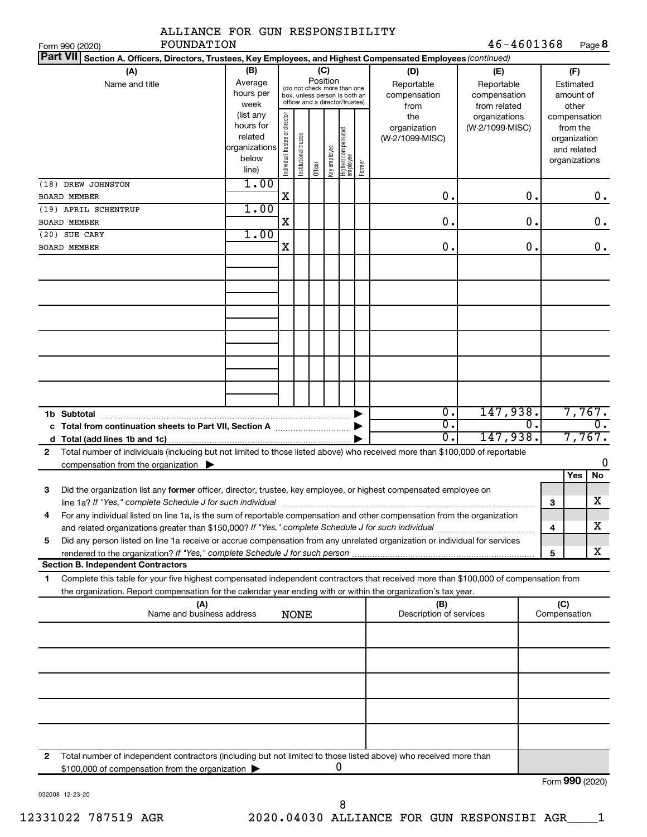| ALLIANCE FOR GUN RESPONSIBILITY                                                                                                                                                                                                                             |                                                                      |                                |                       |                 |              |                                                                                                 |        |                                           |                                                   |               |                     |                                                                          |
|-------------------------------------------------------------------------------------------------------------------------------------------------------------------------------------------------------------------------------------------------------------|----------------------------------------------------------------------|--------------------------------|-----------------------|-----------------|--------------|-------------------------------------------------------------------------------------------------|--------|-------------------------------------------|---------------------------------------------------|---------------|---------------------|--------------------------------------------------------------------------|
| FOUNDATION<br>Form 990 (2020)<br><b>Part VII</b>                                                                                                                                                                                                            |                                                                      |                                |                       |                 |              |                                                                                                 |        |                                           | 46-4601368                                        |               |                     | Page 8                                                                   |
| Section A. Officers, Directors, Trustees, Key Employees, and Highest Compensated Employees (continued)                                                                                                                                                      |                                                                      |                                |                       |                 |              |                                                                                                 |        |                                           |                                                   |               |                     |                                                                          |
| (A)<br>Name and title                                                                                                                                                                                                                                       | (B)<br>Average<br>hours per<br>week                                  |                                |                       | (C)<br>Position |              | (do not check more than one<br>box, unless person is both an<br>officer and a director/trustee) |        | (D)<br>Reportable<br>compensation<br>from | (E)<br>Reportable<br>compensation<br>from related |               |                     | (F)<br>Estimated<br>amount of<br>other                                   |
|                                                                                                                                                                                                                                                             | (list any<br>hours for<br>related<br>organizations<br>below<br>line) | Individual trustee or director | Institutional trustee | Officer         | Key employee | Highest compensated<br>employee                                                                 | Former | the<br>organization<br>(W-2/1099-MISC)    | organizations<br>(W-2/1099-MISC)                  |               |                     | compensation<br>from the<br>organization<br>and related<br>organizations |
| (18) DREW JOHNSTON<br><b>BOARD MEMBER</b>                                                                                                                                                                                                                   | 1.00                                                                 | $\mathbf X$                    |                       |                 |              |                                                                                                 |        | $\mathbf 0$ .                             |                                                   | 0.            |                     | 0.                                                                       |
| (19) APRIL SCHENTRUP                                                                                                                                                                                                                                        | 1.00                                                                 |                                |                       |                 |              |                                                                                                 |        |                                           |                                                   |               |                     |                                                                          |
| <b>BOARD MEMBER</b>                                                                                                                                                                                                                                         |                                                                      | X                              |                       |                 |              |                                                                                                 |        | $\mathbf 0$ .                             |                                                   | $\mathbf 0$ . |                     | $\mathbf 0$ .                                                            |
| (20) SUE CARY                                                                                                                                                                                                                                               | 1.00                                                                 |                                |                       |                 |              |                                                                                                 |        |                                           |                                                   |               |                     |                                                                          |
| <b>BOARD MEMBER</b>                                                                                                                                                                                                                                         |                                                                      | X                              |                       |                 |              |                                                                                                 |        | $\mathbf 0$ .                             |                                                   | 0.            |                     | $0$ .                                                                    |
|                                                                                                                                                                                                                                                             |                                                                      |                                |                       |                 |              |                                                                                                 |        |                                           |                                                   |               |                     |                                                                          |
|                                                                                                                                                                                                                                                             |                                                                      |                                |                       |                 |              |                                                                                                 |        |                                           |                                                   |               |                     |                                                                          |
|                                                                                                                                                                                                                                                             |                                                                      |                                |                       |                 |              |                                                                                                 |        |                                           |                                                   |               |                     |                                                                          |
|                                                                                                                                                                                                                                                             |                                                                      |                                |                       |                 |              |                                                                                                 |        |                                           |                                                   |               |                     |                                                                          |
|                                                                                                                                                                                                                                                             |                                                                      |                                |                       |                 |              |                                                                                                 |        |                                           |                                                   |               |                     |                                                                          |
| 1b Subtotal                                                                                                                                                                                                                                                 |                                                                      |                                |                       |                 |              |                                                                                                 |        | $\overline{0}$ .                          | 147,938.                                          |               |                     | 7,767.                                                                   |
|                                                                                                                                                                                                                                                             |                                                                      |                                |                       |                 |              |                                                                                                 |        | $\overline{0}$ .<br>σ.                    | 147,938.                                          | 0.            |                     | $\overline{0}$ .<br>7,767.                                               |
| Total number of individuals (including but not limited to those listed above) who received more than \$100,000 of reportable<br>$\mathbf{2}$                                                                                                                |                                                                      |                                |                       |                 |              |                                                                                                 |        |                                           |                                                   |               |                     |                                                                          |
| compensation from the organization $\blacktriangleright$                                                                                                                                                                                                    |                                                                      |                                |                       |                 |              |                                                                                                 |        |                                           |                                                   |               |                     | 0                                                                        |
| Did the organization list any former officer, director, trustee, key employee, or highest compensated employee on<br>з                                                                                                                                      |                                                                      |                                |                       |                 |              |                                                                                                 |        |                                           |                                                   |               |                     | No<br>Yes                                                                |
| line 1a? If "Yes," complete Schedule J for such individual manufactured content content from the content of the                                                                                                                                             |                                                                      |                                |                       |                 |              |                                                                                                 |        |                                           |                                                   |               | З                   | X                                                                        |
| For any individual listed on line 1a, is the sum of reportable compensation and other compensation from the organization<br>4                                                                                                                               |                                                                      |                                |                       |                 |              |                                                                                                 |        |                                           |                                                   |               |                     | x.                                                                       |
| Did any person listed on line 1a receive or accrue compensation from any unrelated organization or individual for services<br>5                                                                                                                             |                                                                      |                                |                       |                 |              |                                                                                                 |        |                                           |                                                   |               | 4                   |                                                                          |
|                                                                                                                                                                                                                                                             |                                                                      |                                |                       |                 |              |                                                                                                 |        |                                           |                                                   |               | 5                   | x                                                                        |
| <b>Section B. Independent Contractors</b>                                                                                                                                                                                                                   |                                                                      |                                |                       |                 |              |                                                                                                 |        |                                           |                                                   |               |                     |                                                                          |
| Complete this table for your five highest compensated independent contractors that received more than \$100,000 of compensation from<br>1<br>the organization. Report compensation for the calendar year ending with or within the organization's tax year. |                                                                      |                                |                       |                 |              |                                                                                                 |        |                                           |                                                   |               |                     |                                                                          |
| (A)<br>Name and business address                                                                                                                                                                                                                            |                                                                      |                                | <b>NONE</b>           |                 |              |                                                                                                 |        | (B)<br>Description of services            |                                                   |               | (C)<br>Compensation |                                                                          |
|                                                                                                                                                                                                                                                             |                                                                      |                                |                       |                 |              |                                                                                                 |        |                                           |                                                   |               |                     |                                                                          |
|                                                                                                                                                                                                                                                             |                                                                      |                                |                       |                 |              |                                                                                                 |        |                                           |                                                   |               |                     |                                                                          |
|                                                                                                                                                                                                                                                             |                                                                      |                                |                       |                 |              |                                                                                                 |        |                                           |                                                   |               |                     |                                                                          |
|                                                                                                                                                                                                                                                             |                                                                      |                                |                       |                 |              |                                                                                                 |        |                                           |                                                   |               |                     |                                                                          |
| Total number of independent contractors (including but not limited to those listed above) who received more than<br>2                                                                                                                                       |                                                                      |                                |                       |                 |              |                                                                                                 |        |                                           |                                                   |               |                     |                                                                          |
| \$100,000 of compensation from the organization                                                                                                                                                                                                             |                                                                      |                                |                       |                 |              | 0                                                                                               |        |                                           |                                                   |               |                     |                                                                          |
|                                                                                                                                                                                                                                                             |                                                                      |                                |                       |                 |              |                                                                                                 |        |                                           |                                                   |               |                     | Form 990 (2020)                                                          |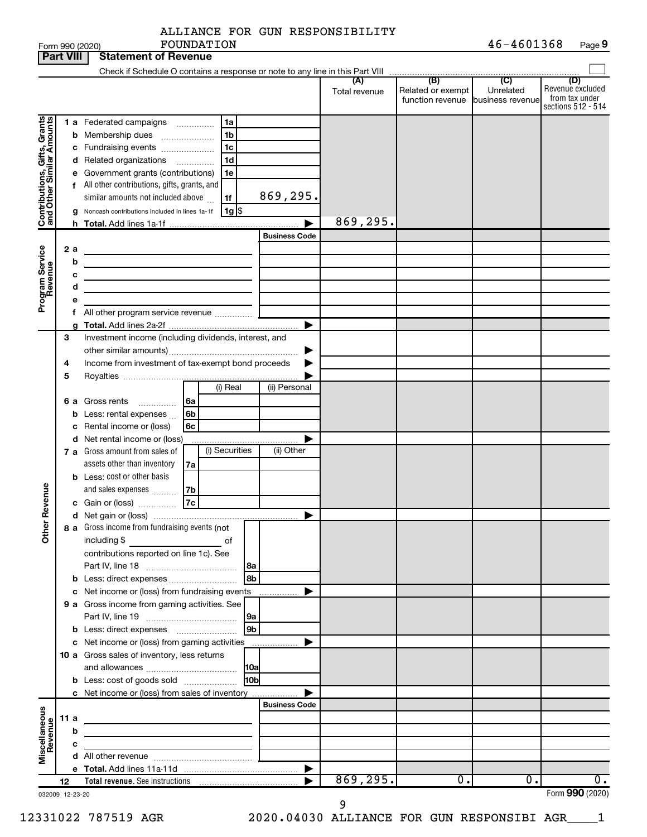|  | ALLIANCE FOR GUN RESPONSIBILITY |
|--|---------------------------------|
|  |                                 |

|                                                            | <b>Part VIII</b> |                            | <b>Statement of Revenue</b>                                                                                                                                                                                                                                                                                                                                                                                                                                                                        |                               |                                                        |                 |                                  |                      |                                                               |                             |                                                                 |
|------------------------------------------------------------|------------------|----------------------------|----------------------------------------------------------------------------------------------------------------------------------------------------------------------------------------------------------------------------------------------------------------------------------------------------------------------------------------------------------------------------------------------------------------------------------------------------------------------------------------------------|-------------------------------|--------------------------------------------------------|-----------------|----------------------------------|----------------------|---------------------------------------------------------------|-----------------------------|-----------------------------------------------------------------|
|                                                            |                  |                            |                                                                                                                                                                                                                                                                                                                                                                                                                                                                                                    |                               |                                                        |                 |                                  |                      |                                                               |                             |                                                                 |
|                                                            |                  |                            |                                                                                                                                                                                                                                                                                                                                                                                                                                                                                                    |                               |                                                        |                 |                                  | (A)<br>Total revenue | (B)<br>Related or exempt<br>function revenue business revenue | $\overline{C}$<br>Unrelated | (D)<br>Revenue excluded<br>from tax under<br>sections 512 - 514 |
| Contributions, Gifts, Grants<br>Program Service<br>Revenue | 2 a              | b<br>е<br>a<br>b<br>с<br>d | <b>1 a</b> Federated campaigns<br>Membership dues<br>c Fundraising events<br>d Related organizations<br>Government grants (contributions)<br>f All other contributions, gifts, grants, and<br>similar amounts not included above<br>Noncash contributions included in lines 1a-1f<br>the control of the control of the control of the control of the control of<br>the control of the control of the control of the control of the control of<br><u> 1980 - Johann Barbara, martxa alemaniar a</u> | $\overline{\phantom{a}}$<br>. | 1a<br>1b<br>1c<br>1d<br>1e<br>1f<br>$1g$ $\frac{1}{3}$ |                 | 869,295.<br><b>Business Code</b> | 869,295.             |                                                               |                             |                                                                 |
|                                                            |                  | е                          |                                                                                                                                                                                                                                                                                                                                                                                                                                                                                                    |                               |                                                        |                 |                                  |                      |                                                               |                             |                                                                 |
|                                                            |                  |                            | f All other program service revenue                                                                                                                                                                                                                                                                                                                                                                                                                                                                |                               |                                                        |                 |                                  |                      |                                                               |                             |                                                                 |
|                                                            |                  |                            |                                                                                                                                                                                                                                                                                                                                                                                                                                                                                                    |                               |                                                        |                 | ▶                                |                      |                                                               |                             |                                                                 |
|                                                            | 3<br>4<br>5      |                            | Investment income (including dividends, interest, and<br>Income from investment of tax-exempt bond proceeds                                                                                                                                                                                                                                                                                                                                                                                        |                               | (i) Real                                               |                 | (ii) Personal                    |                      |                                                               |                             |                                                                 |
|                                                            |                  |                            | <b>6 a</b> Gross rents<br>.                                                                                                                                                                                                                                                                                                                                                                                                                                                                        | l 6a                          |                                                        |                 |                                  |                      |                                                               |                             |                                                                 |
|                                                            |                  | b<br>с                     | Less: rental expenses<br>Rental income or (loss)<br>d Net rental income or (loss)                                                                                                                                                                                                                                                                                                                                                                                                                  | 6b<br>6с                      |                                                        |                 |                                  |                      |                                                               |                             |                                                                 |
|                                                            |                  |                            | 7 a Gross amount from sales of<br>assets other than inventory                                                                                                                                                                                                                                                                                                                                                                                                                                      | 7a                            | (i) Securities                                         |                 | (ii) Other                       |                      |                                                               |                             |                                                                 |
| Revenue<br>Ĕ                                               |                  |                            | <b>b</b> Less: cost or other basis<br>and sales expenses<br>c Gain or (loss)<br>8 a Gross income from fundraising events (not<br>including \$<br>contributions reported on line 1c). See                                                                                                                                                                                                                                                                                                           | 7b<br>7c                      | оf                                                     | l8a             | ▶                                |                      |                                                               |                             |                                                                 |
|                                                            |                  |                            |                                                                                                                                                                                                                                                                                                                                                                                                                                                                                                    |                               |                                                        | 8b              |                                  |                      |                                                               |                             |                                                                 |
|                                                            |                  |                            | c Net income or (loss) from fundraising events                                                                                                                                                                                                                                                                                                                                                                                                                                                     |                               |                                                        |                 | .                                |                      |                                                               |                             |                                                                 |
|                                                            |                  |                            | 9 a Gross income from gaming activities. See                                                                                                                                                                                                                                                                                                                                                                                                                                                       |                               |                                                        | 9a              |                                  |                      |                                                               |                             |                                                                 |
|                                                            |                  |                            | <b>b</b> Less: direct expenses <b>[1]</b> [1] [1] Less: direct expenses                                                                                                                                                                                                                                                                                                                                                                                                                            |                               |                                                        | 9 <sub>b</sub>  |                                  |                      |                                                               |                             |                                                                 |
|                                                            |                  |                            | c Net income or (loss) from gaming activities<br>10 a Gross sales of inventory, less returns                                                                                                                                                                                                                                                                                                                                                                                                       |                               |                                                        |                 |                                  |                      |                                                               |                             |                                                                 |
|                                                            |                  |                            | <b>b</b> Less: cost of goods sold                                                                                                                                                                                                                                                                                                                                                                                                                                                                  |                               |                                                        | H <sub>0b</sub> |                                  |                      |                                                               |                             |                                                                 |
|                                                            |                  |                            | c Net income or (loss) from sales of inventory                                                                                                                                                                                                                                                                                                                                                                                                                                                     |                               |                                                        |                 |                                  |                      |                                                               |                             |                                                                 |
| Miscellaneous<br>Revenue                                   | 11 a             | b<br>с                     | <u> 1980 - Johann Barbara, martin a bhann an t-Alban an t-Alban an t-Alban an t-Alban an t-Alban an t-Alban an t-Alban an t-Alban an t-Alban an t-Alban an t-Alban an t-Alban an t-Alban an t-Alban an t-Alban an t-Alban an t-A</u><br><u> 1980 - Johann Barbara, martxa alemaniar a</u>                                                                                                                                                                                                          |                               |                                                        |                 | <b>Business Code</b>             |                      |                                                               |                             |                                                                 |
|                                                            |                  |                            | the control of the control of the control of                                                                                                                                                                                                                                                                                                                                                                                                                                                       |                               |                                                        |                 |                                  |                      |                                                               |                             |                                                                 |
|                                                            |                  |                            |                                                                                                                                                                                                                                                                                                                                                                                                                                                                                                    |                               |                                                        |                 | $\blacktriangleright$            |                      |                                                               |                             |                                                                 |
|                                                            | 12               |                            |                                                                                                                                                                                                                                                                                                                                                                                                                                                                                                    |                               |                                                        |                 |                                  | 869, 295.            | $\overline{0}$ .                                              | 0.                          | $\overline{0}$ .                                                |
| 032009 12-23-20                                            |                  |                            |                                                                                                                                                                                                                                                                                                                                                                                                                                                                                                    |                               |                                                        |                 |                                  | 9                    |                                                               |                             | Form 990 (2020)                                                 |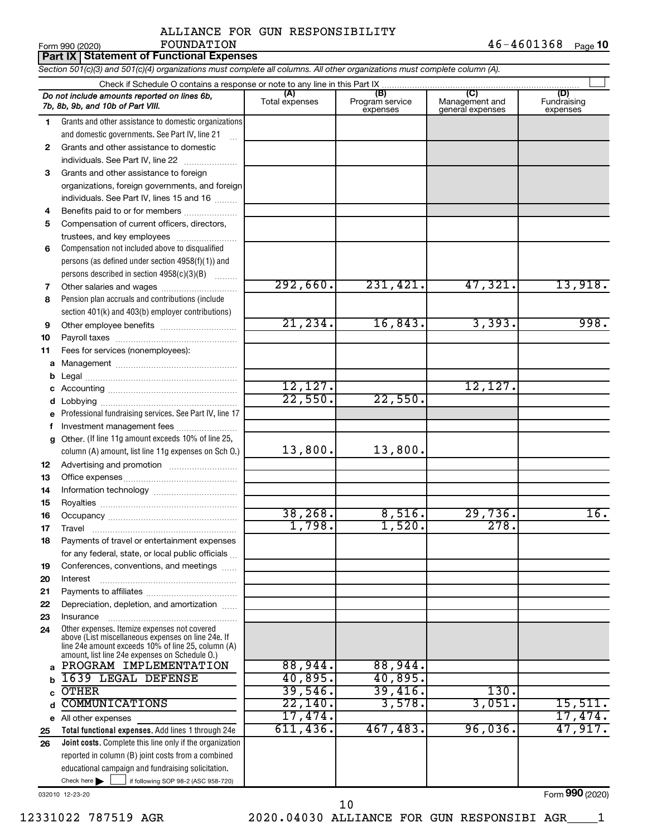|              |                                                                                                                                                    | AUUIANCE FOR GON RESFONSIBIUIII |                                    |                                           |                                |
|--------------|----------------------------------------------------------------------------------------------------------------------------------------------------|---------------------------------|------------------------------------|-------------------------------------------|--------------------------------|
|              | FOUNDATION<br>Form 990 (2020)                                                                                                                      |                                 |                                    |                                           | 46-4601368<br>Page 10          |
|              | <b>Part IX Statement of Functional Expenses</b>                                                                                                    |                                 |                                    |                                           |                                |
|              | Section 501(c)(3) and 501(c)(4) organizations must complete all columns. All other organizations must complete column (A).                         |                                 |                                    |                                           |                                |
|              |                                                                                                                                                    |                                 |                                    |                                           |                                |
|              | Do not include amounts reported on lines 6b,<br>7b, 8b, 9b, and 10b of Part VIII.                                                                  | Total expenses                  | (B)<br>Program service<br>expenses | (C)<br>Management and<br>general expenses | (D)<br>Fundraising<br>expenses |
| 1.           | Grants and other assistance to domestic organizations<br>and domestic governments. See Part IV, line 21                                            |                                 |                                    |                                           |                                |
| $\mathbf{2}$ | Grants and other assistance to domestic<br>individuals. See Part IV, line 22                                                                       |                                 |                                    |                                           |                                |
| 3            | Grants and other assistance to foreign<br>organizations, foreign governments, and foreign<br>individuals. See Part IV, lines 15 and 16             |                                 |                                    |                                           |                                |
| 4            | Benefits paid to or for members                                                                                                                    |                                 |                                    |                                           |                                |
| 5            | Compensation of current officers, directors,<br>trustees, and key employees                                                                        |                                 |                                    |                                           |                                |
| 6            | Compensation not included above to disqualified<br>persons (as defined under section 4958(f)(1)) and<br>persons described in section 4958(c)(3)(B) |                                 |                                    |                                           |                                |
| 7            |                                                                                                                                                    | 292,660.                        | 231,421.                           | 47,321.                                   | 13,918.                        |
| 8            | Pension plan accruals and contributions (include<br>section 401(k) and 403(b) employer contributions)                                              |                                 |                                    |                                           |                                |

**10 11** Payroll taxes ~~~~~~~~~~~~~~~~ Fees for services (nonemployees):

**9**

**a** Management ~~~~~~~~~~~~~~~~ **b c d** Legal ~~~~~~~~~~~~~~~~~~~~ Accounting ~~~~~~~~~~~~~~~~~ Lobbying ~~~~~~~~~~~~~~~~~~

**e f g 12** Professional fundraising services. See Part IV, line 17 Other. (If line 11g amount exceeds 10% of line 25, column (A) amount, list line 11g expenses on Sch O.) Investment management fees ....................... Advertising and promotion ...........................

Other employee benefits ~~~~~~~~~~

**13 14 15 16 17 18** Office expenses ~~~~~~~~~~~~~~~ Information technology ~~~~~~~~~~~ Royalties ~~~~~~~~~~~~~~~~~~ Occupancy ~~~~~~~~~~~~~~~~~ Travel ~~~~~~~~~~~~~~~~~~~ Payments of travel or entertainment expenses

**19 20 21 22** for any federal, state, or local public officials ... Conferences, conventions, and meetings Interest ~~~~~~~~~~~~~~~~~~ Payments to affiliates ~~~~~~~~~~~~ Depreciation, depletion, and amortization ......

**23 24 a b c d e** All other expenses **25** Other expenses. Itemize expenses not covered above (List miscellaneous expenses on line 24e. If line 24e amount exceeds 10% of line 25, column (A) amount, list line 24e expenses on Schedule O.) Insurance ~~~~~~~~~~~~~~~~~ PROGRAM IMPLEMENTATION 88,944. 88,944. 1639 LEGAL DEFENSE 40,895. 40,895. OTHER 29,546. 39,416. 130.

Check here if following SOP 98-2 (ASC 958-720)

**Total functional expenses.**  Add lines 1 through 24e **Joint costs.** Complete this line only if the organization reported in column (B) joint costs from a combined educational campaign and fundraising solicitation. COMMUNICATIONS 22,140. 3,578. 3,051. 15,511. 17,474. 17,474. 611,436. 467,483. 96,036. 47,917.

032010 12-23-20

**26**

Form (2020) **990**

12331022 787519 AGR 2020.04030 ALLIANCE FOR GUN RESPONSIBI AGR\_\_\_\_1

21,234. 16,843. 3,393. 998.

38,268. 8,516. 29,736. 16.

12,127. 12,127.

1,798. 1,520. 278.

 $22,550.$  22,550.

13,800. 13,800.

10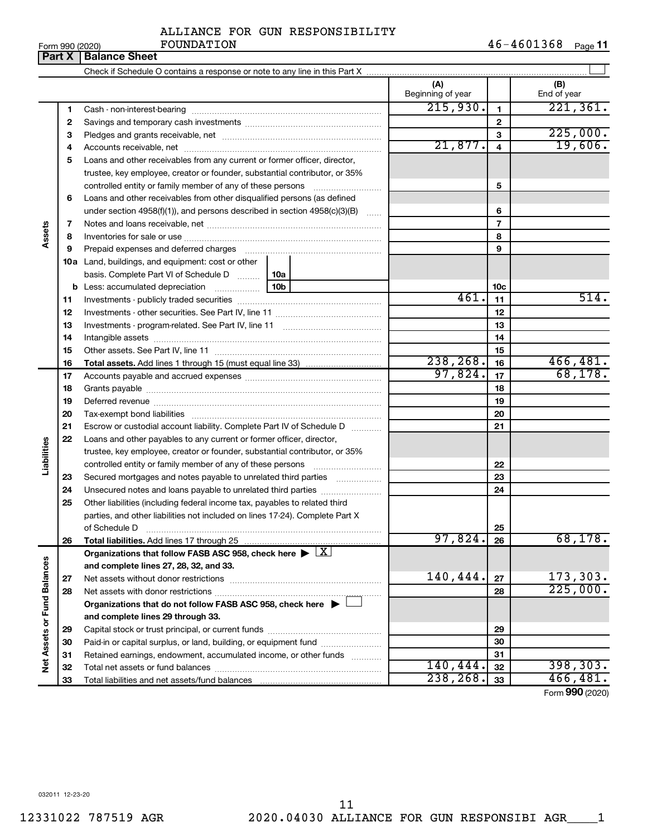| Form 990 (2020) |  |  |
|-----------------|--|--|

#### **Part X** | Balance Sheet  $\perp$ Check if Schedule O contains a response or note to any line in this Part X **(A) (B)** Beginning of year | | End of year  $215,930.$  1  $221,361.$ **1 1** Cash - non-interest-bearing ~~~~~~~~~~~~~~~~~~~~~~~~~ **2 2** Savings and temporary cash investments ~~~~~~~~~~~~~~~~~~ **3** 225,000. **3** Pledges and grants receivable, net ~~~~~~~~~~~~~~~~~~~~~  $21,877.$  4 19,606. **4 4** Accounts receivable, net ~~~~~~~~~~~~~~~~~~~~~~~~~~ **5** Loans and other receivables from any current or former officer, director, trustee, key employee, creator or founder, substantial contributor, or 35% controlled entity or family member of any of these persons  $\ldots$ ........................ **5 6** Loans and other receivables from other disqualified persons (as defined under section 4958(f)(1)), and persons described in section  $4958(c)(3)(B)$  ...... **6 7 7** Notes and loans receivable, net ~~~~~~~~~~~~~~~~~~~~~~~ **Assets 8 8** Inventories for sale or use ~~~~~~~~~~~~~~~~~~~~~~~~~~ **9 9** Prepaid expenses and deferred charges ~~~~~~~~~~~~~~~~~~ **10 a** Land, buildings, and equipment: cost or other basis. Complete Part VI of Schedule D  $\frac{1}{10}$  10a **10c b** Less: accumulated depreciation  $\ldots$  [10b]  $461.$   $11$  514. **11 11** Investments - publicly traded securities ~~~~~~~~~~~~~~~~~~~ **12 12** Investments - other securities. See Part IV, line 11 ~~~~~~~~~~~~~~ **13 13** Investments - program-related. See Part IV, line 11 ~~~~~~~~~~~~~ **14 14** Intangible assets ~~~~~~~~~~~~~~~~~~~~~~~~~~~~~~ Other assets. See Part IV, line 11 ~~~~~~~~~~~~~~~~~~~~~~ **15 15** 238,268. 466,481. **16 16 Total assets.**  Add lines 1 through 15 (must equal line 33) 97,824. 68,178. **17 17** Accounts payable and accrued expenses ~~~~~~~~~~~~~~~~~~ **18 18** Grants payable ~~~~~~~~~~~~~~~~~~~~~~~~~~~~~~~ **19 19** Deferred revenue ~~~~~~~~~~~~~~~~~~~~~~~~~~~~~~ **20 20** Tax-exempt bond liabilities ~~~~~~~~~~~~~~~~~~~~~~~~~ **21 21** Escrow or custodial account liability. Complete Part IV of Schedule D ........... **22** Loans and other payables to any current or former officer, director, **Liabilities** trustee, key employee, creator or founder, substantial contributor, or 35% **22** controlled entity or family member of any of these persons ~~~~~~~~~ **23** Secured mortgages and notes payable to unrelated third parties  $\ldots$ ................. **23 24** Unsecured notes and loans payable to unrelated third parties ~~~~~~~~ **24 25** Other liabilities (including federal income tax, payables to related third parties, and other liabilities not included on lines 17-24). Complete Part X of Schedule D ~~~~~~~~~~~~~~~~~~~~~~~~~~~~~~~ **25 26** 97,824. 68,178. **26 Total liabilities.**  Add lines 17 through 25 Organizations that follow FASB ASC 958, check here  $\blacktriangleright \boxed{\text{X}}$ Net Assets or Fund Balances **Net Assets or Fund Balances and complete lines 27, 28, 32, and 33.**  $140,444.$   $27$  | 173,303. **27 27** Net assets without donor restrictions ~~~~~~~~~~~~~~~~~~~~ 225,000. **28 28** Net assets with donor restrictions ~~~~~~~~~~~~~~~~~~~~~~ **Organizations that do not follow FASB ASC 958, check here** | † **and complete lines 29 through 33. 29 29** Capital stock or trust principal, or current funds ~~~~~~~~~~~~~~~ **30 30** Paid-in or capital surplus, or land, building, or equipment fund ....................... **31 31** Retained earnings, endowment, accumulated income, or other funds ............  $140, 444.$  32 398,303. Total net assets or fund balances ~~~~~~~~~~~~~~~~~~~~~~ **32 32**  $238, 268.$   $33$  466, 481. **33** Total liabilities and net assets/fund balances **33**

Form (2020) **990**

032011 12-23-20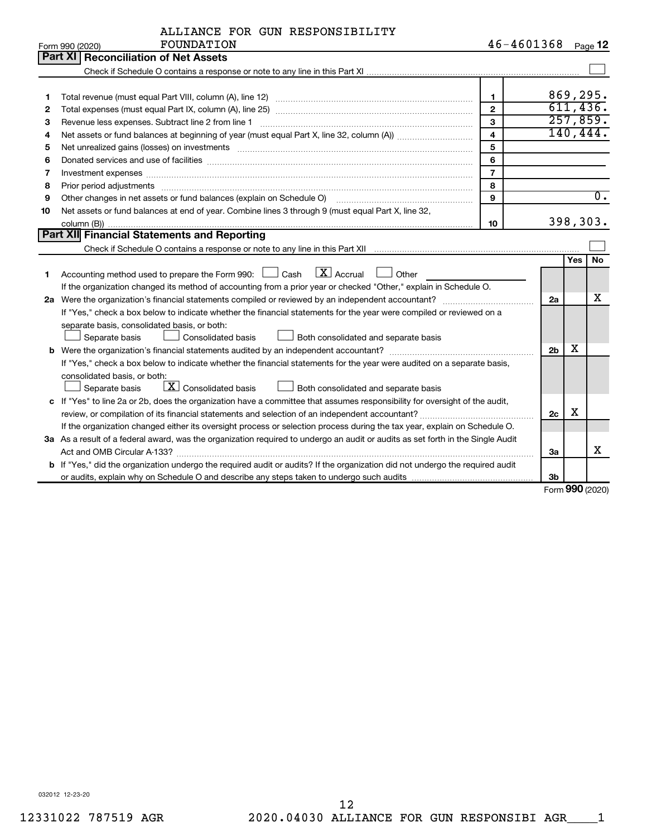|    | FOUNDATION<br>Form 990 (2020)                                                                                                                                                                                                  | 46-4601368              |                |            | Page 12          |
|----|--------------------------------------------------------------------------------------------------------------------------------------------------------------------------------------------------------------------------------|-------------------------|----------------|------------|------------------|
|    | Part XI Reconciliation of Net Assets                                                                                                                                                                                           |                         |                |            |                  |
|    |                                                                                                                                                                                                                                |                         |                |            |                  |
|    |                                                                                                                                                                                                                                |                         |                |            |                  |
| 1  |                                                                                                                                                                                                                                | $\mathbf{1}$            |                |            | 869,295.         |
| 2  |                                                                                                                                                                                                                                | $\overline{2}$          |                |            | 611,436.         |
| 3  |                                                                                                                                                                                                                                | 3                       |                |            | 257,859.         |
| 4  |                                                                                                                                                                                                                                | $\overline{\mathbf{4}}$ |                |            | 140, 444.        |
| 5  | Net unrealized gains (losses) on investments [11] matter contracts and the state of the state of the state of the state of the state of the state of the state of the state of the state of the state of the state of the stat | 5                       |                |            |                  |
| 6  |                                                                                                                                                                                                                                | 6                       |                |            |                  |
| 7  |                                                                                                                                                                                                                                | $\overline{7}$          |                |            |                  |
| 8  | Prior period adjustments www.communication.communication.communication.com/news-managements                                                                                                                                    | 8                       |                |            |                  |
| 9  | Other changes in net assets or fund balances (explain on Schedule O)                                                                                                                                                           | 9                       |                |            | $\overline{0}$ . |
| 10 | Net assets or fund balances at end of year. Combine lines 3 through 9 (must equal Part X, line 32,                                                                                                                             |                         |                |            |                  |
|    |                                                                                                                                                                                                                                | 10                      |                |            | 398,303.         |
|    | Part XII Financial Statements and Reporting                                                                                                                                                                                    |                         |                |            |                  |
|    |                                                                                                                                                                                                                                |                         |                |            |                  |
|    |                                                                                                                                                                                                                                |                         |                | <b>Yes</b> | No               |
| 1  | Accounting method used to prepare the Form 990: $\Box$ Cash $\Box$ Accrual $\Box$ Other                                                                                                                                        |                         |                |            |                  |
|    | If the organization changed its method of accounting from a prior year or checked "Other," explain in Schedule O.                                                                                                              |                         |                |            |                  |
|    |                                                                                                                                                                                                                                |                         | 2a             |            | х                |
|    | If "Yes," check a box below to indicate whether the financial statements for the year were compiled or reviewed on a                                                                                                           |                         |                |            |                  |
|    | separate basis, consolidated basis, or both:                                                                                                                                                                                   |                         |                |            |                  |
|    | Separate basis<br>Consolidated basis<br>Both consolidated and separate basis                                                                                                                                                   |                         |                |            |                  |
|    |                                                                                                                                                                                                                                |                         | 2 <sub>b</sub> | х          |                  |
|    | If "Yes," check a box below to indicate whether the financial statements for the year were audited on a separate basis,                                                                                                        |                         |                |            |                  |
|    | consolidated basis, or both:                                                                                                                                                                                                   |                         |                |            |                  |
|    | $\boxed{\textbf{X}}$ Consolidated basis<br>Both consolidated and separate basis<br>Separate basis                                                                                                                              |                         |                |            |                  |
|    | c If "Yes" to line 2a or 2b, does the organization have a committee that assumes responsibility for oversight of the audit,                                                                                                    |                         |                |            |                  |
|    |                                                                                                                                                                                                                                |                         | 2c             | х          |                  |
|    | If the organization changed either its oversight process or selection process during the tax year, explain on Schedule O.                                                                                                      |                         |                |            |                  |
|    | 3a As a result of a federal award, was the organization required to undergo an audit or audits as set forth in the Single Audit                                                                                                |                         |                |            |                  |
|    |                                                                                                                                                                                                                                |                         | За             |            | x                |
|    | <b>b</b> If "Yes," did the organization undergo the required audit or audits? If the organization did not undergo the required audit                                                                                           |                         |                |            |                  |
|    |                                                                                                                                                                                                                                |                         | 3b             |            |                  |

Form (2020) **990**

032012 12-23-20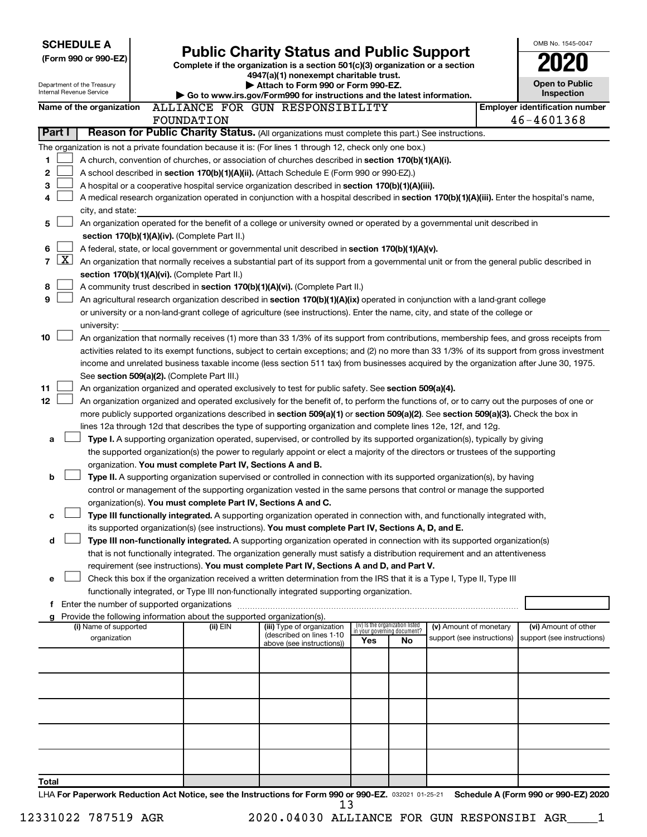|                                   | <b>SCHEDULE A</b>                             |  |                                                                          |                                                                                                                                                                                                                                                 |     |                                 |                                                      |  | OMB No. 1545-0047                                  |
|-----------------------------------|-----------------------------------------------|--|--------------------------------------------------------------------------|-------------------------------------------------------------------------------------------------------------------------------------------------------------------------------------------------------------------------------------------------|-----|---------------------------------|------------------------------------------------------|--|----------------------------------------------------|
| (Form 990 or 990-EZ)              |                                               |  |                                                                          | <b>Public Charity Status and Public Support</b>                                                                                                                                                                                                 |     |                                 |                                                      |  |                                                    |
|                                   |                                               |  |                                                                          | Complete if the organization is a section 501(c)(3) organization or a section<br>4947(a)(1) nonexempt charitable trust.                                                                                                                         |     |                                 |                                                      |  |                                                    |
| Internal Revenue Service          | Department of the Treasury                    |  |                                                                          | Attach to Form 990 or Form 990-EZ.                                                                                                                                                                                                              |     |                                 |                                                      |  | <b>Open to Public</b>                              |
|                                   |                                               |  |                                                                          | Go to www.irs.gov/Form990 for instructions and the latest information.                                                                                                                                                                          |     |                                 |                                                      |  | <b>Inspection</b>                                  |
|                                   | Name of the organization                      |  |                                                                          | ALLIANCE FOR GUN RESPONSIBILITY                                                                                                                                                                                                                 |     |                                 |                                                      |  | <b>Employer identification number</b>              |
| Part I                            |                                               |  | FOUNDATION                                                               | Reason for Public Charity Status. (All organizations must complete this part.) See instructions.                                                                                                                                                |     |                                 |                                                      |  | 46-4601368                                         |
|                                   |                                               |  |                                                                          |                                                                                                                                                                                                                                                 |     |                                 |                                                      |  |                                                    |
|                                   |                                               |  |                                                                          | The organization is not a private foundation because it is: (For lines 1 through 12, check only one box.)                                                                                                                                       |     |                                 |                                                      |  |                                                    |
| 1                                 |                                               |  |                                                                          | A church, convention of churches, or association of churches described in section 170(b)(1)(A)(i).                                                                                                                                              |     |                                 |                                                      |  |                                                    |
| 2                                 |                                               |  |                                                                          | A school described in section 170(b)(1)(A)(ii). (Attach Schedule E (Form 990 or 990-EZ).)                                                                                                                                                       |     |                                 |                                                      |  |                                                    |
| 3<br>4                            |                                               |  |                                                                          | A hospital or a cooperative hospital service organization described in section 170(b)(1)(A)(iii).                                                                                                                                               |     |                                 |                                                      |  |                                                    |
|                                   | city, and state:                              |  |                                                                          | A medical research organization operated in conjunction with a hospital described in section 170(b)(1)(A)(iii). Enter the hospital's name,                                                                                                      |     |                                 |                                                      |  |                                                    |
| 5                                 |                                               |  |                                                                          | An organization operated for the benefit of a college or university owned or operated by a governmental unit described in                                                                                                                       |     |                                 |                                                      |  |                                                    |
|                                   |                                               |  | section 170(b)(1)(A)(iv). (Complete Part II.)                            |                                                                                                                                                                                                                                                 |     |                                 |                                                      |  |                                                    |
| 6                                 |                                               |  |                                                                          | A federal, state, or local government or governmental unit described in section 170(b)(1)(A)(v).                                                                                                                                                |     |                                 |                                                      |  |                                                    |
| $\lfloor \texttt{X} \rfloor$<br>7 |                                               |  |                                                                          | An organization that normally receives a substantial part of its support from a governmental unit or from the general public described in                                                                                                       |     |                                 |                                                      |  |                                                    |
|                                   |                                               |  | section 170(b)(1)(A)(vi). (Complete Part II.)                            |                                                                                                                                                                                                                                                 |     |                                 |                                                      |  |                                                    |
| 8                                 |                                               |  |                                                                          | A community trust described in section 170(b)(1)(A)(vi). (Complete Part II.)                                                                                                                                                                    |     |                                 |                                                      |  |                                                    |
| 9                                 |                                               |  |                                                                          | An agricultural research organization described in section 170(b)(1)(A)(ix) operated in conjunction with a land-grant college                                                                                                                   |     |                                 |                                                      |  |                                                    |
|                                   |                                               |  |                                                                          | or university or a non-land-grant college of agriculture (see instructions). Enter the name, city, and state of the college or                                                                                                                  |     |                                 |                                                      |  |                                                    |
|                                   | university:                                   |  |                                                                          |                                                                                                                                                                                                                                                 |     |                                 |                                                      |  |                                                    |
| 10                                |                                               |  |                                                                          | An organization that normally receives (1) more than 33 1/3% of its support from contributions, membership fees, and gross receipts from                                                                                                        |     |                                 |                                                      |  |                                                    |
|                                   |                                               |  |                                                                          | activities related to its exempt functions, subject to certain exceptions; and (2) no more than 33 1/3% of its support from gross investment                                                                                                    |     |                                 |                                                      |  |                                                    |
|                                   |                                               |  |                                                                          | income and unrelated business taxable income (less section 511 tax) from businesses acquired by the organization after June 30, 1975.                                                                                                           |     |                                 |                                                      |  |                                                    |
|                                   |                                               |  | See section 509(a)(2). (Complete Part III.)                              |                                                                                                                                                                                                                                                 |     |                                 |                                                      |  |                                                    |
| 11                                |                                               |  |                                                                          | An organization organized and operated exclusively to test for public safety. See section 509(a)(4).                                                                                                                                            |     |                                 |                                                      |  |                                                    |
| 12                                |                                               |  |                                                                          | An organization organized and operated exclusively for the benefit of, to perform the functions of, or to carry out the purposes of one or                                                                                                      |     |                                 |                                                      |  |                                                    |
|                                   |                                               |  |                                                                          | more publicly supported organizations described in section 509(a)(1) or section 509(a)(2). See section 509(a)(3). Check the box in                                                                                                              |     |                                 |                                                      |  |                                                    |
|                                   |                                               |  |                                                                          | lines 12a through 12d that describes the type of supporting organization and complete lines 12e, 12f, and 12g.                                                                                                                                  |     |                                 |                                                      |  |                                                    |
| a                                 |                                               |  |                                                                          | Type I. A supporting organization operated, supervised, or controlled by its supported organization(s), typically by giving                                                                                                                     |     |                                 |                                                      |  |                                                    |
|                                   |                                               |  |                                                                          | the supported organization(s) the power to regularly appoint or elect a majority of the directors or trustees of the supporting                                                                                                                 |     |                                 |                                                      |  |                                                    |
|                                   |                                               |  | organization. You must complete Part IV, Sections A and B.               |                                                                                                                                                                                                                                                 |     |                                 |                                                      |  |                                                    |
| b                                 |                                               |  |                                                                          | Type II. A supporting organization supervised or controlled in connection with its supported organization(s), by having<br>control or management of the supporting organization vested in the same persons that control or manage the supported |     |                                 |                                                      |  |                                                    |
|                                   |                                               |  | organization(s). You must complete Part IV, Sections A and C.            |                                                                                                                                                                                                                                                 |     |                                 |                                                      |  |                                                    |
| с                                 |                                               |  |                                                                          | Type III functionally integrated. A supporting organization operated in connection with, and functionally integrated with,                                                                                                                      |     |                                 |                                                      |  |                                                    |
|                                   |                                               |  |                                                                          | its supported organization(s) (see instructions). You must complete Part IV, Sections A, D, and E.                                                                                                                                              |     |                                 |                                                      |  |                                                    |
| d                                 |                                               |  |                                                                          | Type III non-functionally integrated. A supporting organization operated in connection with its supported organization(s)                                                                                                                       |     |                                 |                                                      |  |                                                    |
|                                   |                                               |  |                                                                          | that is not functionally integrated. The organization generally must satisfy a distribution requirement and an attentiveness                                                                                                                    |     |                                 |                                                      |  |                                                    |
|                                   |                                               |  |                                                                          | requirement (see instructions). You must complete Part IV, Sections A and D, and Part V.                                                                                                                                                        |     |                                 |                                                      |  |                                                    |
| e                                 |                                               |  |                                                                          | Check this box if the organization received a written determination from the IRS that it is a Type I, Type II, Type III                                                                                                                         |     |                                 |                                                      |  |                                                    |
|                                   |                                               |  |                                                                          | functionally integrated, or Type III non-functionally integrated supporting organization.                                                                                                                                                       |     |                                 |                                                      |  |                                                    |
|                                   | f Enter the number of supported organizations |  |                                                                          |                                                                                                                                                                                                                                                 |     |                                 |                                                      |  |                                                    |
|                                   |                                               |  | g Provide the following information about the supported organization(s). |                                                                                                                                                                                                                                                 |     | (iv) Is the organization listed |                                                      |  |                                                    |
|                                   | (i) Name of supported<br>organization         |  | (ii) EIN                                                                 | (iii) Type of organization<br>(described on lines 1-10                                                                                                                                                                                          |     | in your governing document?     | (v) Amount of monetary<br>support (see instructions) |  | (vi) Amount of other<br>support (see instructions) |
|                                   |                                               |  |                                                                          | above (see instructions))                                                                                                                                                                                                                       | Yes | No.                             |                                                      |  |                                                    |
|                                   |                                               |  |                                                                          |                                                                                                                                                                                                                                                 |     |                                 |                                                      |  |                                                    |
|                                   |                                               |  |                                                                          |                                                                                                                                                                                                                                                 |     |                                 |                                                      |  |                                                    |
|                                   |                                               |  |                                                                          |                                                                                                                                                                                                                                                 |     |                                 |                                                      |  |                                                    |
|                                   |                                               |  |                                                                          |                                                                                                                                                                                                                                                 |     |                                 |                                                      |  |                                                    |
|                                   |                                               |  |                                                                          |                                                                                                                                                                                                                                                 |     |                                 |                                                      |  |                                                    |
|                                   |                                               |  |                                                                          |                                                                                                                                                                                                                                                 |     |                                 |                                                      |  |                                                    |
|                                   |                                               |  |                                                                          |                                                                                                                                                                                                                                                 |     |                                 |                                                      |  |                                                    |
|                                   |                                               |  |                                                                          |                                                                                                                                                                                                                                                 |     |                                 |                                                      |  |                                                    |
|                                   |                                               |  |                                                                          |                                                                                                                                                                                                                                                 |     |                                 |                                                      |  |                                                    |
| Total                             |                                               |  |                                                                          |                                                                                                                                                                                                                                                 |     |                                 |                                                      |  |                                                    |
|                                   |                                               |  |                                                                          | LHA For Paperwork Reduction Act Notice, see the Instructions for Form 990 or 990-EZ. 032021 01-25-21                                                                                                                                            |     |                                 |                                                      |  | Schedule A (Form 990 or 990-EZ) 2020               |
|                                   |                                               |  |                                                                          | 13                                                                                                                                                                                                                                              |     |                                 |                                                      |  |                                                    |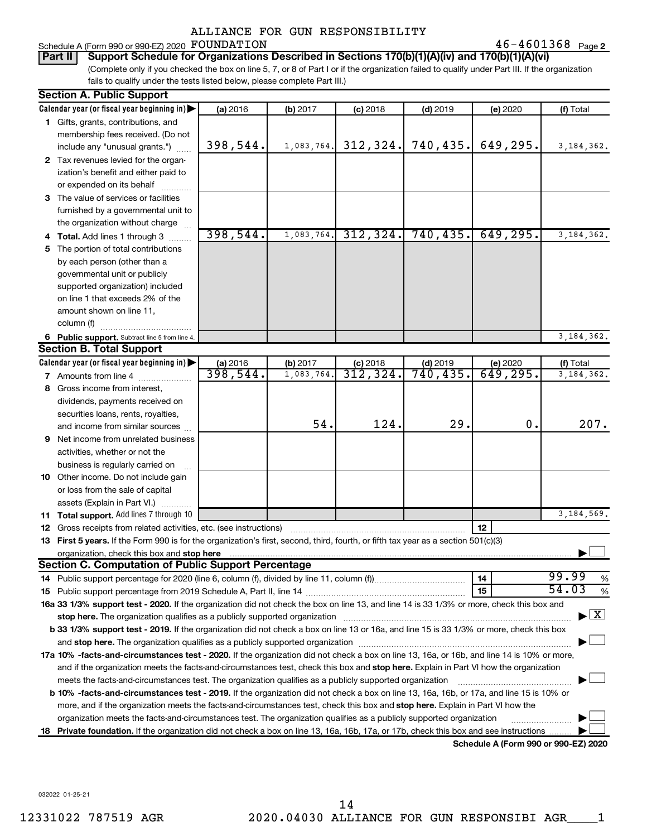#### Schedule A (Form 990 or 990-EZ) 2020 Page FOUNDATION 46-4601368

46-4601368 Page 2

(Complete only if you checked the box on line 5, 7, or 8 of Part I or if the organization failed to qualify under Part III. If the organization fails to qualify under the tests listed below, please complete Part III.) **Part II Support Schedule for Organizations Described in Sections 170(b)(1)(A)(iv) and 170(b)(1)(A)(vi)**

|    | <b>Section A. Public Support</b>                                                                                                                                                                                           |          |            |            |            |                                      |              |
|----|----------------------------------------------------------------------------------------------------------------------------------------------------------------------------------------------------------------------------|----------|------------|------------|------------|--------------------------------------|--------------|
|    | Calendar year (or fiscal year beginning in)                                                                                                                                                                                | (a) 2016 | (b) 2017   | $(c)$ 2018 | $(d)$ 2019 | (e) 2020                             | (f) Total    |
|    | 1 Gifts, grants, contributions, and                                                                                                                                                                                        |          |            |            |            |                                      |              |
|    | membership fees received. (Do not                                                                                                                                                                                          |          |            |            |            |                                      |              |
|    | include any "unusual grants.")                                                                                                                                                                                             | 398,544. | 1,083,764. | 312, 324.  | 740,435.   | 649,295.                             | 3, 184, 362. |
|    | 2 Tax revenues levied for the organ-                                                                                                                                                                                       |          |            |            |            |                                      |              |
|    | ization's benefit and either paid to                                                                                                                                                                                       |          |            |            |            |                                      |              |
|    | or expended on its behalf                                                                                                                                                                                                  |          |            |            |            |                                      |              |
|    | 3 The value of services or facilities                                                                                                                                                                                      |          |            |            |            |                                      |              |
|    | furnished by a governmental unit to                                                                                                                                                                                        |          |            |            |            |                                      |              |
|    | the organization without charge                                                                                                                                                                                            |          |            |            |            |                                      |              |
|    | 4 Total. Add lines 1 through 3                                                                                                                                                                                             | 398,544. | 1,083,764. | 312, 324.  | 740, 435.  | 649, 295.                            | 3, 184, 362. |
| 5. | The portion of total contributions                                                                                                                                                                                         |          |            |            |            |                                      |              |
|    | by each person (other than a                                                                                                                                                                                               |          |            |            |            |                                      |              |
|    | governmental unit or publicly                                                                                                                                                                                              |          |            |            |            |                                      |              |
|    | supported organization) included                                                                                                                                                                                           |          |            |            |            |                                      |              |
|    | on line 1 that exceeds 2% of the                                                                                                                                                                                           |          |            |            |            |                                      |              |
|    | amount shown on line 11,                                                                                                                                                                                                   |          |            |            |            |                                      |              |
|    | column (f)                                                                                                                                                                                                                 |          |            |            |            |                                      |              |
|    | 6 Public support. Subtract line 5 from line 4.                                                                                                                                                                             |          |            |            |            |                                      | 3, 184, 362. |
|    | <b>Section B. Total Support</b>                                                                                                                                                                                            |          |            |            |            |                                      |              |
|    | Calendar year (or fiscal year beginning in)                                                                                                                                                                                | (a) 2016 | (b) 2017   | $(c)$ 2018 | $(d)$ 2019 | (e) 2020                             | (f) Total    |
|    | 7 Amounts from line 4                                                                                                                                                                                                      | 398,544. | 1,083,764  | 312,324.   | 740, 435.  | 649, 295.                            | 3, 184, 362. |
| 8  | Gross income from interest,                                                                                                                                                                                                |          |            |            |            |                                      |              |
|    | dividends, payments received on                                                                                                                                                                                            |          |            |            |            |                                      |              |
|    | securities loans, rents, royalties,                                                                                                                                                                                        |          |            |            |            |                                      |              |
|    | and income from similar sources                                                                                                                                                                                            |          | 54.        | 124.       | 29.        | 0.                                   | 207.         |
|    | <b>9</b> Net income from unrelated business                                                                                                                                                                                |          |            |            |            |                                      |              |
|    | activities, whether or not the                                                                                                                                                                                             |          |            |            |            |                                      |              |
|    | business is regularly carried on                                                                                                                                                                                           |          |            |            |            |                                      |              |
|    | 10 Other income. Do not include gain                                                                                                                                                                                       |          |            |            |            |                                      |              |
|    | or loss from the sale of capital                                                                                                                                                                                           |          |            |            |            |                                      |              |
|    | assets (Explain in Part VI.)                                                                                                                                                                                               |          |            |            |            |                                      |              |
|    | 11 Total support. Add lines 7 through 10                                                                                                                                                                                   |          |            |            |            |                                      | 3,184,569.   |
|    | 12 Gross receipts from related activities, etc. (see instructions)                                                                                                                                                         |          |            |            |            | 12                                   |              |
|    | 13 First 5 years. If the Form 990 is for the organization's first, second, third, fourth, or fifth tax year as a section 501(c)(3)                                                                                         |          |            |            |            |                                      |              |
|    | organization, check this box and stop here                                                                                                                                                                                 |          |            |            |            |                                      |              |
|    | <b>Section C. Computation of Public Support Percentage</b>                                                                                                                                                                 |          |            |            |            |                                      |              |
|    |                                                                                                                                                                                                                            |          |            |            |            | 14                                   | 99.99<br>%   |
|    |                                                                                                                                                                                                                            |          |            |            |            | 15                                   | 54.03<br>%   |
|    | 16a 33 1/3% support test - 2020. If the organization did not check the box on line 13, and line 14 is 33 1/3% or more, check this box and                                                                                  |          |            |            |            |                                      |              |
|    | stop here. The organization qualifies as a publicly supported organization                                                                                                                                                 |          |            |            |            |                                      | $\mathbf{X}$ |
|    | b 33 1/3% support test - 2019. If the organization did not check a box on line 13 or 16a, and line 15 is 33 1/3% or more, check this box                                                                                   |          |            |            |            |                                      |              |
|    | and stop here. The organization qualifies as a publicly supported organization [11] manuscription manuscription manuscription manuscription and stop here. The organization qualifies as a publicly supported organization |          |            |            |            |                                      |              |
|    | 17a 10% -facts-and-circumstances test - 2020. If the organization did not check a box on line 13, 16a, or 16b, and line 14 is 10% or more,                                                                                 |          |            |            |            |                                      |              |
|    | and if the organization meets the facts-and-circumstances test, check this box and stop here. Explain in Part VI how the organization                                                                                      |          |            |            |            |                                      |              |
|    | meets the facts-and-circumstances test. The organization qualifies as a publicly supported organization                                                                                                                    |          |            |            |            |                                      |              |
|    | b 10% -facts-and-circumstances test - 2019. If the organization did not check a box on line 13, 16a, 16b, or 17a, and line 15 is 10% or                                                                                    |          |            |            |            |                                      |              |
|    | more, and if the organization meets the facts-and-circumstances test, check this box and stop here. Explain in Part VI how the                                                                                             |          |            |            |            |                                      |              |
|    | organization meets the facts-and-circumstances test. The organization qualifies as a publicly supported organization                                                                                                       |          |            |            |            |                                      |              |
| 18 | Private foundation. If the organization did not check a box on line 13, 16a, 16b, 17a, or 17b, check this box and see instructions                                                                                         |          |            |            |            |                                      |              |
|    |                                                                                                                                                                                                                            |          |            |            |            | Schedule A (Form 990 or 990-EZ) 2020 |              |

032022 01-25-21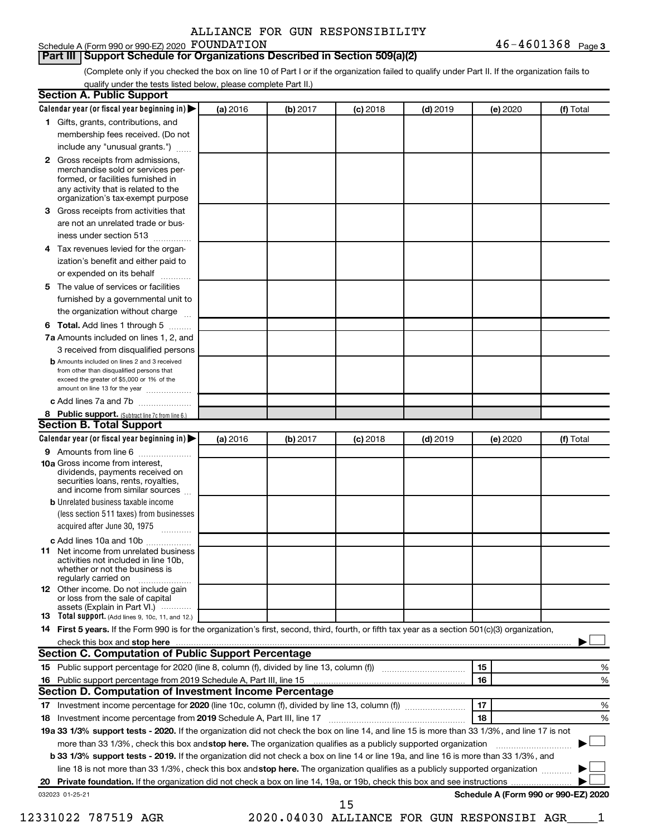#### Schedule A (Form 990 or 990-EZ) 2020 FOUNDATION

#### **Part III Support Schedule for Organizations Described in Section 509(a)(2)**

(Complete only if you checked the box on line 10 of Part I or if the organization failed to qualify under Part II. If the organization fails to qualify under the tests listed below, please complete Part II.)

| $\mathbf{2}$<br>3 | 1 Gifts, grants, contributions, and<br>membership fees received. (Do not<br>include any "unusual grants.")<br>Gross receipts from admissions,<br>merchandise sold or services per- |          |          |            |            |    |          |                                      |
|-------------------|------------------------------------------------------------------------------------------------------------------------------------------------------------------------------------|----------|----------|------------|------------|----|----------|--------------------------------------|
|                   |                                                                                                                                                                                    |          |          |            |            |    |          |                                      |
|                   |                                                                                                                                                                                    |          |          |            |            |    |          |                                      |
|                   |                                                                                                                                                                                    |          |          |            |            |    |          |                                      |
|                   | formed, or facilities furnished in<br>any activity that is related to the                                                                                                          |          |          |            |            |    |          |                                      |
|                   | organization's tax-exempt purpose                                                                                                                                                  |          |          |            |            |    |          |                                      |
|                   | Gross receipts from activities that                                                                                                                                                |          |          |            |            |    |          |                                      |
|                   | are not an unrelated trade or bus-                                                                                                                                                 |          |          |            |            |    |          |                                      |
|                   | iness under section 513                                                                                                                                                            |          |          |            |            |    |          |                                      |
| 4                 | Tax revenues levied for the organ-                                                                                                                                                 |          |          |            |            |    |          |                                      |
|                   | ization's benefit and either paid to<br>or expended on its behalf<br>.                                                                                                             |          |          |            |            |    |          |                                      |
| 5                 | The value of services or facilities                                                                                                                                                |          |          |            |            |    |          |                                      |
|                   | furnished by a governmental unit to                                                                                                                                                |          |          |            |            |    |          |                                      |
|                   | the organization without charge                                                                                                                                                    |          |          |            |            |    |          |                                      |
| 6                 | Total. Add lines 1 through 5                                                                                                                                                       |          |          |            |            |    |          |                                      |
|                   | 7a Amounts included on lines 1, 2, and                                                                                                                                             |          |          |            |            |    |          |                                      |
|                   | 3 received from disqualified persons                                                                                                                                               |          |          |            |            |    |          |                                      |
|                   | <b>b</b> Amounts included on lines 2 and 3 received<br>from other than disqualified persons that<br>exceed the greater of \$5,000 or 1% of the<br>amount on line 13 for the year   |          |          |            |            |    |          |                                      |
|                   | c Add lines 7a and 7b                                                                                                                                                              |          |          |            |            |    |          |                                      |
|                   | 8 Public support. (Subtract line 7c from line 6.)                                                                                                                                  |          |          |            |            |    |          |                                      |
|                   | <b>Section B. Total Support</b>                                                                                                                                                    |          |          |            |            |    |          |                                      |
|                   | Calendar year (or fiscal year beginning in)                                                                                                                                        | (a) 2016 | (b) 2017 | $(c)$ 2018 | $(d)$ 2019 |    | (e) 2020 | (f) Total                            |
|                   | 9 Amounts from line 6                                                                                                                                                              |          |          |            |            |    |          |                                      |
|                   | <b>10a</b> Gross income from interest,<br>dividends, payments received on<br>securities loans, rents, royalties,<br>and income from similar sources                                |          |          |            |            |    |          |                                      |
|                   | <b>b</b> Unrelated business taxable income                                                                                                                                         |          |          |            |            |    |          |                                      |
|                   | (less section 511 taxes) from businesses<br>acquired after June 30, 1975                                                                                                           |          |          |            |            |    |          |                                      |
|                   | c Add lines 10a and 10b                                                                                                                                                            |          |          |            |            |    |          |                                      |
| 11                | Net income from unrelated business<br>activities not included in line 10b.<br>whether or not the business is<br>regularly carried on                                               |          |          |            |            |    |          |                                      |
|                   | <b>12</b> Other income. Do not include gain<br>or loss from the sale of capital                                                                                                    |          |          |            |            |    |          |                                      |
|                   | assets (Explain in Part VI.)<br>13 Total support. (Add lines 9, 10c, 11, and 12.)                                                                                                  |          |          |            |            |    |          |                                      |
|                   | 14 First 5 years. If the Form 990 is for the organization's first, second, third, fourth, or fifth tax year as a section 501(c)(3) organization,                                   |          |          |            |            |    |          |                                      |
|                   |                                                                                                                                                                                    |          |          |            |            |    |          |                                      |
|                   | Section C. Computation of Public Support Percentage                                                                                                                                |          |          |            |            |    |          |                                      |
|                   |                                                                                                                                                                                    |          |          |            |            | 15 |          | %                                    |
|                   |                                                                                                                                                                                    |          |          |            |            | 16 |          | %                                    |
|                   | Section D. Computation of Investment Income Percentage                                                                                                                             |          |          |            |            |    |          |                                      |
|                   |                                                                                                                                                                                    |          |          |            |            | 17 |          | %                                    |
|                   |                                                                                                                                                                                    |          |          |            |            | 18 |          | %                                    |
|                   | 19a 33 1/3% support tests - 2020. If the organization did not check the box on line 14, and line 15 is more than 33 1/3%, and line 17 is not                                       |          |          |            |            |    |          |                                      |
|                   |                                                                                                                                                                                    |          |          |            |            |    |          |                                      |
|                   | more than 33 1/3%, check this box and stop here. The organization qualifies as a publicly supported organization                                                                   |          |          |            |            |    |          |                                      |
|                   | <b>b 33 1/3% support tests - 2019.</b> If the organization did not check a box on line 14 or line 19a, and line 16 is more than 33 1/3%, and                                       |          |          |            |            |    |          |                                      |
|                   | line 18 is not more than 33 1/3%, check this box and stop here. The organization qualifies as a publicly supported organization                                                    |          |          |            |            |    |          |                                      |
|                   | 032023 01-25-21                                                                                                                                                                    |          |          |            |            |    |          | Schedule A (Form 990 or 990-EZ) 2020 |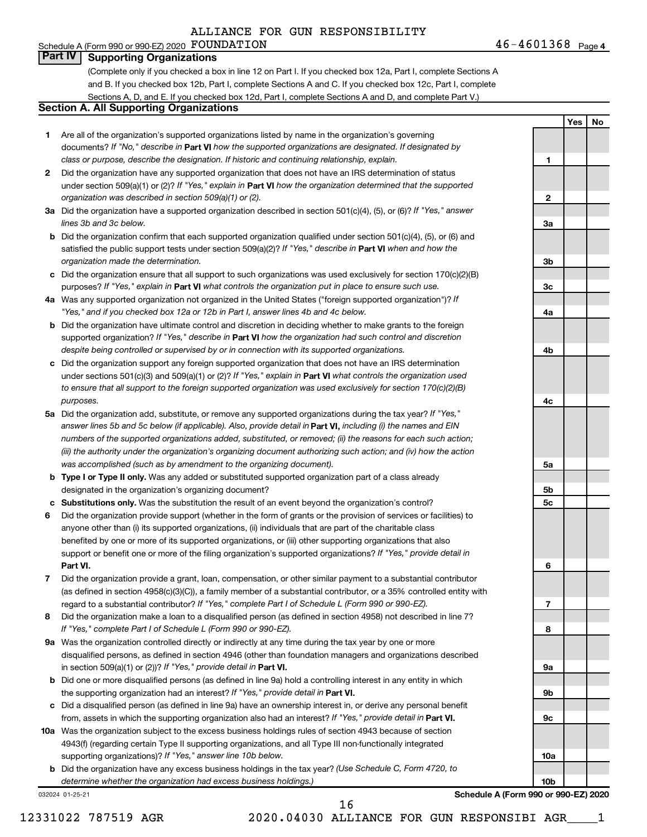#### 46-4601368 Page 4 Schedule A (Form 990 or 990-EZ) 2020 Page FOUNDATION 46-4601368

**1**

**2**

**3a**

**3b**

**3c**

**4a**

**4b**

**4c**

**5a**

**5b 5c** **Yes No**

#### **Part IV Supporting Organizations**

(Complete only if you checked a box in line 12 on Part I. If you checked box 12a, Part I, complete Sections A and B. If you checked box 12b, Part I, complete Sections A and C. If you checked box 12c, Part I, complete Sections A, D, and E. If you checked box 12d, Part I, complete Sections A and D, and complete Part V.)

#### **Section A. All Supporting Organizations**

- **1** Are all of the organization's supported organizations listed by name in the organization's governing documents? If "No," describe in Part VI how the supported organizations are designated. If designated by *class or purpose, describe the designation. If historic and continuing relationship, explain.*
- **2** Did the organization have any supported organization that does not have an IRS determination of status under section 509(a)(1) or (2)? If "Yes," explain in Part **VI** how the organization determined that the supported *organization was described in section 509(a)(1) or (2).*
- **3a** Did the organization have a supported organization described in section 501(c)(4), (5), or (6)? If "Yes," answer *lines 3b and 3c below.*
- **b** Did the organization confirm that each supported organization qualified under section 501(c)(4), (5), or (6) and satisfied the public support tests under section 509(a)(2)? If "Yes," describe in Part VI when and how the *organization made the determination.*
- **c** Did the organization ensure that all support to such organizations was used exclusively for section 170(c)(2)(B) purposes? If "Yes," explain in Part VI what controls the organization put in place to ensure such use.
- **4 a** *If* Was any supported organization not organized in the United States ("foreign supported organization")? *"Yes," and if you checked box 12a or 12b in Part I, answer lines 4b and 4c below.*
- **b** Did the organization have ultimate control and discretion in deciding whether to make grants to the foreign supported organization? If "Yes," describe in Part VI how the organization had such control and discretion *despite being controlled or supervised by or in connection with its supported organizations.*
- **c** Did the organization support any foreign supported organization that does not have an IRS determination under sections 501(c)(3) and 509(a)(1) or (2)? If "Yes," explain in Part VI what controls the organization used *to ensure that all support to the foreign supported organization was used exclusively for section 170(c)(2)(B) purposes.*
- **5a** Did the organization add, substitute, or remove any supported organizations during the tax year? If "Yes," answer lines 5b and 5c below (if applicable). Also, provide detail in **Part VI,** including (i) the names and EIN *numbers of the supported organizations added, substituted, or removed; (ii) the reasons for each such action; (iii) the authority under the organization's organizing document authorizing such action; and (iv) how the action was accomplished (such as by amendment to the organizing document).*
- **b** Type I or Type II only. Was any added or substituted supported organization part of a class already designated in the organization's organizing document?
- **c Substitutions only.**  Was the substitution the result of an event beyond the organization's control?
- **6** Did the organization provide support (whether in the form of grants or the provision of services or facilities) to **Part VI.** support or benefit one or more of the filing organization's supported organizations? If "Yes," provide detail in anyone other than (i) its supported organizations, (ii) individuals that are part of the charitable class benefited by one or more of its supported organizations, or (iii) other supporting organizations that also
- **7** Did the organization provide a grant, loan, compensation, or other similar payment to a substantial contributor regard to a substantial contributor? If "Yes," complete Part I of Schedule L (Form 990 or 990-EZ). (as defined in section 4958(c)(3)(C)), a family member of a substantial contributor, or a 35% controlled entity with
- **8** Did the organization make a loan to a disqualified person (as defined in section 4958) not described in line 7? *If "Yes," complete Part I of Schedule L (Form 990 or 990-EZ).*
- **9 a** Was the organization controlled directly or indirectly at any time during the tax year by one or more in section 509(a)(1) or (2))? If "Yes," provide detail in **Part VI.** disqualified persons, as defined in section 4946 (other than foundation managers and organizations described
- **b** Did one or more disqualified persons (as defined in line 9a) hold a controlling interest in any entity in which the supporting organization had an interest? If "Yes," provide detail in Part VI.
- **c** Did a disqualified person (as defined in line 9a) have an ownership interest in, or derive any personal benefit from, assets in which the supporting organization also had an interest? If "Yes," provide detail in Part VI.
- **10 a** Was the organization subject to the excess business holdings rules of section 4943 because of section supporting organizations)? If "Yes," answer line 10b below. 4943(f) (regarding certain Type II supporting organizations, and all Type III non-functionally integrated
	- **b** Did the organization have any excess business holdings in the tax year? (Use Schedule C, Form 4720, to *determine whether the organization had excess business holdings.)*

032024 01-25-21

**6 7 8 9a 9b 9c 10a 10b Schedule A (Form 990 or 990-EZ) 2020**

12331022 787519 AGR 2020.04030 ALLIANCE FOR GUN RESPONSIBI AGR\_\_\_\_1

16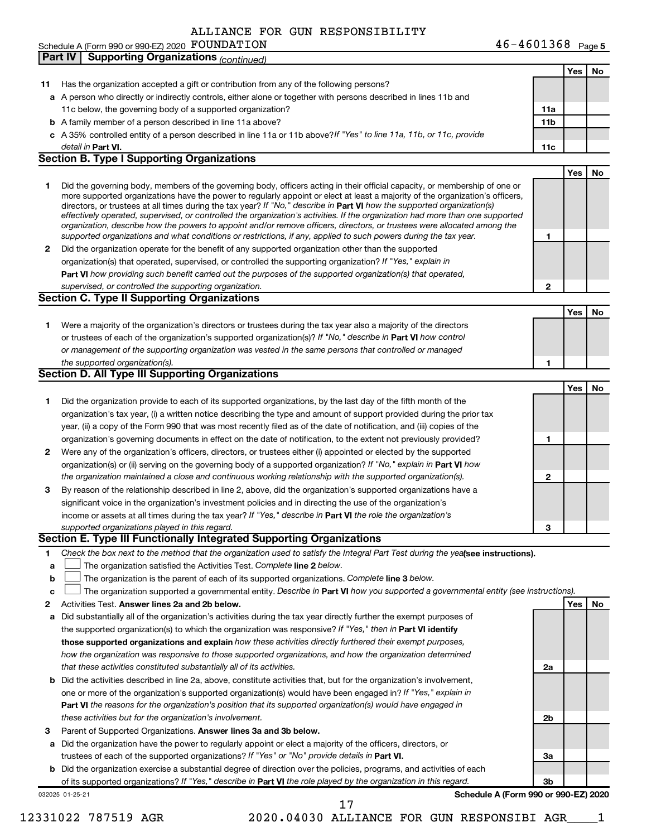of its supported organizations? If "Yes," describe in Part VI the role played by the organization in this regard.

032025 01-25-21

**Schedule A (Form 990 or 990-EZ) 2020**

**3b**

| 11 | Has the organization accepted a gift or contribution from any of the following persons?                                                                                                                                                                  |              |     |    |
|----|----------------------------------------------------------------------------------------------------------------------------------------------------------------------------------------------------------------------------------------------------------|--------------|-----|----|
|    | a A person who directly or indirectly controls, either alone or together with persons described in lines 11b and                                                                                                                                         |              |     |    |
|    | 11c below, the governing body of a supported organization?                                                                                                                                                                                               | 11a          |     |    |
|    | <b>b</b> A family member of a person described in line 11a above?                                                                                                                                                                                        | 11b          |     |    |
|    | c A 35% controlled entity of a person described in line 11a or 11b above? If "Yes" to line 11a, 11b, or 11c, provide                                                                                                                                     |              |     |    |
|    | detail in Part VI.                                                                                                                                                                                                                                       | 11c          |     |    |
|    | <b>Section B. Type I Supporting Organizations</b>                                                                                                                                                                                                        |              |     |    |
|    |                                                                                                                                                                                                                                                          |              | Yes | No |
| 1  | Did the governing body, members of the governing body, officers acting in their official capacity, or membership of one or                                                                                                                               |              |     |    |
|    | more supported organizations have the power to regularly appoint or elect at least a majority of the organization's officers,<br>directors, or trustees at all times during the tax year? If "No," describe in Part VI how the supported organization(s) |              |     |    |
|    | effectively operated, supervised, or controlled the organization's activities. If the organization had more than one supported                                                                                                                           |              |     |    |
|    | organization, describe how the powers to appoint and/or remove officers, directors, or trustees were allocated among the                                                                                                                                 |              |     |    |
|    | supported organizations and what conditions or restrictions, if any, applied to such powers during the tax year.                                                                                                                                         | 1            |     |    |
| 2  | Did the organization operate for the benefit of any supported organization other than the supported                                                                                                                                                      |              |     |    |
|    | organization(s) that operated, supervised, or controlled the supporting organization? If "Yes," explain in                                                                                                                                               |              |     |    |
|    | Part VI how providing such benefit carried out the purposes of the supported organization(s) that operated,                                                                                                                                              |              |     |    |
|    | supervised, or controlled the supporting organization.                                                                                                                                                                                                   | $\mathbf{2}$ |     |    |
|    | <b>Section C. Type II Supporting Organizations</b>                                                                                                                                                                                                       |              |     |    |
|    |                                                                                                                                                                                                                                                          |              | Yes | No |
| 1. | Were a majority of the organization's directors or trustees during the tax year also a majority of the directors                                                                                                                                         |              |     |    |
|    | or trustees of each of the organization's supported organization(s)? If "No," describe in Part VI how control                                                                                                                                            |              |     |    |
|    | or management of the supporting organization was vested in the same persons that controlled or managed                                                                                                                                                   |              |     |    |
|    | the supported organization(s).                                                                                                                                                                                                                           | 1            |     |    |
|    | <b>Section D. All Type III Supporting Organizations</b>                                                                                                                                                                                                  |              |     |    |
|    |                                                                                                                                                                                                                                                          |              | Yes | No |
| 1  | Did the organization provide to each of its supported organizations, by the last day of the fifth month of the                                                                                                                                           |              |     |    |
|    | organization's tax year, (i) a written notice describing the type and amount of support provided during the prior tax                                                                                                                                    |              |     |    |
|    | year, (ii) a copy of the Form 990 that was most recently filed as of the date of notification, and (iii) copies of the                                                                                                                                   |              |     |    |
|    | organization's governing documents in effect on the date of notification, to the extent not previously provided?                                                                                                                                         | 1            |     |    |
| 2  | Were any of the organization's officers, directors, or trustees either (i) appointed or elected by the supported                                                                                                                                         |              |     |    |
|    | organization(s) or (ii) serving on the governing body of a supported organization? If "No," explain in Part VI how                                                                                                                                       |              |     |    |
|    | the organization maintained a close and continuous working relationship with the supported organization(s).                                                                                                                                              | $\mathbf{2}$ |     |    |
| 3  | By reason of the relationship described in line 2, above, did the organization's supported organizations have a                                                                                                                                          |              |     |    |
|    | significant voice in the organization's investment policies and in directing the use of the organization's                                                                                                                                               |              |     |    |
|    | income or assets at all times during the tax year? If "Yes," describe in Part VI the role the organization's                                                                                                                                             |              |     |    |
|    | supported organizations played in this regard.                                                                                                                                                                                                           | 3            |     |    |
|    | Section E. Type III Functionally Integrated Supporting Organizations                                                                                                                                                                                     |              |     |    |
|    | Check the box next to the method that the organization used to satisfy the Integral Part Test during the yea (see instructions).                                                                                                                         |              |     |    |
| а  | The organization satisfied the Activities Test. Complete line 2 below.                                                                                                                                                                                   |              |     |    |
| b  | The organization is the parent of each of its supported organizations. Complete line 3 below.                                                                                                                                                            |              |     |    |
| c  | The organization supported a governmental entity. Describe in Part VI how you supported a governmental entity (see instructions).                                                                                                                        |              |     |    |
| 2  | Activities Test. Answer lines 2a and 2b below.                                                                                                                                                                                                           |              | Yes | No |
| а  | Did substantially all of the organization's activities during the tax year directly further the exempt purposes of                                                                                                                                       |              |     |    |
|    | the supported organization(s) to which the organization was responsive? If "Yes," then in Part VI identify                                                                                                                                               |              |     |    |
|    | those supported organizations and explain how these activities directly furthered their exempt purposes,                                                                                                                                                 |              |     |    |
|    | how the organization was responsive to those supported organizations, and how the organization determined                                                                                                                                                |              |     |    |
|    | that these activities constituted substantially all of its activities.                                                                                                                                                                                   | 2a           |     |    |
| b  | Did the activities described in line 2a, above, constitute activities that, but for the organization's involvement,                                                                                                                                      |              |     |    |
|    | one or more of the organization's supported organization(s) would have been engaged in? If "Yes," explain in                                                                                                                                             |              |     |    |
|    | Part VI the reasons for the organization's position that its supported organization(s) would have engaged in                                                                                                                                             |              |     |    |
|    | these activities but for the organization's involvement.                                                                                                                                                                                                 | 2b           |     |    |
| 3  | Parent of Supported Organizations. Answer lines 3a and 3b below.                                                                                                                                                                                         |              |     |    |
| а  | Did the organization have the power to regularly appoint or elect a majority of the officers, directors, or                                                                                                                                              |              |     |    |
|    | trustees of each of the supported organizations? If "Yes" or "No" provide details in Part VI.                                                                                                                                                            | За           |     |    |
|    | <b>b</b> Did the organization exercise a substantial degree of direction over the policies, programs, and activities of each                                                                                                                             |              |     |    |

12331022 787519 AGR 2020.04030 ALLIANCE FOR GUN RESPONSIBI AGR\_\_\_\_1

17

|  | ALLIANCE FOR GUN RESPONSIBILI |
|--|-------------------------------|

Schedule A (Form 990 or 990-EZ) 2020 FOUNDATION

**Part IV Supporting Organizations** *(continued)*

FOUNDATION 46-4601368  $_{\text{Page 5}}$ 

**Yes No**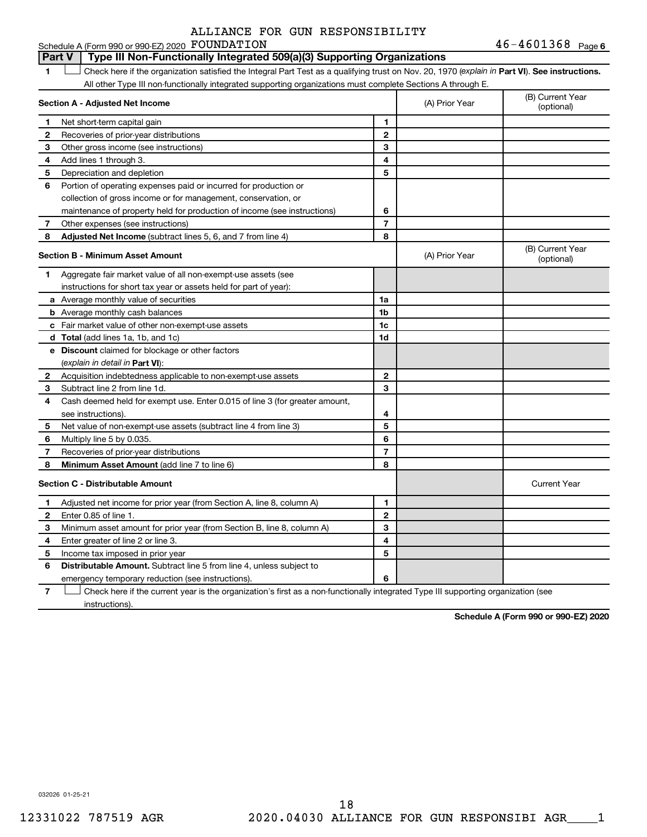46-4601368 Page 6 Schedule A (Form 990 or 990-EZ) 2020 Page FOUNDATION 46-4601368

#### **Part V Type III Non-Functionally Integrated 509(a)(3) Supporting Organizations**

1 **Letter See instructions.** Check here if the organization satisfied the Integral Part Test as a qualifying trust on Nov. 20, 1970 (*explain in* Part **VI**). See instructions. All other Type III non-functionally integrated supporting organizations must complete Sections A through E.

|    | Section A - Adjusted Net Income                                             | (A) Prior Year | (B) Current Year<br>(optional) |                                |
|----|-----------------------------------------------------------------------------|----------------|--------------------------------|--------------------------------|
| 1  | Net short-term capital gain                                                 | 1              |                                |                                |
| 2  | Recoveries of prior-year distributions                                      | $\overline{2}$ |                                |                                |
| 3  | Other gross income (see instructions)                                       | 3              |                                |                                |
| 4  | Add lines 1 through 3.                                                      | 4              |                                |                                |
| 5  | Depreciation and depletion                                                  | 5              |                                |                                |
| 6  | Portion of operating expenses paid or incurred for production or            |                |                                |                                |
|    | collection of gross income or for management, conservation, or              |                |                                |                                |
|    | maintenance of property held for production of income (see instructions)    | 6              |                                |                                |
| 7  | Other expenses (see instructions)                                           | $\overline{7}$ |                                |                                |
| 8  | Adjusted Net Income (subtract lines 5, 6, and 7 from line 4)                | 8              |                                |                                |
|    | <b>Section B - Minimum Asset Amount</b>                                     |                | (A) Prior Year                 | (B) Current Year<br>(optional) |
| 1. | Aggregate fair market value of all non-exempt-use assets (see               |                |                                |                                |
|    | instructions for short tax year or assets held for part of year):           |                |                                |                                |
|    | a Average monthly value of securities                                       | 1a             |                                |                                |
|    | <b>b</b> Average monthly cash balances                                      | 1b             |                                |                                |
|    | c Fair market value of other non-exempt-use assets                          | 1c             |                                |                                |
|    | <b>d</b> Total (add lines 1a, 1b, and 1c)                                   | 1d             |                                |                                |
|    | e Discount claimed for blockage or other factors                            |                |                                |                                |
|    | (explain in detail in Part VI):                                             |                |                                |                                |
| 2  | Acquisition indebtedness applicable to non-exempt-use assets                | $\mathbf{2}$   |                                |                                |
| З  | Subtract line 2 from line 1d.                                               | 3              |                                |                                |
| 4  | Cash deemed held for exempt use. Enter 0.015 of line 3 (for greater amount, |                |                                |                                |
|    | see instructions)                                                           | 4              |                                |                                |
| 5  | Net value of non-exempt-use assets (subtract line 4 from line 3)            | 5              |                                |                                |
| 6  | Multiply line 5 by 0.035.                                                   | 6              |                                |                                |
| 7  | Recoveries of prior-year distributions                                      | $\overline{7}$ |                                |                                |
| 8  | Minimum Asset Amount (add line 7 to line 6)                                 | 8              |                                |                                |
|    | <b>Section C - Distributable Amount</b>                                     |                |                                | <b>Current Year</b>            |
| 1  | Adjusted net income for prior year (from Section A, line 8, column A)       | 1              |                                |                                |
| 2  | Enter 0.85 of line 1.                                                       | $\mathbf{2}$   |                                |                                |
| З  | Minimum asset amount for prior year (from Section B, line 8, column A)      | 3              |                                |                                |
| 4  | Enter greater of line 2 or line 3.                                          | 4              |                                |                                |
| 5  | Income tax imposed in prior year                                            | 5              |                                |                                |
| 6  | Distributable Amount. Subtract line 5 from line 4, unless subject to        |                |                                |                                |
|    | emergency temporary reduction (see instructions).                           | 6              |                                |                                |
|    |                                                                             |                |                                |                                |

**7** Let Check here if the current year is the organization's first as a non-functionally integrated Type III supporting organization (see instructions).

**Schedule A (Form 990 or 990-EZ) 2020**

032026 01-25-21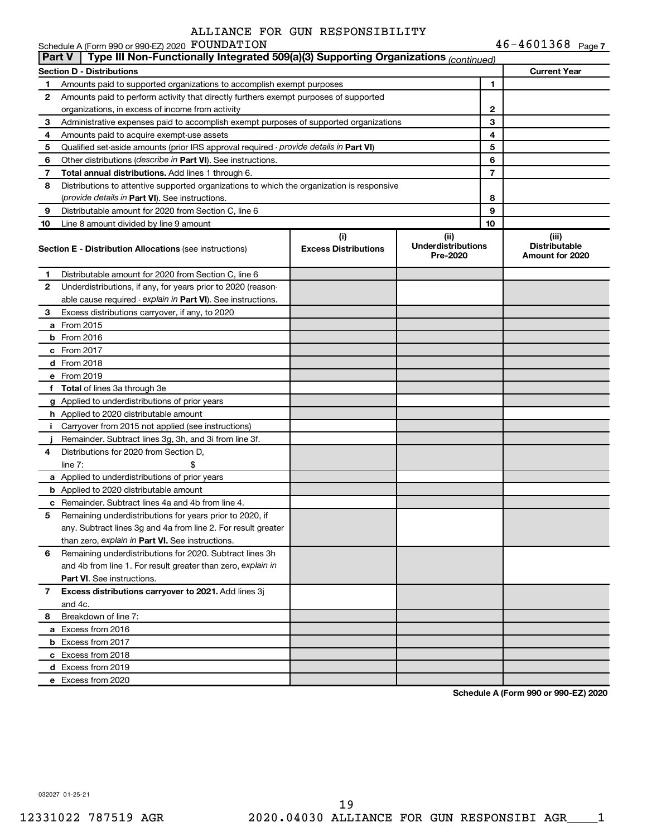$46 - 4601368$  Page 7

|               | Schedule A (Form 990 or 990-EZ) 2020 FOUNDATION                                            |                                    |                                               | $46 - 4601368$ Page 7                            |
|---------------|--------------------------------------------------------------------------------------------|------------------------------------|-----------------------------------------------|--------------------------------------------------|
| <b>Part V</b> | Type III Non-Functionally Integrated 509(a)(3) Supporting Organizations (continued)        |                                    |                                               |                                                  |
|               | <b>Section D - Distributions</b>                                                           |                                    |                                               | <b>Current Year</b>                              |
| 1             | Amounts paid to supported organizations to accomplish exempt purposes                      |                                    | 1                                             |                                                  |
| 2             | Amounts paid to perform activity that directly furthers exempt purposes of supported       |                                    |                                               |                                                  |
|               | organizations, in excess of income from activity                                           |                                    | 2                                             |                                                  |
| 3             | Administrative expenses paid to accomplish exempt purposes of supported organizations      |                                    | 3                                             |                                                  |
| 4             | Amounts paid to acquire exempt-use assets                                                  | 4                                  |                                               |                                                  |
| 5             | Qualified set-aside amounts (prior IRS approval required - provide details in Part VI)     |                                    | 5                                             |                                                  |
| 6             | Other distributions (describe in Part VI). See instructions.                               |                                    | 6                                             |                                                  |
| 7             | Total annual distributions. Add lines 1 through 6.                                         |                                    | 7                                             |                                                  |
| 8             | Distributions to attentive supported organizations to which the organization is responsive |                                    |                                               |                                                  |
|               | (provide details in Part VI). See instructions.                                            |                                    | 8                                             |                                                  |
| 9             | Distributable amount for 2020 from Section C, line 6                                       |                                    | 9                                             |                                                  |
| 10            | Line 8 amount divided by line 9 amount                                                     |                                    | 10                                            |                                                  |
|               | <b>Section E - Distribution Allocations (see instructions)</b>                             | (i)<br><b>Excess Distributions</b> | (ii)<br><b>Underdistributions</b><br>Pre-2020 | (iii)<br><b>Distributable</b><br>Amount for 2020 |
| 1.            | Distributable amount for 2020 from Section C, line 6                                       |                                    |                                               |                                                  |
| 2             | Underdistributions, if any, for years prior to 2020 (reason-                               |                                    |                                               |                                                  |
|               | able cause required - explain in Part VI). See instructions.                               |                                    |                                               |                                                  |
| 3             | Excess distributions carryover, if any, to 2020                                            |                                    |                                               |                                                  |
|               | a From 2015                                                                                |                                    |                                               |                                                  |
|               | <b>b</b> From 2016                                                                         |                                    |                                               |                                                  |
|               | c From 2017                                                                                |                                    |                                               |                                                  |
|               | <b>d</b> From 2018                                                                         |                                    |                                               |                                                  |
|               | e From 2019                                                                                |                                    |                                               |                                                  |
|               | f Total of lines 3a through 3e                                                             |                                    |                                               |                                                  |
|               | g Applied to underdistributions of prior years                                             |                                    |                                               |                                                  |
|               | h Applied to 2020 distributable amount                                                     |                                    |                                               |                                                  |
| Ť.            | Carryover from 2015 not applied (see instructions)                                         |                                    |                                               |                                                  |
|               | Remainder. Subtract lines 3g, 3h, and 3i from line 3f.                                     |                                    |                                               |                                                  |
| 4             | Distributions for 2020 from Section D,                                                     |                                    |                                               |                                                  |
|               | line $7:$                                                                                  |                                    |                                               |                                                  |
|               | a Applied to underdistributions of prior years                                             |                                    |                                               |                                                  |
|               | <b>b</b> Applied to 2020 distributable amount                                              |                                    |                                               |                                                  |
|               | c Remainder. Subtract lines 4a and 4b from line 4.                                         |                                    |                                               |                                                  |
|               | 5 Remaining underdistributions for years prior to 2020, if                                 |                                    |                                               |                                                  |
|               | any. Subtract lines 3g and 4a from line 2. For result greater                              |                                    |                                               |                                                  |
|               | than zero, explain in Part VI. See instructions.                                           |                                    |                                               |                                                  |
| 6             | Remaining underdistributions for 2020. Subtract lines 3h                                   |                                    |                                               |                                                  |
|               | and 4b from line 1. For result greater than zero, explain in                               |                                    |                                               |                                                  |
|               | <b>Part VI.</b> See instructions.                                                          |                                    |                                               |                                                  |
| 7             | Excess distributions carryover to 2021. Add lines 3j                                       |                                    |                                               |                                                  |
|               | and 4c.                                                                                    |                                    |                                               |                                                  |
| 8             | Breakdown of line 7:                                                                       |                                    |                                               |                                                  |
|               | a Excess from 2016                                                                         |                                    |                                               |                                                  |
|               | <b>b</b> Excess from 2017                                                                  |                                    |                                               |                                                  |
|               | c Excess from 2018                                                                         |                                    |                                               |                                                  |
|               | d Excess from 2019                                                                         |                                    |                                               |                                                  |
|               | e Excess from 2020                                                                         |                                    |                                               |                                                  |

**Schedule A (Form 990 or 990-EZ) 2020**

032027 01-25-21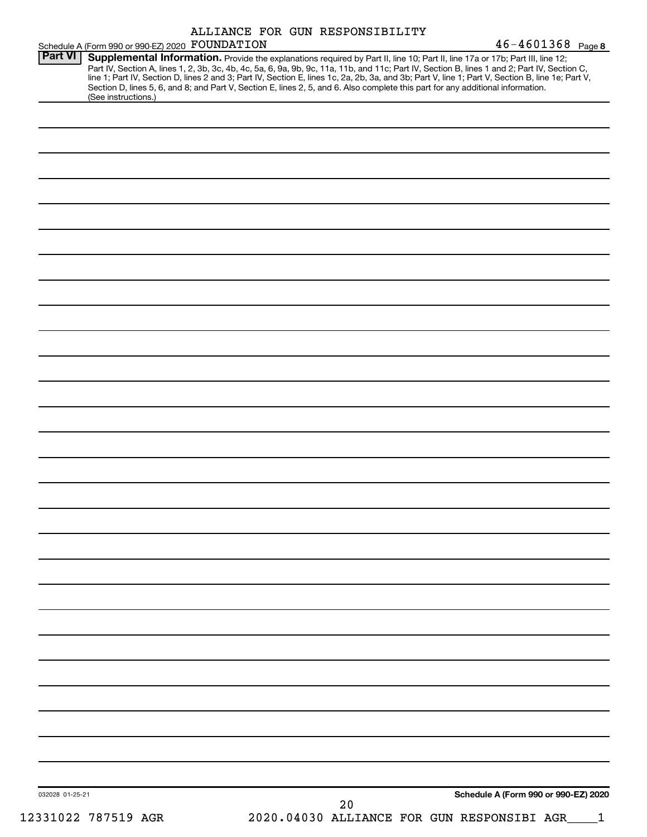|                 | Schedule A (Form 990 or 990-EZ) 2020 FOUNDATION |  | ALLIANCE FOR GUN RESPONSIBILITY | $46 - 4601368$ Page 8                                                                                                                                                                                                                                                                                                                                                                                                                                                                                                                                                |
|-----------------|-------------------------------------------------|--|---------------------------------|----------------------------------------------------------------------------------------------------------------------------------------------------------------------------------------------------------------------------------------------------------------------------------------------------------------------------------------------------------------------------------------------------------------------------------------------------------------------------------------------------------------------------------------------------------------------|
| <b>Part VI</b>  | (See instructions.)                             |  |                                 | Supplemental Information. Provide the explanations required by Part II, line 10; Part II, line 17a or 17b; Part III, line 12;<br>Part IV, Section A, lines 1, 2, 3b, 3c, 4b, 4c, 5a, 6, 9a, 9b, 9c, 11a, 11b, and 11c; Part IV, Section B, lines 1 and 2; Part IV, Section C,<br>line 1; Part IV, Section D, lines 2 and 3; Part IV, Section E, lines 1c, 2a, 2b, 3a, and 3b; Part V, line 1; Part V, Section B, line 1e; Part V,<br>Section D, lines 5, 6, and 8; and Part V, Section E, lines 2, 5, and 6. Also complete this part for any additional information. |
|                 |                                                 |  |                                 |                                                                                                                                                                                                                                                                                                                                                                                                                                                                                                                                                                      |
|                 |                                                 |  |                                 |                                                                                                                                                                                                                                                                                                                                                                                                                                                                                                                                                                      |
|                 |                                                 |  |                                 |                                                                                                                                                                                                                                                                                                                                                                                                                                                                                                                                                                      |
|                 |                                                 |  |                                 |                                                                                                                                                                                                                                                                                                                                                                                                                                                                                                                                                                      |
|                 |                                                 |  |                                 |                                                                                                                                                                                                                                                                                                                                                                                                                                                                                                                                                                      |
|                 |                                                 |  |                                 |                                                                                                                                                                                                                                                                                                                                                                                                                                                                                                                                                                      |
|                 |                                                 |  |                                 |                                                                                                                                                                                                                                                                                                                                                                                                                                                                                                                                                                      |
|                 |                                                 |  |                                 |                                                                                                                                                                                                                                                                                                                                                                                                                                                                                                                                                                      |
|                 |                                                 |  |                                 |                                                                                                                                                                                                                                                                                                                                                                                                                                                                                                                                                                      |
|                 |                                                 |  |                                 |                                                                                                                                                                                                                                                                                                                                                                                                                                                                                                                                                                      |
|                 |                                                 |  |                                 |                                                                                                                                                                                                                                                                                                                                                                                                                                                                                                                                                                      |
|                 |                                                 |  |                                 |                                                                                                                                                                                                                                                                                                                                                                                                                                                                                                                                                                      |
|                 |                                                 |  |                                 |                                                                                                                                                                                                                                                                                                                                                                                                                                                                                                                                                                      |
|                 |                                                 |  |                                 |                                                                                                                                                                                                                                                                                                                                                                                                                                                                                                                                                                      |
|                 |                                                 |  |                                 |                                                                                                                                                                                                                                                                                                                                                                                                                                                                                                                                                                      |
|                 |                                                 |  |                                 |                                                                                                                                                                                                                                                                                                                                                                                                                                                                                                                                                                      |
|                 |                                                 |  |                                 |                                                                                                                                                                                                                                                                                                                                                                                                                                                                                                                                                                      |
|                 |                                                 |  |                                 |                                                                                                                                                                                                                                                                                                                                                                                                                                                                                                                                                                      |
|                 |                                                 |  |                                 |                                                                                                                                                                                                                                                                                                                                                                                                                                                                                                                                                                      |
|                 |                                                 |  |                                 |                                                                                                                                                                                                                                                                                                                                                                                                                                                                                                                                                                      |
|                 |                                                 |  |                                 |                                                                                                                                                                                                                                                                                                                                                                                                                                                                                                                                                                      |
|                 |                                                 |  |                                 |                                                                                                                                                                                                                                                                                                                                                                                                                                                                                                                                                                      |
|                 |                                                 |  |                                 |                                                                                                                                                                                                                                                                                                                                                                                                                                                                                                                                                                      |
|                 |                                                 |  |                                 |                                                                                                                                                                                                                                                                                                                                                                                                                                                                                                                                                                      |
|                 |                                                 |  |                                 |                                                                                                                                                                                                                                                                                                                                                                                                                                                                                                                                                                      |
|                 |                                                 |  |                                 |                                                                                                                                                                                                                                                                                                                                                                                                                                                                                                                                                                      |
| 032028 01-25-21 |                                                 |  | 20                              | Schedule A (Form 990 or 990-EZ) 2020                                                                                                                                                                                                                                                                                                                                                                                                                                                                                                                                 |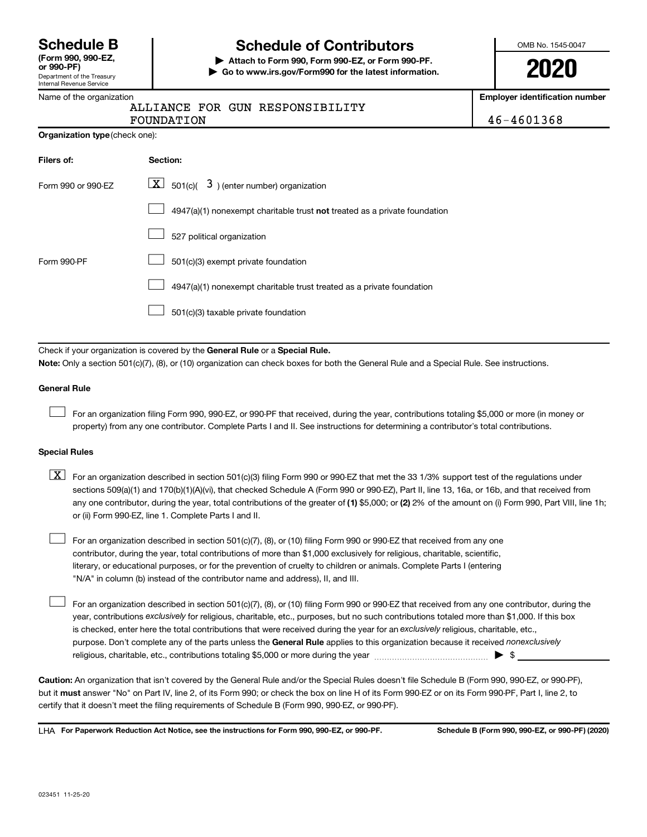Department of the Treasury Internal Revenue Service **(Form 990, 990-EZ,**

# **Schedule B Schedule of Contributors**

**or 990-PF) | Attach to Form 990, Form 990-EZ, or Form 990-PF. | Go to www.irs.gov/Form990 for the latest information.** OMB No. 1545-0047

**2020**

**Employer identification number**

46-4601368

|  |  | ALLIANCE FOR GUN RESPONSIBILITY |
|--|--|---------------------------------|
|--|--|---------------------------------|

| FOUNDATION                            |  |
|---------------------------------------|--|
| <b>Organization type (check one):</b> |  |

| Filers of:         | Section:                                                                           |
|--------------------|------------------------------------------------------------------------------------|
| Form 990 or 990-EZ | $\boxed{\textbf{X}}$ 501(c)( 3) (enter number) organization                        |
|                    | $4947(a)(1)$ nonexempt charitable trust <b>not</b> treated as a private foundation |
|                    | 527 political organization                                                         |
| Form 990-PF        | 501(c)(3) exempt private foundation                                                |
|                    | 4947(a)(1) nonexempt charitable trust treated as a private foundation              |
|                    | 501(c)(3) taxable private foundation                                               |

Check if your organization is covered by the General Rule or a Special Rule.

**Note:**  Only a section 501(c)(7), (8), or (10) organization can check boxes for both the General Rule and a Special Rule. See instructions.

#### **General Rule**

 $\Box$ 

 $\Box$ 

For an organization filing Form 990, 990-EZ, or 990-PF that received, during the year, contributions totaling \$5,000 or more (in money or property) from any one contributor. Complete Parts I and II. See instructions for determining a contributor's total contributions.

#### **Special Rules**

- any one contributor, during the year, total contributions of the greater of (1) \$5,000; or (2) 2% of the amount on (i) Form 990, Part VIII, line 1h;  $\boxed{\text{X}}$  For an organization described in section 501(c)(3) filing Form 990 or 990-EZ that met the 33 1/3% support test of the regulations under sections 509(a)(1) and 170(b)(1)(A)(vi), that checked Schedule A (Form 990 or 990-EZ), Part II, line 13, 16a, or 16b, and that received from or (ii) Form 990-EZ, line 1. Complete Parts I and II.
- For an organization described in section 501(c)(7), (8), or (10) filing Form 990 or 990-EZ that received from any one contributor, during the year, total contributions of more than \$1,000 exclusively for religious, charitable, scientific, literary, or educational purposes, or for the prevention of cruelty to children or animals. Complete Parts I (entering "N/A" in column (b) instead of the contributor name and address), II, and III.  $\Box$

purpose. Don't complete any of the parts unless the General Rule applies to this organization because it received nonexclusively year, contributions exclusively for religious, charitable, etc., purposes, but no such contributions totaled more than \$1,000. If this box is checked, enter here the total contributions that were received during the year for an exclusively religious, charitable, etc., For an organization described in section 501(c)(7), (8), or (10) filing Form 990 or 990-EZ that received from any one contributor, during the religious, charitable, etc., contributions totaling \$5,000 or more during the year  $~\ldots\ldots\ldots\ldots\ldots\ldots\ldots\ldots\blacktriangleright~$ \$

**Caution:**  An organization that isn't covered by the General Rule and/or the Special Rules doesn't file Schedule B (Form 990, 990-EZ, or 990-PF),  **must** but it answer "No" on Part IV, line 2, of its Form 990; or check the box on line H of its Form 990-EZ or on its Form 990-PF, Part I, line 2, to certify that it doesn't meet the filing requirements of Schedule B (Form 990, 990-EZ, or 990-PF).

**For Paperwork Reduction Act Notice, see the instructions for Form 990, 990-EZ, or 990-PF. Schedule B (Form 990, 990-EZ, or 990-PF) (2020)** LHA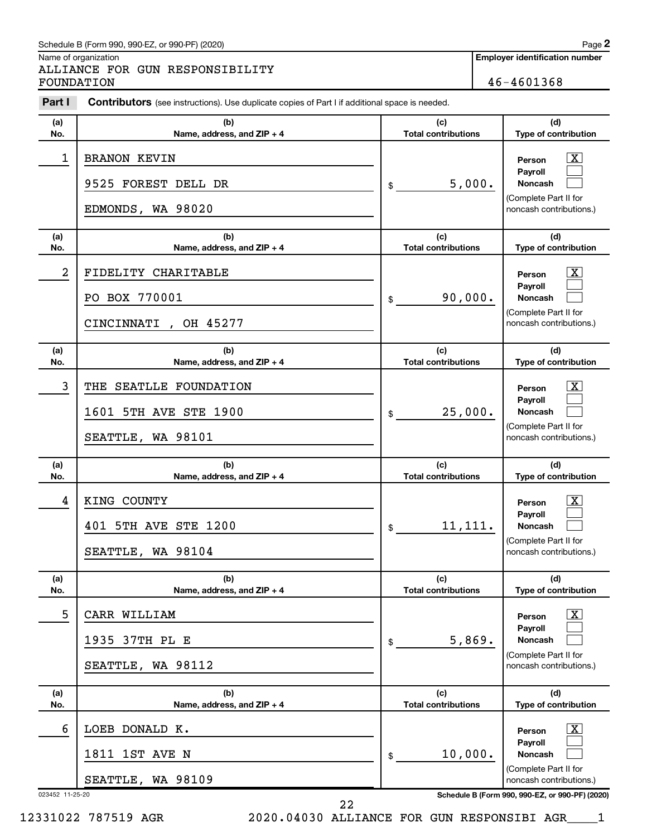#### Schedule B (Form 990, 990-EZ, or 990-PF) (2020)

Name of organization

ALLIANCE FOR GUN RESPONSIBILITY FOUNDATION 46-4601368

**Employer identification number**

| Part I     | <b>Contributors</b> (see instructions). Use duplicate copies of Part I if additional space is needed. |                                   |                                                                                                                |
|------------|-------------------------------------------------------------------------------------------------------|-----------------------------------|----------------------------------------------------------------------------------------------------------------|
| (a)<br>No. | (b)<br>Name, address, and ZIP + 4                                                                     | (c)<br><b>Total contributions</b> | (d)<br>Type of contribution                                                                                    |
| 1          | <b>BRANON KEVIN</b><br>9525 FOREST DELL DR<br>EDMONDS, WA 98020                                       | 5,000.<br>\$                      | $\mathbf{X}$<br>Person<br>Payroll<br>Noncash<br>(Complete Part II for<br>noncash contributions.)               |
| (a)<br>No. | (b)<br>Name, address, and ZIP + 4                                                                     | (c)<br><b>Total contributions</b> | (d)<br>Type of contribution                                                                                    |
| 2          | FIDELITY CHARITABLE<br>PO BOX 770001<br>CINCINNATI, OH 45277                                          | 90,000.<br>\$                     | $\mathbf{X}$<br>Person<br>Payroll<br><b>Noncash</b><br>(Complete Part II for<br>noncash contributions.)        |
| (a)<br>No. | (b)<br>Name, address, and ZIP + 4                                                                     | (c)<br><b>Total contributions</b> | (d)<br>Type of contribution                                                                                    |
| 3          | THE SEATLLE FOUNDATION<br>1601 5TH AVE STE 1900<br>SEATTLE, WA 98101                                  | 25,000.<br>\$                     | $\mathbf{X}$<br>Person<br><b>Payroll</b><br><b>Noncash</b><br>(Complete Part II for<br>noncash contributions.) |
| (a)<br>No. | (b)<br>Name, address, and ZIP + 4                                                                     | (c)<br><b>Total contributions</b> | (d)<br>Type of contribution                                                                                    |
| 4          | KING COUNTY<br>401 5TH AVE STE 1200<br>SEATTLE, WA 98104                                              | 11,111.<br>\$                     | $\mathbf{X}$<br>Person<br>Payroll<br><b>Noncash</b><br>(Complete Part II for<br>noncash contributions.)        |
| (a)<br>No. | (b)<br>Name, address, and ZIP + 4                                                                     | (c)<br><b>Total contributions</b> | (d)<br>Type of contribution                                                                                    |
| 5          | CARR WILLIAM<br>1935 37TH PL E<br>WA 98112<br>SEATTLE,                                                | 5,869.<br>\$                      | $\lfloor x \rfloor$<br>Person<br>Payroll<br><b>Noncash</b><br>(Complete Part II for<br>noncash contributions.) |
| (a)<br>No. | (b)<br>Name, address, and ZIP + 4                                                                     | (c)<br><b>Total contributions</b> | (d)<br>Type of contribution                                                                                    |
| 6          | DONALD K.<br>LOEB                                                                                     |                                   | $\mathbf{X}$<br>Person<br>Payroll                                                                              |
|            | 1ST AVE N<br>1811<br>SEATTLE, WA 98109                                                                | 10,000.<br>\$                     | <b>Noncash</b><br>(Complete Part II for<br>noncash contributions.)                                             |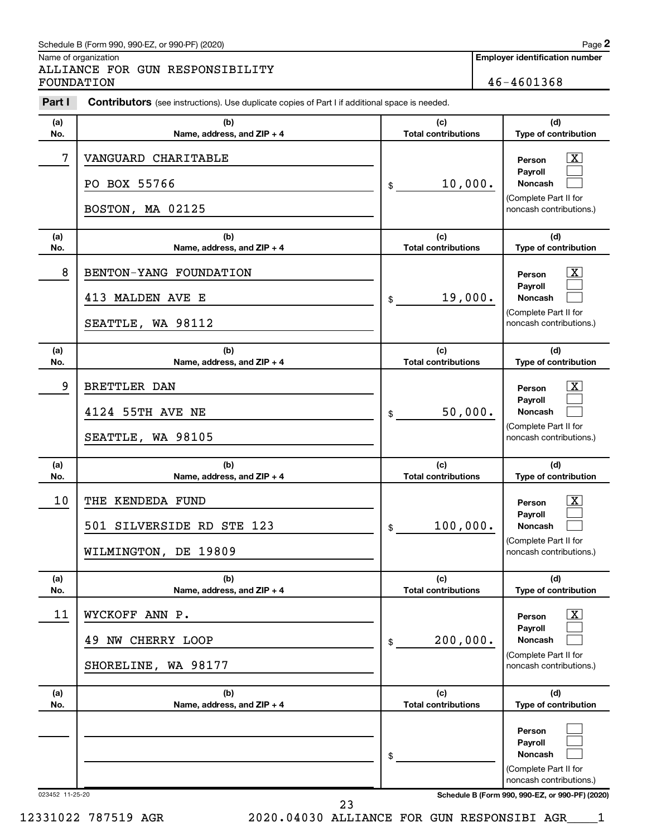#### Schedule B (Form 990, 990-EZ, or 990-PF) (2020)

Name of organization

ALLIANCE FOR GUN RESPONSIBILITY FOUNDATION 46-4601368

| Part I          | Contributors (see instructions). Use duplicate copies of Part I if additional space is needed. |                                   |                                                                                                                                                   |
|-----------------|------------------------------------------------------------------------------------------------|-----------------------------------|---------------------------------------------------------------------------------------------------------------------------------------------------|
| (a)<br>No.      | (b)<br>Name, address, and ZIP + 4                                                              | (c)<br><b>Total contributions</b> | (d)<br>Type of contribution                                                                                                                       |
| 7               | VANGUARD CHARITABLE<br>PO BOX 55766<br>BOSTON, MA 02125                                        | 10,000.<br>\$                     | X<br>Person<br>Payroll<br><b>Noncash</b><br>(Complete Part II for<br>noncash contributions.)                                                      |
| (a)<br>No.      | (b)<br>Name, address, and ZIP + 4                                                              | (c)<br><b>Total contributions</b> | (d)<br>Type of contribution                                                                                                                       |
| 8               | BENTON-YANG FOUNDATION<br>413 MALDEN AVE E<br>SEATTLE, WA 98112                                | 19,000.<br>\$                     | X<br>Person<br>Payroll<br><b>Noncash</b><br>(Complete Part II for<br>noncash contributions.)                                                      |
| (a)<br>No.      | (b)<br>Name, address, and ZIP + 4                                                              | (c)<br><b>Total contributions</b> | (d)<br>Type of contribution                                                                                                                       |
| 9               | <b>BRETTLER DAN</b><br>4124 55TH AVE NE<br>SEATTLE, WA 98105                                   | 50,000.<br>\$                     | X<br>Person<br>Pavroll<br><b>Noncash</b><br>(Complete Part II for<br>noncash contributions.)                                                      |
| (a)<br>No.      | (b)<br>Name, address, and ZIP + 4                                                              | (c)<br><b>Total contributions</b> | (d)<br>Type of contribution                                                                                                                       |
| 10              | THE KENDEDA FUND<br>501 SILVERSIDE RD STE 123<br>WILMINGTON, DE 19809                          | 100,000.<br>\$                    | X<br>Person<br>Payroll<br><b>Noncash</b><br>(Complete Part II for<br>noncash contributions.)                                                      |
| (a)<br>No.      | (b)<br>Name, address, and ZIP + 4                                                              | (c)<br><b>Total contributions</b> | (d)<br>Type of contribution                                                                                                                       |
| 11              | WYCKOFF ANN P.<br>NW CHERRY LOOP<br>49<br>SHORELINE, WA 98177                                  | 200,000.<br>\$                    | х<br>Person<br>Payroll<br><b>Noncash</b><br>(Complete Part II for<br>noncash contributions.)                                                      |
| (a)<br>No.      | (b)<br>Name, address, and ZIP + 4                                                              | (c)<br><b>Total contributions</b> | (d)<br>Type of contribution                                                                                                                       |
| 023452 11-25-20 |                                                                                                | \$                                | Person<br><b>Payroll</b><br><b>Noncash</b><br>(Complete Part II for<br>noncash contributions.)<br>Schedule B (Form 990, 990-EZ, or 990-PF) (2020) |

23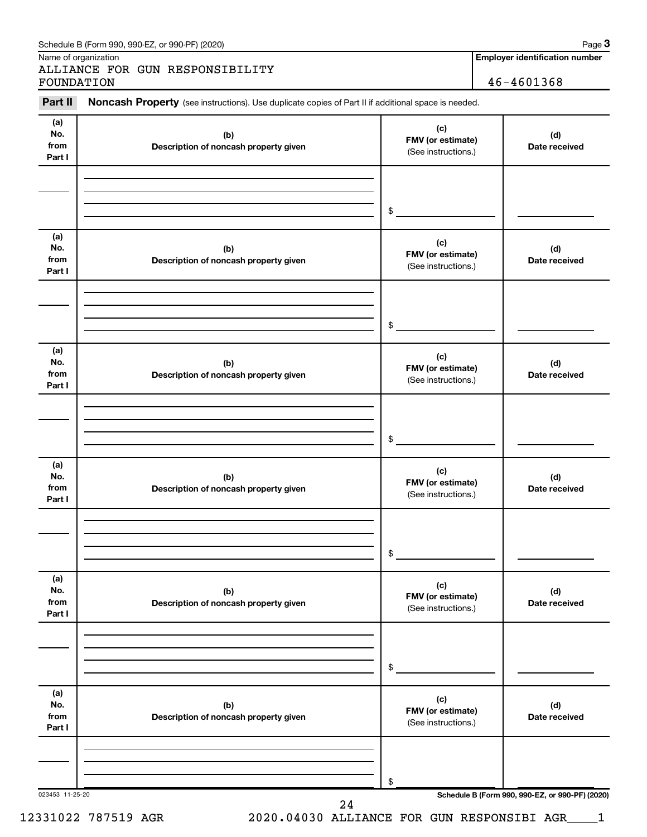| Part II                      | Noncash Property (see instructions). Use duplicate copies of Part II if additional space is needed. |                                                 |                      |
|------------------------------|-----------------------------------------------------------------------------------------------------|-------------------------------------------------|----------------------|
| (a)<br>No.<br>from<br>Part I | (b)<br>Description of noncash property given                                                        | (c)<br>FMV (or estimate)<br>(See instructions.) | (d)<br>Date received |
|                              |                                                                                                     | \$                                              |                      |
| (a)<br>No.<br>from<br>Part I | (b)<br>Description of noncash property given                                                        | (c)<br>FMV (or estimate)<br>(See instructions.) | (d)<br>Date received |
|                              |                                                                                                     | \$                                              |                      |
| (a)<br>No.<br>from<br>Part I | (b)<br>Description of noncash property given                                                        | (c)<br>FMV (or estimate)<br>(See instructions.) | (d)<br>Date received |
|                              |                                                                                                     | \$                                              |                      |
| (a)<br>No.<br>from<br>Part I | (b)<br>Description of noncash property given                                                        | (c)<br>FMV (or estimate)<br>(See instructions.) | (d)<br>Date received |
|                              |                                                                                                     | \$                                              |                      |
| (a)<br>No.<br>from<br>Part I | (b)<br>Description of noncash property given                                                        | (c)<br>FMV (or estimate)<br>(See instructions.) | (d)<br>Date received |
|                              |                                                                                                     | \$                                              |                      |
| (a)<br>No.<br>from<br>Part I | (b)<br>Description of noncash property given                                                        | (c)<br>FMV (or estimate)<br>(See instructions.) | (d)<br>Date received |
|                              |                                                                                                     | \$                                              |                      |

**3**

Schedule B (Form 990, 990-EZ, or 990-PF) (2020)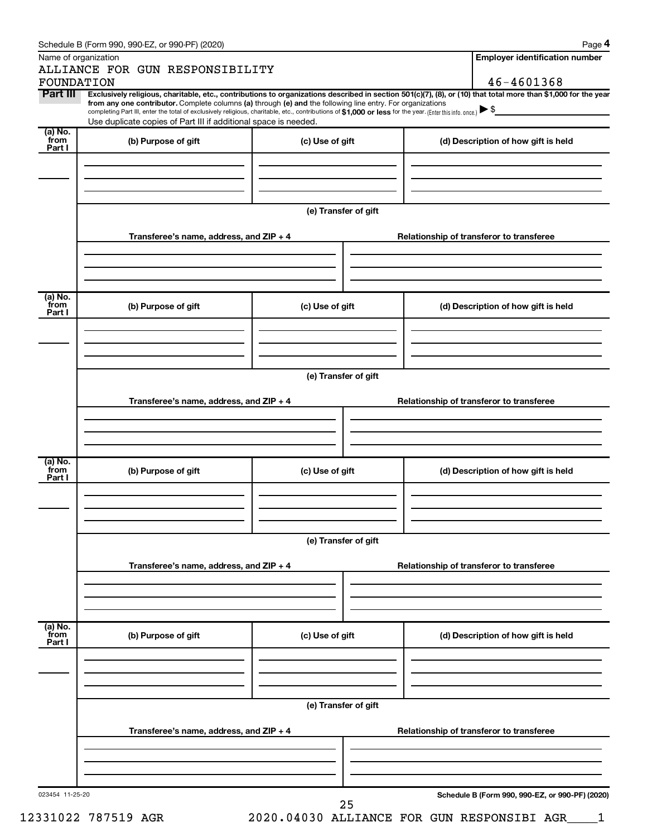| Name of organization | ALLIANCE FOR GUN RESPONSIBILITY                                                                                                                                                                                                                                              |                                          |                                          | <b>Employer identification number</b>           |  |
|----------------------|------------------------------------------------------------------------------------------------------------------------------------------------------------------------------------------------------------------------------------------------------------------------------|------------------------------------------|------------------------------------------|-------------------------------------------------|--|
| FOUNDATION           |                                                                                                                                                                                                                                                                              |                                          |                                          | 46-4601368                                      |  |
| Part III             | Exclusively religious, charitable, etc., contributions to organizations described in section 501(c)(7), (8), or (10) that total more than \$1,000 for the year<br>from any one contributor. Complete columns (a) through (e) and the following line entry. For organizations |                                          |                                          |                                                 |  |
|                      | completing Part III, enter the total of exclusively religious, charitable, etc., contributions of \$1,000 or less for the year. [Enter this info. once.]                                                                                                                     |                                          |                                          |                                                 |  |
| (a) No.              | Use duplicate copies of Part III if additional space is needed.                                                                                                                                                                                                              |                                          |                                          |                                                 |  |
| from                 | (b) Purpose of gift                                                                                                                                                                                                                                                          | (c) Use of gift                          |                                          | (d) Description of how gift is held             |  |
| Part I               |                                                                                                                                                                                                                                                                              |                                          |                                          |                                                 |  |
|                      |                                                                                                                                                                                                                                                                              |                                          |                                          |                                                 |  |
|                      |                                                                                                                                                                                                                                                                              |                                          |                                          |                                                 |  |
|                      |                                                                                                                                                                                                                                                                              |                                          |                                          |                                                 |  |
|                      |                                                                                                                                                                                                                                                                              | (e) Transfer of gift                     |                                          |                                                 |  |
|                      | Transferee's name, address, and ZIP + 4                                                                                                                                                                                                                                      |                                          | Relationship of transferor to transferee |                                                 |  |
|                      |                                                                                                                                                                                                                                                                              |                                          |                                          |                                                 |  |
|                      |                                                                                                                                                                                                                                                                              |                                          |                                          |                                                 |  |
|                      |                                                                                                                                                                                                                                                                              |                                          |                                          |                                                 |  |
| (a) No.              |                                                                                                                                                                                                                                                                              |                                          |                                          |                                                 |  |
| `from<br>Part I      | (b) Purpose of gift                                                                                                                                                                                                                                                          | (c) Use of gift                          |                                          | (d) Description of how gift is held             |  |
|                      |                                                                                                                                                                                                                                                                              |                                          |                                          |                                                 |  |
|                      |                                                                                                                                                                                                                                                                              |                                          |                                          |                                                 |  |
|                      |                                                                                                                                                                                                                                                                              |                                          |                                          |                                                 |  |
|                      |                                                                                                                                                                                                                                                                              | (e) Transfer of gift                     |                                          |                                                 |  |
|                      |                                                                                                                                                                                                                                                                              |                                          |                                          |                                                 |  |
|                      | Transferee's name, address, and ZIP + 4                                                                                                                                                                                                                                      | Relationship of transferor to transferee |                                          |                                                 |  |
|                      |                                                                                                                                                                                                                                                                              |                                          |                                          |                                                 |  |
|                      |                                                                                                                                                                                                                                                                              |                                          |                                          |                                                 |  |
|                      |                                                                                                                                                                                                                                                                              |                                          |                                          |                                                 |  |
| (a) No.<br>from      | (b) Purpose of gift<br>(c) Use of gift                                                                                                                                                                                                                                       |                                          |                                          | (d) Description of how gift is held             |  |
| Part I               |                                                                                                                                                                                                                                                                              |                                          |                                          |                                                 |  |
|                      |                                                                                                                                                                                                                                                                              |                                          |                                          |                                                 |  |
|                      |                                                                                                                                                                                                                                                                              |                                          |                                          |                                                 |  |
|                      |                                                                                                                                                                                                                                                                              |                                          |                                          |                                                 |  |
|                      |                                                                                                                                                                                                                                                                              | (e) Transfer of gift                     |                                          |                                                 |  |
|                      | Transferee's name, address, and ZIP + 4                                                                                                                                                                                                                                      |                                          | Relationship of transferor to transferee |                                                 |  |
|                      |                                                                                                                                                                                                                                                                              |                                          |                                          |                                                 |  |
|                      |                                                                                                                                                                                                                                                                              |                                          |                                          |                                                 |  |
|                      |                                                                                                                                                                                                                                                                              |                                          |                                          |                                                 |  |
| (a) No.<br>from      | (b) Purpose of gift                                                                                                                                                                                                                                                          | (c) Use of gift                          |                                          | (d) Description of how gift is held             |  |
| Part I               |                                                                                                                                                                                                                                                                              |                                          |                                          |                                                 |  |
|                      |                                                                                                                                                                                                                                                                              |                                          |                                          |                                                 |  |
|                      |                                                                                                                                                                                                                                                                              |                                          |                                          |                                                 |  |
|                      |                                                                                                                                                                                                                                                                              |                                          |                                          |                                                 |  |
|                      |                                                                                                                                                                                                                                                                              | (e) Transfer of gift                     |                                          |                                                 |  |
|                      | Transferee's name, address, and ZIP + 4                                                                                                                                                                                                                                      | Relationship of transferor to transferee |                                          |                                                 |  |
|                      |                                                                                                                                                                                                                                                                              |                                          |                                          |                                                 |  |
|                      |                                                                                                                                                                                                                                                                              |                                          |                                          |                                                 |  |
|                      |                                                                                                                                                                                                                                                                              |                                          |                                          |                                                 |  |
|                      |                                                                                                                                                                                                                                                                              |                                          |                                          |                                                 |  |
| 023454 11-25-20      |                                                                                                                                                                                                                                                                              |                                          |                                          | Schedule B (Form 990, 990-EZ, or 990-PF) (2020) |  |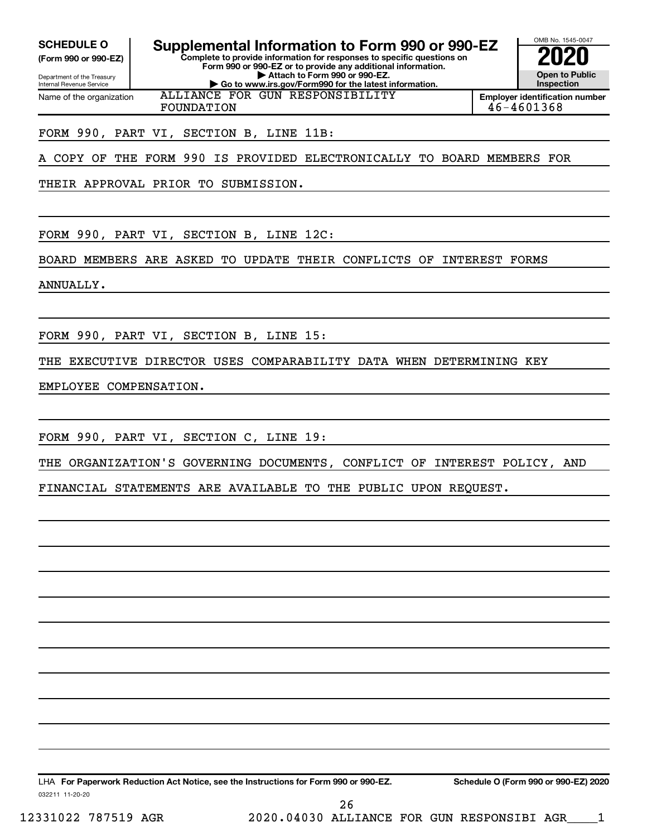Internal Revenue Service

Department of the Treasury **(Form 990 or 990-EZ)**

Name of the organization

**SCHEDULE O Supplemental Information to Form 990 or 990-EZ 2020** 

**Complete to provide information for responses to specific questions on Form 990 or 990-EZ or to provide any additional information. | Attach to Form 990 or 990-EZ. | Go to www.irs.gov/Form990 for the latest information.**

ALLIANCE FOR GUN RESPONSIBILITY



**Employer identification number** FOUNDATION 46-4601368

#### FORM 990, PART VI, SECTION B, LINE 11B:

A COPY OF THE FORM 990 IS PROVIDED ELECTRONICALLY TO BOARD MEMBERS FOR

THEIR APPROVAL PRIOR TO SUBMISSION.

FORM 990, PART VI, SECTION B, LINE 12C:

BOARD MEMBERS ARE ASKED TO UPDATE THEIR CONFLICTS OF INTEREST FORMS

ANNUALLY.

FORM 990, PART VI, SECTION B, LINE 15:

THE EXECUTIVE DIRECTOR USES COMPARABILITY DATA WHEN DETERMINING KEY

EMPLOYEE COMPENSATION.

FORM 990, PART VI, SECTION C, LINE 19:

THE ORGANIZATION'S GOVERNING DOCUMENTS, CONFLICT OF INTEREST POLICY, AND

FINANCIAL STATEMENTS ARE AVAILABLE TO THE PUBLIC UPON REQUEST.

032211 11-20-20 **For Paperwork Reduction Act Notice, see the Instructions for Form 990 or 990-EZ. Schedule O (Form 990 or 990-EZ) 2020** LHA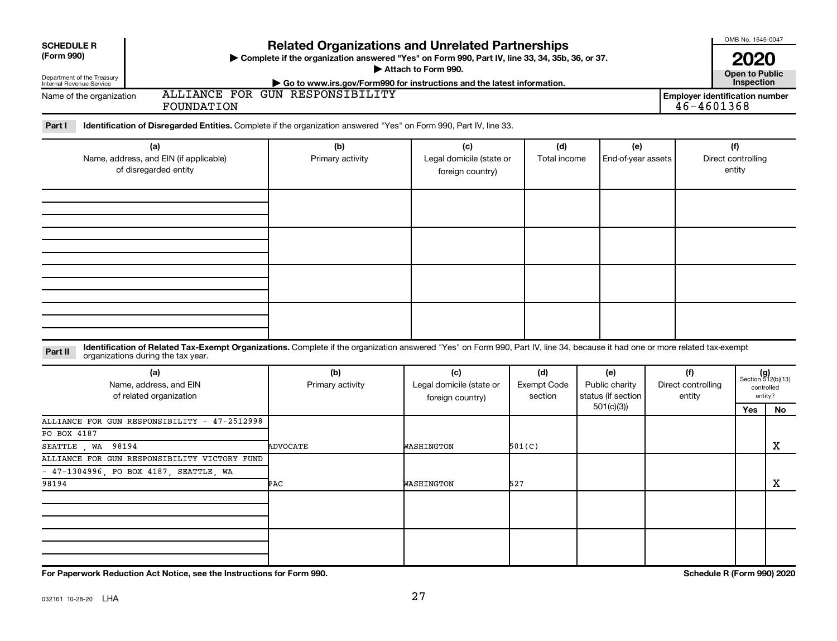| <b>ALLIANCE FOR GUN RESPONSIBILITY</b><br><b>Employer identification number</b><br>Name of the organization<br>46-4601368<br>FOUNDATION<br>Part I<br>Identification of Disregarded Entities. Complete if the organization answered "Yes" on Form 990, Part IV, line 33.<br>(a)<br>(b)<br>(d)<br>(f)<br>(c)<br>(e)<br>Name, address, and EIN (if applicable)<br>Legal domicile (state or<br>Direct controlling<br>Primary activity<br>Total income<br>End-of-year assets<br>of disregarded entity<br>entity<br>foreign country)<br>Identification of Related Tax-Exempt Organizations. Complete if the organization answered "Yes" on Form 990, Part IV, line 34, because it had one or more related tax-exempt<br>Part II<br>organizations during the tax year.<br>(b)<br>(a)<br>(c)<br>(d)<br>(e)<br>(f)<br>Name, address, and EIN<br>Legal domicile (state or<br><b>Exempt Code</b><br>Public charity<br>Direct controlling<br>Primary activity<br>controlled<br>status (if section<br>of related organization<br>section<br>entity<br>entity?<br>foreign country)<br>501(c)(3)<br>Yes<br>ALLIANCE FOR GUN RESPONSIBILITY - 47-2512998<br>PO BOX 4187<br>SEATTLE WA<br>98194<br>501(C)<br><b>ADVOCATE</b><br>WASHINGTON<br>ALLIANCE FOR GUN RESPONSIBILITY VICTORY FUND<br>47-1304996, PO BOX 4187, SEATTLE, WA | <b>SCHEDULE R</b><br>(Form 990)<br>Department of the Treasury<br>Internal Revenue Service | <b>Related Organizations and Unrelated Partnerships</b><br>> Complete if the organization answered "Yes" on Form 990, Part IV, line 33, 34, 35b, 36, or 37.<br>Go to www.irs.gov/Form990 for instructions and the latest information. | Attach to Form 990. |     |  | OMB No. 1545-0047<br><b>2020</b><br><b>Open to Public</b><br>Inspection |                                   |
|-------------------------------------------------------------------------------------------------------------------------------------------------------------------------------------------------------------------------------------------------------------------------------------------------------------------------------------------------------------------------------------------------------------------------------------------------------------------------------------------------------------------------------------------------------------------------------------------------------------------------------------------------------------------------------------------------------------------------------------------------------------------------------------------------------------------------------------------------------------------------------------------------------------------------------------------------------------------------------------------------------------------------------------------------------------------------------------------------------------------------------------------------------------------------------------------------------------------------------------------------------------------------------------------------------------------|-------------------------------------------------------------------------------------------|---------------------------------------------------------------------------------------------------------------------------------------------------------------------------------------------------------------------------------------|---------------------|-----|--|-------------------------------------------------------------------------|-----------------------------------|
|                                                                                                                                                                                                                                                                                                                                                                                                                                                                                                                                                                                                                                                                                                                                                                                                                                                                                                                                                                                                                                                                                                                                                                                                                                                                                                                   |                                                                                           |                                                                                                                                                                                                                                       |                     |     |  |                                                                         |                                   |
|                                                                                                                                                                                                                                                                                                                                                                                                                                                                                                                                                                                                                                                                                                                                                                                                                                                                                                                                                                                                                                                                                                                                                                                                                                                                                                                   |                                                                                           |                                                                                                                                                                                                                                       |                     |     |  |                                                                         |                                   |
|                                                                                                                                                                                                                                                                                                                                                                                                                                                                                                                                                                                                                                                                                                                                                                                                                                                                                                                                                                                                                                                                                                                                                                                                                                                                                                                   |                                                                                           |                                                                                                                                                                                                                                       |                     |     |  |                                                                         |                                   |
|                                                                                                                                                                                                                                                                                                                                                                                                                                                                                                                                                                                                                                                                                                                                                                                                                                                                                                                                                                                                                                                                                                                                                                                                                                                                                                                   |                                                                                           |                                                                                                                                                                                                                                       |                     |     |  |                                                                         |                                   |
|                                                                                                                                                                                                                                                                                                                                                                                                                                                                                                                                                                                                                                                                                                                                                                                                                                                                                                                                                                                                                                                                                                                                                                                                                                                                                                                   |                                                                                           |                                                                                                                                                                                                                                       |                     |     |  |                                                                         |                                   |
|                                                                                                                                                                                                                                                                                                                                                                                                                                                                                                                                                                                                                                                                                                                                                                                                                                                                                                                                                                                                                                                                                                                                                                                                                                                                                                                   |                                                                                           |                                                                                                                                                                                                                                       |                     |     |  |                                                                         |                                   |
|                                                                                                                                                                                                                                                                                                                                                                                                                                                                                                                                                                                                                                                                                                                                                                                                                                                                                                                                                                                                                                                                                                                                                                                                                                                                                                                   |                                                                                           |                                                                                                                                                                                                                                       |                     |     |  |                                                                         | $(g)$<br>Section 512(b)(13)<br>No |
|                                                                                                                                                                                                                                                                                                                                                                                                                                                                                                                                                                                                                                                                                                                                                                                                                                                                                                                                                                                                                                                                                                                                                                                                                                                                                                                   |                                                                                           |                                                                                                                                                                                                                                       |                     |     |  |                                                                         | х                                 |
|                                                                                                                                                                                                                                                                                                                                                                                                                                                                                                                                                                                                                                                                                                                                                                                                                                                                                                                                                                                                                                                                                                                                                                                                                                                                                                                   | 98194                                                                                     | PAC                                                                                                                                                                                                                                   | WASHINGTON          | 527 |  |                                                                         | x                                 |
|                                                                                                                                                                                                                                                                                                                                                                                                                                                                                                                                                                                                                                                                                                                                                                                                                                                                                                                                                                                                                                                                                                                                                                                                                                                                                                                   |                                                                                           |                                                                                                                                                                                                                                       |                     |     |  |                                                                         |                                   |
|                                                                                                                                                                                                                                                                                                                                                                                                                                                                                                                                                                                                                                                                                                                                                                                                                                                                                                                                                                                                                                                                                                                                                                                                                                                                                                                   |                                                                                           |                                                                                                                                                                                                                                       |                     |     |  |                                                                         |                                   |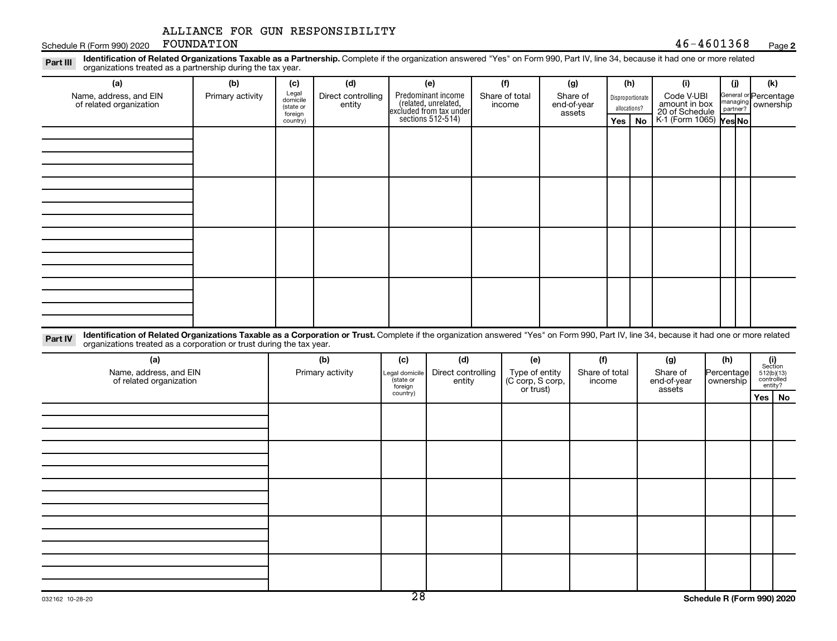Schedule R (Form 990) 2020  $\cdot$  FOUNDATION  $46-4601368$ FOUNDATION

#### **2**

Part III Identification of Related Organizations Taxable as a Partnership. Complete if the organization answered "Yes" on Form 990, Part IV, line 34, because it had one or more related<br>Read to the organizations tracted as **(a) (b) (c) (d) (e) (f) (g) (h) (i) (j) (k)** organizations treated as a partnership during the tax year.

| $\sqrt{2}$                                        | $\mathbf{v}$     | $\cdots$<br>$\ddot{\phantom{1}}$          |                              | $\sqrt{ }$                                                                                 | $\cdots$                 | $\ddot{\phantom{0}}$              |              | $\sqrt{ }$       | $\cdots$                                                                       | $\cdots$ | $\cdots$                                                  |  |
|---------------------------------------------------|------------------|-------------------------------------------|------------------------------|--------------------------------------------------------------------------------------------|--------------------------|-----------------------------------|--------------|------------------|--------------------------------------------------------------------------------|----------|-----------------------------------------------------------|--|
| Name, address, and EIN<br>of related organization | Primary activity | Legal<br>domicile<br>(state or<br>foreign | Direct controlling<br>entity | Predominant income<br>(related, unrelated,<br>excluded from tax under<br>sections 512-514) | Share of total<br>income | Share of<br>end-of-year<br>assets | allocations? | Disproportionate | Code V-UBI<br>amount in box<br>20 of Schedule<br>K-1 (Form 1065) <b>Yes No</b> |          | General or Percentage<br>managing<br>partner?<br>partner? |  |
|                                                   |                  | country)                                  |                              |                                                                                            |                          |                                   | $Yes \mid$   | No               |                                                                                |          |                                                           |  |
|                                                   |                  |                                           |                              |                                                                                            |                          |                                   |              |                  |                                                                                |          |                                                           |  |
|                                                   |                  |                                           |                              |                                                                                            |                          |                                   |              |                  |                                                                                |          |                                                           |  |
|                                                   |                  |                                           |                              |                                                                                            |                          |                                   |              |                  |                                                                                |          |                                                           |  |
|                                                   |                  |                                           |                              |                                                                                            |                          |                                   |              |                  |                                                                                |          |                                                           |  |
|                                                   |                  |                                           |                              |                                                                                            |                          |                                   |              |                  |                                                                                |          |                                                           |  |
|                                                   |                  |                                           |                              |                                                                                            |                          |                                   |              |                  |                                                                                |          |                                                           |  |
|                                                   |                  |                                           |                              |                                                                                            |                          |                                   |              |                  |                                                                                |          |                                                           |  |
|                                                   |                  |                                           |                              |                                                                                            |                          |                                   |              |                  |                                                                                |          |                                                           |  |
|                                                   |                  |                                           |                              |                                                                                            |                          |                                   |              |                  |                                                                                |          |                                                           |  |
|                                                   |                  |                                           |                              |                                                                                            |                          |                                   |              |                  |                                                                                |          |                                                           |  |
|                                                   |                  |                                           |                              |                                                                                            |                          |                                   |              |                  |                                                                                |          |                                                           |  |
|                                                   |                  |                                           |                              |                                                                                            |                          |                                   |              |                  |                                                                                |          |                                                           |  |
|                                                   |                  |                                           |                              |                                                                                            |                          |                                   |              |                  |                                                                                |          |                                                           |  |
|                                                   |                  |                                           |                              |                                                                                            |                          |                                   |              |                  |                                                                                |          |                                                           |  |
|                                                   |                  |                                           |                              |                                                                                            |                          |                                   |              |                  |                                                                                |          |                                                           |  |
|                                                   |                  |                                           |                              |                                                                                            |                          |                                   |              |                  |                                                                                |          |                                                           |  |
|                                                   |                  |                                           |                              |                                                                                            |                          |                                   |              |                  |                                                                                |          |                                                           |  |

Part IV Identification of Related Organizations Taxable as a Corporation or Trust. Complete if the organization answered "Yes" on Form 990, Part IV, line 34, because it had one or more related organizations treated as a corporation or trust during the tax year.

| (a)<br>Name, address, and EIN<br>of related organization | (b)<br>Primary activity | (c)<br>Legal domicile<br>(state or<br>foreign | (d)<br>Direct controlling<br>entity | (e)<br>Type of entity<br>(C corp, S corp,<br>or trust) | (f)<br>Share of total<br>income | (g)<br>Share of<br>end-of-year<br>assets | (h)<br>Percentage<br>  ownership | $\begin{array}{c} \textbf{(i)}\\ \text{Section}\\ 5\,12 \text{(b)} \text{(13)}\\ \text{controlled} \\ \text{entity?} \end{array}$ |
|----------------------------------------------------------|-------------------------|-----------------------------------------------|-------------------------------------|--------------------------------------------------------|---------------------------------|------------------------------------------|----------------------------------|-----------------------------------------------------------------------------------------------------------------------------------|
|                                                          |                         | country)                                      |                                     |                                                        |                                 |                                          |                                  | Yes   No                                                                                                                          |
|                                                          |                         |                                               |                                     |                                                        |                                 |                                          |                                  |                                                                                                                                   |
|                                                          |                         |                                               |                                     |                                                        |                                 |                                          |                                  |                                                                                                                                   |
|                                                          |                         |                                               |                                     |                                                        |                                 |                                          |                                  |                                                                                                                                   |
|                                                          |                         |                                               |                                     |                                                        |                                 |                                          |                                  |                                                                                                                                   |
|                                                          |                         |                                               |                                     |                                                        |                                 |                                          |                                  |                                                                                                                                   |
|                                                          |                         |                                               |                                     |                                                        |                                 |                                          |                                  |                                                                                                                                   |
|                                                          |                         |                                               |                                     |                                                        |                                 |                                          |                                  |                                                                                                                                   |
|                                                          |                         |                                               |                                     |                                                        |                                 |                                          |                                  |                                                                                                                                   |
|                                                          |                         |                                               |                                     |                                                        |                                 |                                          |                                  |                                                                                                                                   |
|                                                          |                         |                                               |                                     |                                                        |                                 |                                          |                                  |                                                                                                                                   |
|                                                          |                         |                                               |                                     |                                                        |                                 |                                          |                                  |                                                                                                                                   |
|                                                          |                         |                                               |                                     |                                                        |                                 |                                          |                                  |                                                                                                                                   |
|                                                          |                         |                                               |                                     |                                                        |                                 |                                          |                                  |                                                                                                                                   |
|                                                          |                         |                                               |                                     |                                                        |                                 |                                          |                                  |                                                                                                                                   |
|                                                          |                         |                                               |                                     |                                                        |                                 |                                          |                                  |                                                                                                                                   |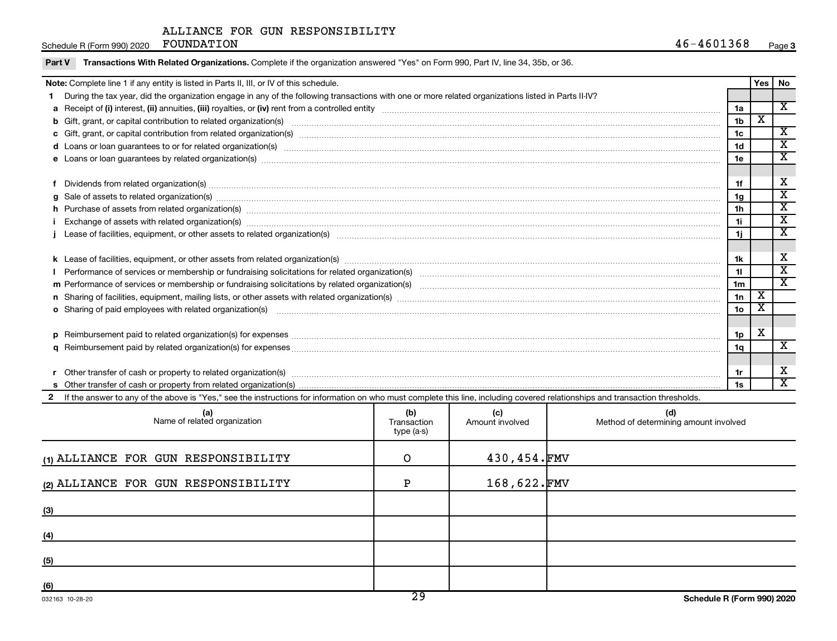Schedule R (Form 990) 2020 FOUNDATION

| Transactions With Related Organizations. Complete if the organization answered "Yes" on Form 990, Part IV, line 34, 35b, or 36.<br>Part V                                                                                                         |                 |                         |                             |  |  |
|---------------------------------------------------------------------------------------------------------------------------------------------------------------------------------------------------------------------------------------------------|-----------------|-------------------------|-----------------------------|--|--|
| Note: Complete line 1 if any entity is listed in Parts II, III, or IV of this schedule.                                                                                                                                                           |                 |                         |                             |  |  |
| During the tax year, did the organization engage in any of the following transactions with one or more related organizations listed in Parts II-IV?                                                                                               |                 |                         |                             |  |  |
|                                                                                                                                                                                                                                                   | 1a              |                         | $\overline{\mathbf{X}}$     |  |  |
| b Gift, grant, or capital contribution to related organization(s) manufaction contribution of the contribution to related organization(s) manufaction contribution to the contribution of the contribution of the contribution                    | 1 <sub>b</sub>  | $\overline{\textbf{x}}$ |                             |  |  |
|                                                                                                                                                                                                                                                   | 1 <sub>c</sub>  |                         | $\overline{\mathbf{X}}$     |  |  |
| d Loans or loan guarantees to or for related organization(s) www.communities.com/www.communities.com/www.communities-                                                                                                                             | 1d              |                         | X                           |  |  |
|                                                                                                                                                                                                                                                   | 1e              |                         | $\mathbf x$                 |  |  |
|                                                                                                                                                                                                                                                   |                 |                         |                             |  |  |
| f Dividends from related organization(s) manufactured and contract the contract of the contract of the contract of the contract of the contract of the contract of the contract of the contract of the contract of the contrac                    | 1f              |                         | х                           |  |  |
| g Sale of assets to related organization(s) material content and content to the content of the content of the content of the content of the content of the content of the content of the content of the content of the content                    | 1 <sub>g</sub>  |                         | $\overline{\textnormal{x}}$ |  |  |
|                                                                                                                                                                                                                                                   | 1 <sub>h</sub>  |                         | $\overline{\text{x}}$       |  |  |
| Exchange of assets with related organization(s) www.array.com/www.array.com/www.array.com/www.array.com/www.array.com/www.array.com/www.array.com/www.array.com/www.array.com/www.array.com/www.array.com/www.array.com/www.ar                    | 11              |                         | $\mathbf x$                 |  |  |
|                                                                                                                                                                                                                                                   | 1j              |                         | $\overline{\textbf{x}}$     |  |  |
|                                                                                                                                                                                                                                                   |                 |                         |                             |  |  |
|                                                                                                                                                                                                                                                   | 1k              |                         | х                           |  |  |
|                                                                                                                                                                                                                                                   | 11              |                         | $\overline{\text{x}}$       |  |  |
|                                                                                                                                                                                                                                                   | 1 <sub>m</sub>  |                         | $\overline{\textnormal{x}}$ |  |  |
|                                                                                                                                                                                                                                                   | 1n              | $\overline{\texttt{x}}$ |                             |  |  |
| o Sharing of paid employees with related organization(s) manufactured content to the content of the content of the content of the content of the content of the content of the content of the content of the content of the co                    | 10 <sub>o</sub> | х                       |                             |  |  |
|                                                                                                                                                                                                                                                   |                 |                         |                             |  |  |
|                                                                                                                                                                                                                                                   | 1 <sub>p</sub>  | х                       |                             |  |  |
|                                                                                                                                                                                                                                                   | 1q              |                         | $\overline{\mathbf{X}}$     |  |  |
|                                                                                                                                                                                                                                                   |                 |                         |                             |  |  |
|                                                                                                                                                                                                                                                   | 1r              |                         | х                           |  |  |
|                                                                                                                                                                                                                                                   | 1s              |                         | $\overline{\textbf{x}}$     |  |  |
| 2 If the answer to any of the above is "Yes," see the instructions for information on who must complete this line, including covered relationships and transaction thresholds.<br>the contract of the contract of the contract of the contract of |                 |                         |                             |  |  |

| (a)<br>Name of related organization | (b)<br>Transaction<br>type (a-s) | (c)<br>Amount involved | (d)<br>Method of determining amount involved |
|-------------------------------------|----------------------------------|------------------------|----------------------------------------------|
| (1) ALLIANCE FOR GUN RESPONSIBILITY | $\Omega$                         | 430,454.FMV            |                                              |
| (2) ALLIANCE FOR GUN RESPONSIBILITY | P                                | 168,622.FMV            |                                              |
| (3)                                 |                                  |                        |                                              |
| (4)                                 |                                  |                        |                                              |
| (5)                                 |                                  |                        |                                              |
| (6)                                 | $\overline{\phantom{a}}$         |                        |                                              |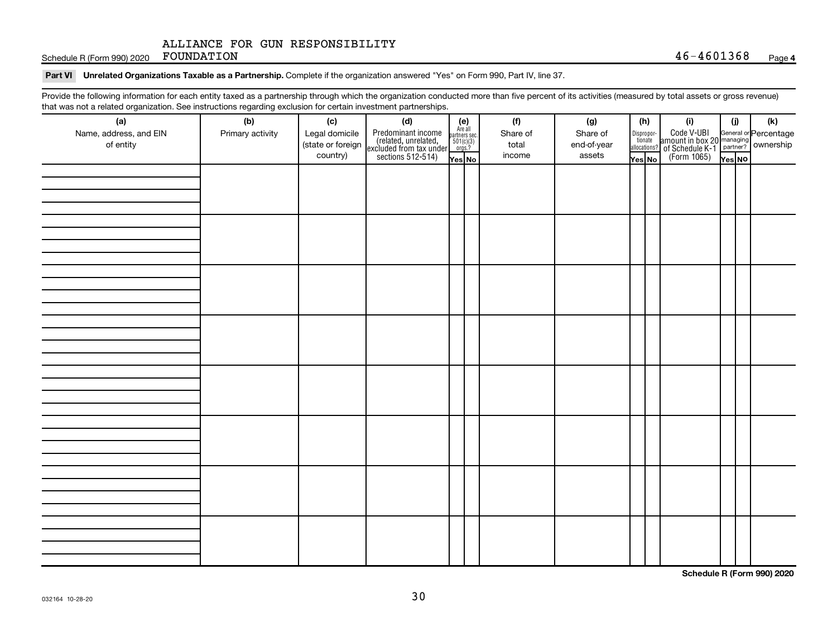Schedule R (Form 990) 2020 Page FOUNDATION 46-4601368

#### Part VI Unrelated Organizations Taxable as a Partnership. Complete if the organization answered "Yes" on Form 990, Part IV, line 37.

Provide the following information for each entity taxed as a partnership through which the organization conducted more than five percent of its activities (measured by total assets or gross revenue) that was not a related organization. See instructions regarding exclusion for certain investment partnerships.

| that was not a related eigenization. Occ includitions regarding exclusion for cortain investment partnerships.<br>(a) | (b)              | (c)                                             |                                                                                                                                                                                                                                                                                  |  |  | (f)                         | (g)                               | (h)    |  | (i)                                                                                                                                    | (i)    | $(\mathsf{k})$ |
|-----------------------------------------------------------------------------------------------------------------------|------------------|-------------------------------------------------|----------------------------------------------------------------------------------------------------------------------------------------------------------------------------------------------------------------------------------------------------------------------------------|--|--|-----------------------------|-----------------------------------|--------|--|----------------------------------------------------------------------------------------------------------------------------------------|--------|----------------|
| Name, address, and EIN<br>of entity                                                                                   | Primary activity | Legal domicile<br>(state or foreign<br>country) | (d)<br>Predominant income<br>(related, unrelated, $\begin{bmatrix} \mathbf{e} \\ \text{Areaall} \\ \text{sccluded from tax under} \\ \text{sections 512-514} \end{bmatrix}$<br>$\begin{bmatrix} \mathbf{e} \\ \mathbf{se} \\ \text{for } 10(1/3) \\ \text{mes } 2 \end{bmatrix}$ |  |  | Share of<br>total<br>income | Share of<br>end-of-year<br>assets | Yes No |  | Dispropor-<br>Code V-UBI<br>allocations? annount in box 20 managing<br>allocations? of Schedule K-1<br>Yes No<br>(Form 1065)<br>Yes No | Yes No |                |
|                                                                                                                       |                  |                                                 |                                                                                                                                                                                                                                                                                  |  |  |                             |                                   |        |  |                                                                                                                                        |        |                |
|                                                                                                                       |                  |                                                 |                                                                                                                                                                                                                                                                                  |  |  |                             |                                   |        |  |                                                                                                                                        |        |                |
|                                                                                                                       |                  |                                                 |                                                                                                                                                                                                                                                                                  |  |  |                             |                                   |        |  |                                                                                                                                        |        |                |
|                                                                                                                       |                  |                                                 |                                                                                                                                                                                                                                                                                  |  |  |                             |                                   |        |  |                                                                                                                                        |        |                |
|                                                                                                                       |                  |                                                 |                                                                                                                                                                                                                                                                                  |  |  |                             |                                   |        |  |                                                                                                                                        |        |                |
|                                                                                                                       |                  |                                                 |                                                                                                                                                                                                                                                                                  |  |  |                             |                                   |        |  |                                                                                                                                        |        |                |
|                                                                                                                       |                  |                                                 |                                                                                                                                                                                                                                                                                  |  |  |                             |                                   |        |  |                                                                                                                                        |        |                |
|                                                                                                                       |                  |                                                 |                                                                                                                                                                                                                                                                                  |  |  |                             |                                   |        |  |                                                                                                                                        |        |                |
|                                                                                                                       |                  |                                                 |                                                                                                                                                                                                                                                                                  |  |  |                             |                                   |        |  |                                                                                                                                        |        |                |
|                                                                                                                       |                  |                                                 |                                                                                                                                                                                                                                                                                  |  |  |                             |                                   |        |  |                                                                                                                                        |        |                |
|                                                                                                                       |                  |                                                 |                                                                                                                                                                                                                                                                                  |  |  |                             |                                   |        |  |                                                                                                                                        |        |                |
|                                                                                                                       |                  |                                                 |                                                                                                                                                                                                                                                                                  |  |  |                             |                                   |        |  |                                                                                                                                        |        |                |
|                                                                                                                       |                  |                                                 |                                                                                                                                                                                                                                                                                  |  |  |                             |                                   |        |  |                                                                                                                                        |        |                |
|                                                                                                                       |                  |                                                 |                                                                                                                                                                                                                                                                                  |  |  |                             |                                   |        |  |                                                                                                                                        |        |                |
|                                                                                                                       |                  |                                                 |                                                                                                                                                                                                                                                                                  |  |  |                             |                                   |        |  |                                                                                                                                        |        |                |
|                                                                                                                       |                  |                                                 |                                                                                                                                                                                                                                                                                  |  |  |                             |                                   |        |  |                                                                                                                                        |        |                |
|                                                                                                                       |                  |                                                 |                                                                                                                                                                                                                                                                                  |  |  |                             |                                   |        |  |                                                                                                                                        |        |                |
|                                                                                                                       |                  |                                                 |                                                                                                                                                                                                                                                                                  |  |  |                             |                                   |        |  |                                                                                                                                        |        |                |
|                                                                                                                       |                  |                                                 |                                                                                                                                                                                                                                                                                  |  |  |                             |                                   |        |  |                                                                                                                                        |        |                |
|                                                                                                                       |                  |                                                 |                                                                                                                                                                                                                                                                                  |  |  |                             |                                   |        |  |                                                                                                                                        |        |                |
|                                                                                                                       |                  |                                                 |                                                                                                                                                                                                                                                                                  |  |  |                             |                                   |        |  |                                                                                                                                        |        |                |
|                                                                                                                       |                  |                                                 |                                                                                                                                                                                                                                                                                  |  |  |                             |                                   |        |  |                                                                                                                                        |        |                |
|                                                                                                                       |                  |                                                 |                                                                                                                                                                                                                                                                                  |  |  |                             |                                   |        |  |                                                                                                                                        |        |                |
|                                                                                                                       |                  |                                                 |                                                                                                                                                                                                                                                                                  |  |  |                             |                                   |        |  |                                                                                                                                        |        |                |
|                                                                                                                       |                  |                                                 |                                                                                                                                                                                                                                                                                  |  |  |                             |                                   |        |  |                                                                                                                                        |        |                |
|                                                                                                                       |                  |                                                 |                                                                                                                                                                                                                                                                                  |  |  |                             |                                   |        |  |                                                                                                                                        |        |                |
|                                                                                                                       |                  |                                                 |                                                                                                                                                                                                                                                                                  |  |  |                             |                                   |        |  |                                                                                                                                        |        |                |
|                                                                                                                       |                  |                                                 |                                                                                                                                                                                                                                                                                  |  |  |                             |                                   |        |  |                                                                                                                                        |        |                |

**Schedule R (Form 990) 2020**